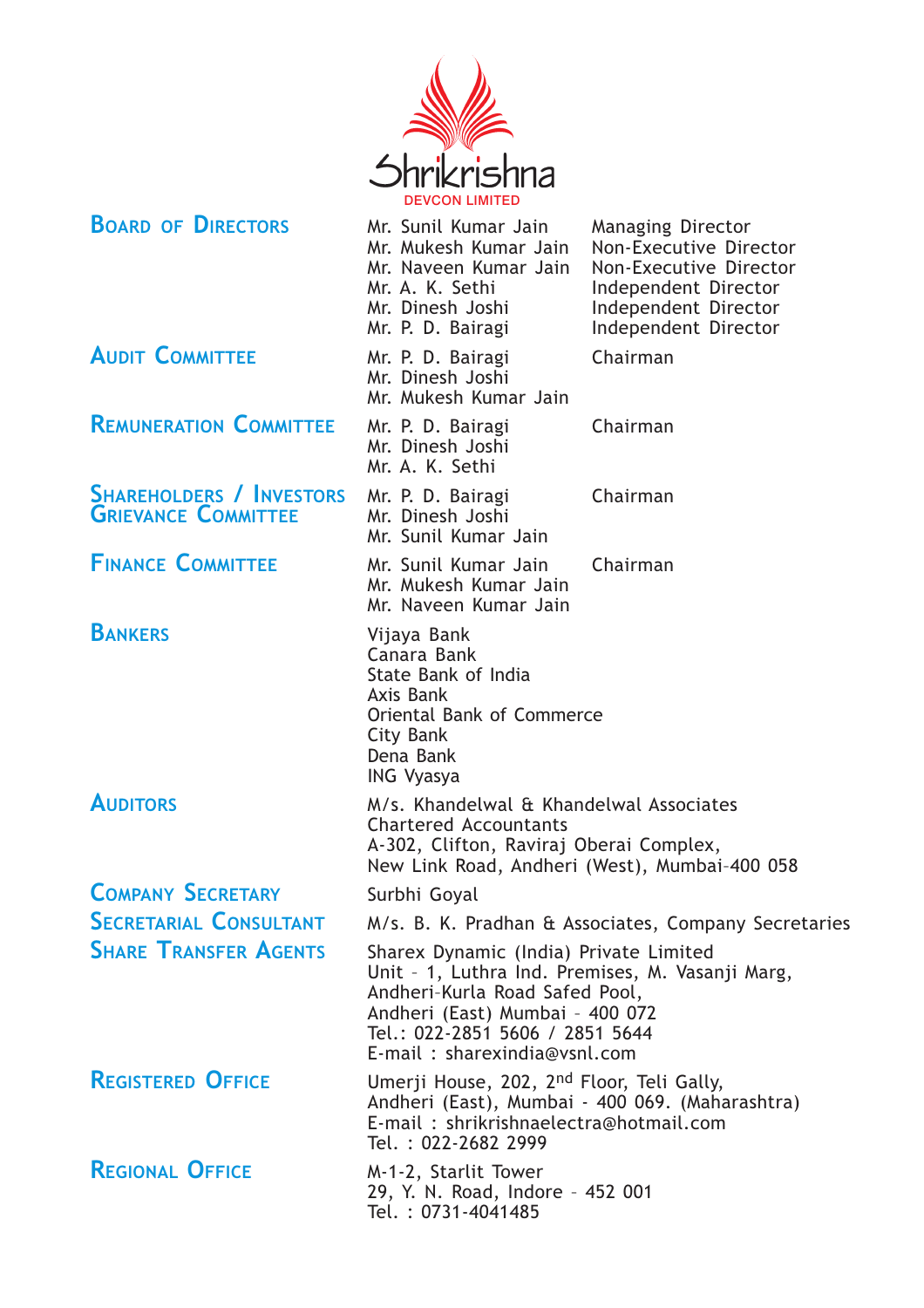

**BOARD OF DIRECTORS** Mr. Sunil Kumar Jain Managing Director Mr. Mukesh Kumar Jain Non-Executive Director Non-Executive Director<br>Non-Executive Director Mr. Naveen Kumar Jain Mr. A. K. Sethi Independent Director Mr. Dinesh Joshi Independent Director Mr. P. D. Bairagi lndependent Director AUDIT COMMITTEE Mr. P. D. Bairagi Chairman Mr. Dinesh Joshi Mr. Mukesh Kumar Jain REMUNERATION COMMITTEE Mr. P. D. Bairagi Chairman Mr. Dinesh Joshi Mr. A. K. Sethi SHAREHOLDERS / INVESTORS Mr. P. D. Bairagi Chairman Mr. Sunil Kumar Jain FINANCE COMMITTEE Mr. Sunil Kumar Jain Chairman Mr. Mukesh Kumar Jain Mr. Naveen Kumar Jain BANKERS Vijaya Bank Canara Bank State Bank of India Axis Bank Oriental Bank of Commerce City Bank Dena Bank ING Vyasya AUDITORS M/s. Khandelwal & Khandelwal Associates Chartered Accountants A-302, Clifton, Raviraj Oberai Complex, New Link Road, Andheri (West), Mumbai–400 058 **COMPANY SECRETARY** Surbhi Goyal SECRETARIAL CONSULTANT M/s. B. K. Pradhan & Associates, Company Secretaries SHARE TRANSFER AGENTS Sharex Dynamic (India) Private Limited Unit – 1, Luthra Ind. Premises, M. Vasanji Marg, Andheri–Kurla Road Safed Pool, Andheri (East) Mumbai – 400 072 Tel.: 022-2851 5606 / 2851 5644 E-mail : sharexindia@vsnl.com REGISTERED OFFICE Umerji House, 202, 2<sup>nd</sup> Floor, Teli Gally, Andheri (East), Mumbai - 400 069. (Maharashtra) E-mail : shrikrishnaelectra@hotmail.com Tel. : 022-2682 2999 REGIONAL OFFICE M-1-2, Starlit Tower 29, Y. N. Road, Indore – 452 001

**GRIEVANCE COMMITTEE** 

Tel. : 0731-4041485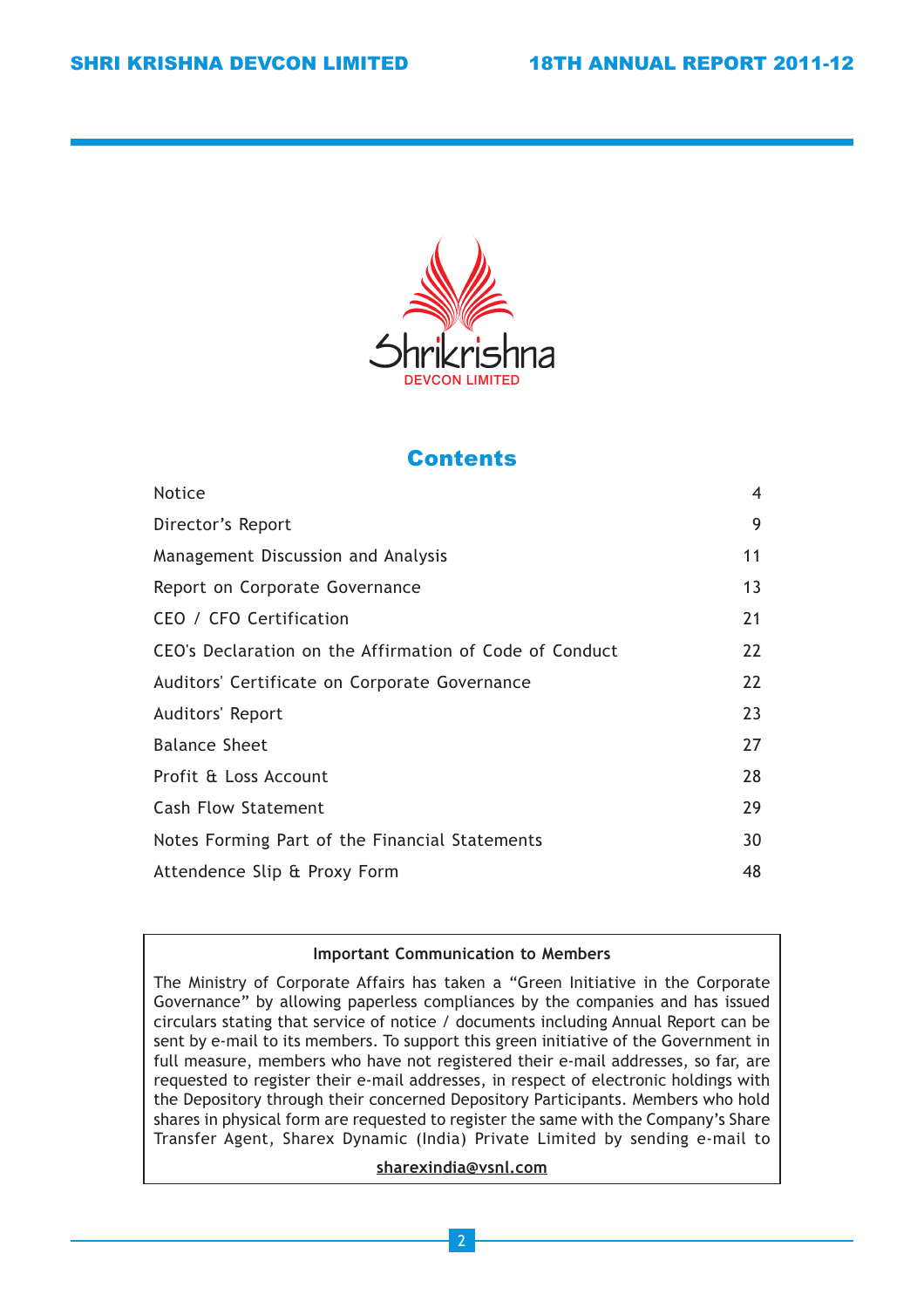

## **Contents**

| <b>Notice</b>                                           | $\overline{4}$ |
|---------------------------------------------------------|----------------|
| Director's Report                                       | 9              |
| Management Discussion and Analysis                      | 11             |
| Report on Corporate Governance                          | 13             |
| CEO / CFO Certification                                 | 21             |
| CEO's Declaration on the Affirmation of Code of Conduct | 22             |
| Auditors' Certificate on Corporate Governance           | 22             |
| Auditors' Report                                        | 23             |
| <b>Balance Sheet</b>                                    | 27             |
| Profit & Loss Account                                   | 28             |
| <b>Cash Flow Statement</b>                              | 29             |
| Notes Forming Part of the Financial Statements          | 30             |
| Attendence Slip & Proxy Form                            | 48             |

## Important Communication to Members

The Ministry of Corporate Affairs has taken a "Green Initiative in the Corporate Governance" by allowing paperless compliances by the companies and has issued circulars stating that service of notice / documents including Annual Report can be sent by e-mail to its members. To support this green initiative of the Government in full measure, members who have not registered their e-mail addresses, so far, are requested to register their e-mail addresses, in respect of electronic holdings with the Depository through their concerned Depository Participants. Members who hold shares in physical form are requested to register the same with the Company's Share Transfer Agent, Sharex Dynamic (India) Private Limited by sending e-mail to

## sharexindia@vsnl.com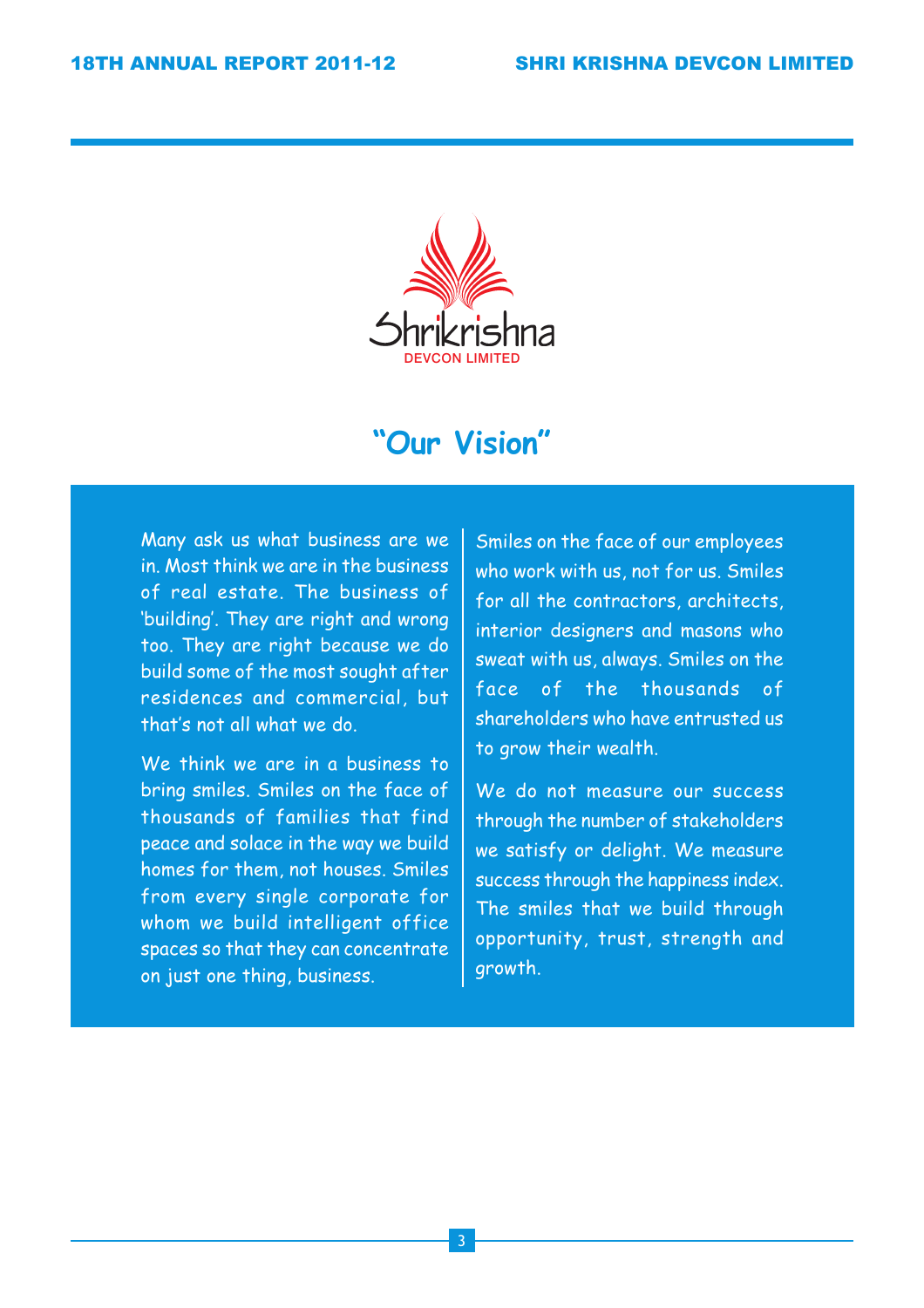

## "Our Vision"

Many ask us what business are we in. Most think we are in the business of real estate. The business of 'building'. They are right and wrong too. They are right because we do build some of the most sought after residences and commercial, but that's not all what we do.

We think we are in a business to bring smiles. Smiles on the face of thousands of families that find peace and solace in the way we build homes for them, not houses. Smiles from every single corporate for whom we build intelligent office spaces so that they can concentrate on just one thing, business.

Smiles on the face of our employees who work with us, not for us. Smiles for all the contractors, architects, interior designers and masons who sweat with us, always. Smiles on the face of the thousands of shareholders who have entrusted us to grow their wealth.

We do not measure our success through the number of stakeholders we satisfy or delight. We measure success through the happiness index. The smiles that we build through opportunity, trust, strength and growth.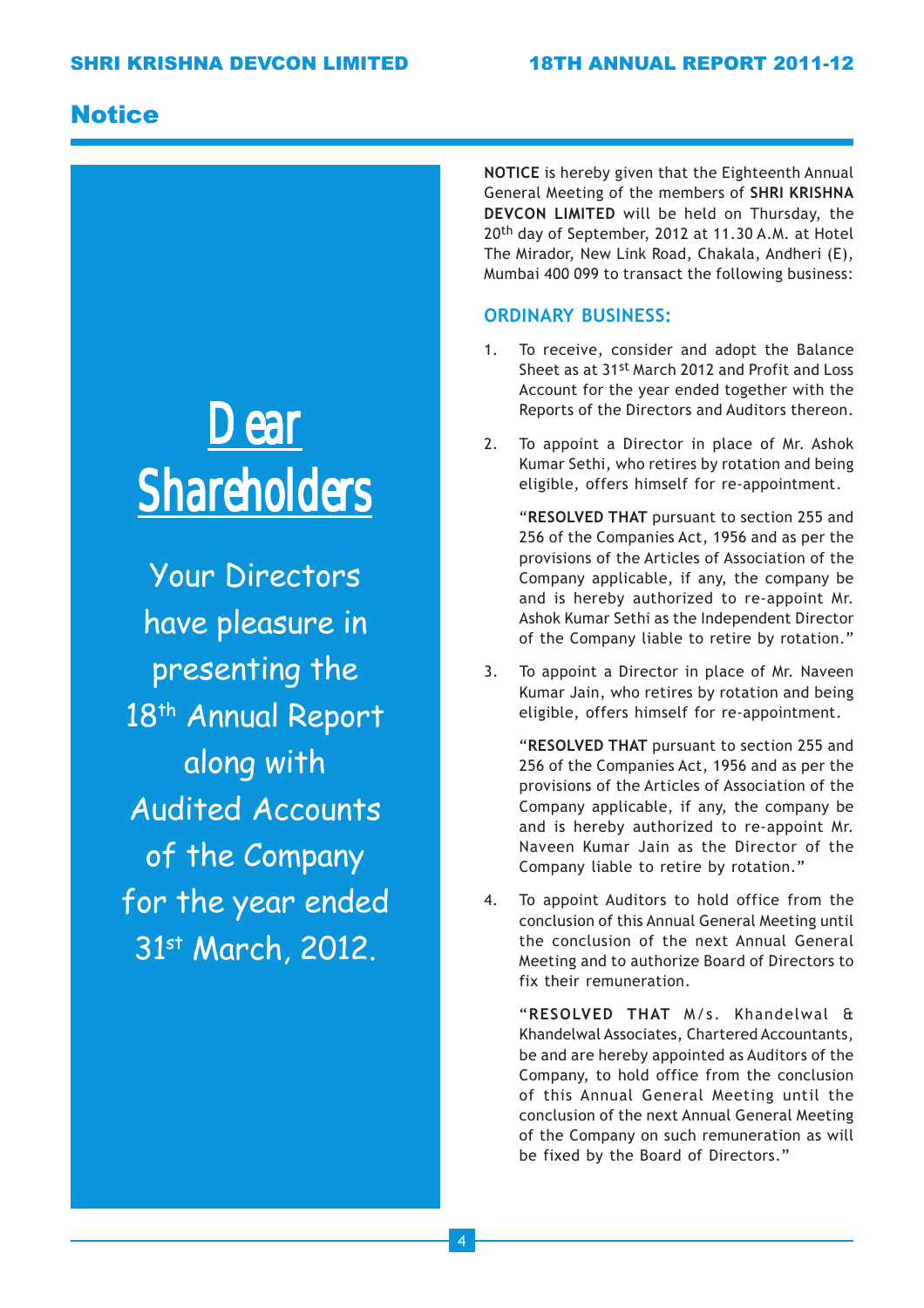## **Notice**

# *Dear Shareholders Shareholders*

Your Directors have pleasure in presenting the 18<sup>th</sup> Annual Report along with Audited Accounts of the Company for the year ended 31<sup>st</sup> March, 2012.

NOTICE is hereby given that the Eighteenth Annual General Meeting of the members of SHRI KRISHNA DEVCON LIMITED will be held on Thursday, the 20<sup>th</sup> day of September, 2012 at 11.30 A.M. at Hotel The Mirador, New Link Road, Chakala, Andheri (E), Mumbai 400 099 to transact the following business:

## ORDINARY BUSINESS:

- 1. To receive, consider and adopt the Balance Sheet as at 31st March 2012 and Profit and Loss Account for the year ended together with the Reports of the Directors and Auditors thereon.
- 2. To appoint a Director in place of Mr. Ashok Kumar Sethi, who retires by rotation and being eligible, offers himself for re-appointment.

"RESOLVED THAT pursuant to section 255 and 256 of the Companies Act, 1956 and as per the provisions of the Articles of Association of the Company applicable, if any, the company be and is hereby authorized to re-appoint Mr. Ashok Kumar Sethi as the Independent Director of the Company liable to retire by rotation."

3. To appoint a Director in place of Mr. Naveen Kumar Jain, who retires by rotation and being eligible, offers himself for re-appointment.

"RESOLVED THAT pursuant to section 255 and 256 of the Companies Act, 1956 and as per the provisions of the Articles of Association of the Company applicable, if any, the company be and is hereby authorized to re-appoint Mr. Naveen Kumar Jain as the Director of the Company liable to retire by rotation."

4. To appoint Auditors to hold office from the conclusion of this Annual General Meeting until the conclusion of the next Annual General Meeting and to authorize Board of Directors to fix their remuneration.

"RESOLVED THAT M/s. Khandelwal & Khandelwal Associates, Chartered Accountants, be and are hereby appointed as Auditors of the Company, to hold office from the conclusion of this Annual General Meeting until the conclusion of the next Annual General Meeting of the Company on such remuneration as will be fixed by the Board of Directors."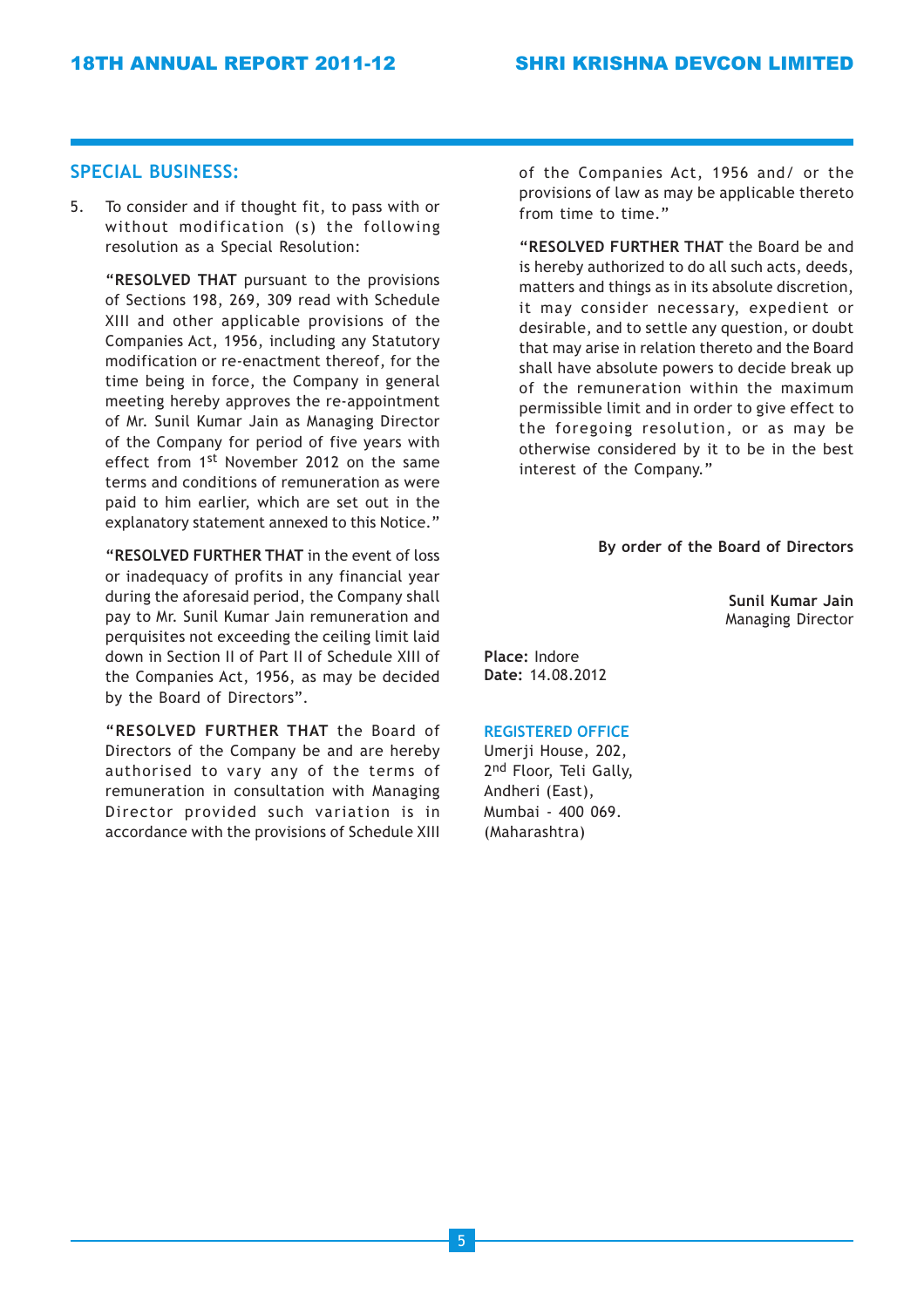## SPECIAL BUSINESS:

5. To consider and if thought fit, to pass with or without modification (s) the following resolution as a Special Resolution:

"RESOLVED THAT pursuant to the provisions of Sections 198, 269, 309 read with Schedule XIII and other applicable provisions of the Companies Act, 1956, including any Statutory modification or re-enactment thereof, for the time being in force, the Company in general meeting hereby approves the re-appointment of Mr. Sunil Kumar Jain as Managing Director of the Company for period of five years with effect from 1st November 2012 on the same terms and conditions of remuneration as were paid to him earlier, which are set out in the explanatory statement annexed to this Notice."

"RESOLVED FURTHER THAT in the event of loss or inadequacy of profits in any financial year during the aforesaid period, the Company shall pay to Mr. Sunil Kumar Jain remuneration and perquisites not exceeding the ceiling limit laid down in Section II of Part II of Schedule XIII of the Companies Act, 1956, as may be decided by the Board of Directors".

"RESOLVED FURTHER THAT the Board of Directors of the Company be and are hereby authorised to vary any of the terms of remuneration in consultation with Managing Director provided such variation is in accordance with the provisions of Schedule XIII of the Companies Act, 1956 and/ or the provisions of law as may be applicable thereto from time to time."

"RESOLVED FURTHER THAT the Board be and is hereby authorized to do all such acts, deeds, matters and things as in its absolute discretion, it may consider necessary, expedient or desirable, and to settle any question, or doubt that may arise in relation thereto and the Board shall have absolute powers to decide break up of the remuneration within the maximum permissible limit and in order to give effect to the foregoing resolution, or as may be otherwise considered by it to be in the best interest of the Company."

#### By order of the Board of Directors

Sunil Kumar Jain Managing Director

Place: Indore Date: 14.08.2012

#### REGISTERED OFFICE

Umerji House, 202, 2<sup>nd</sup> Floor, Teli Gally, Andheri (East), Mumbai - 400 069. (Maharashtra)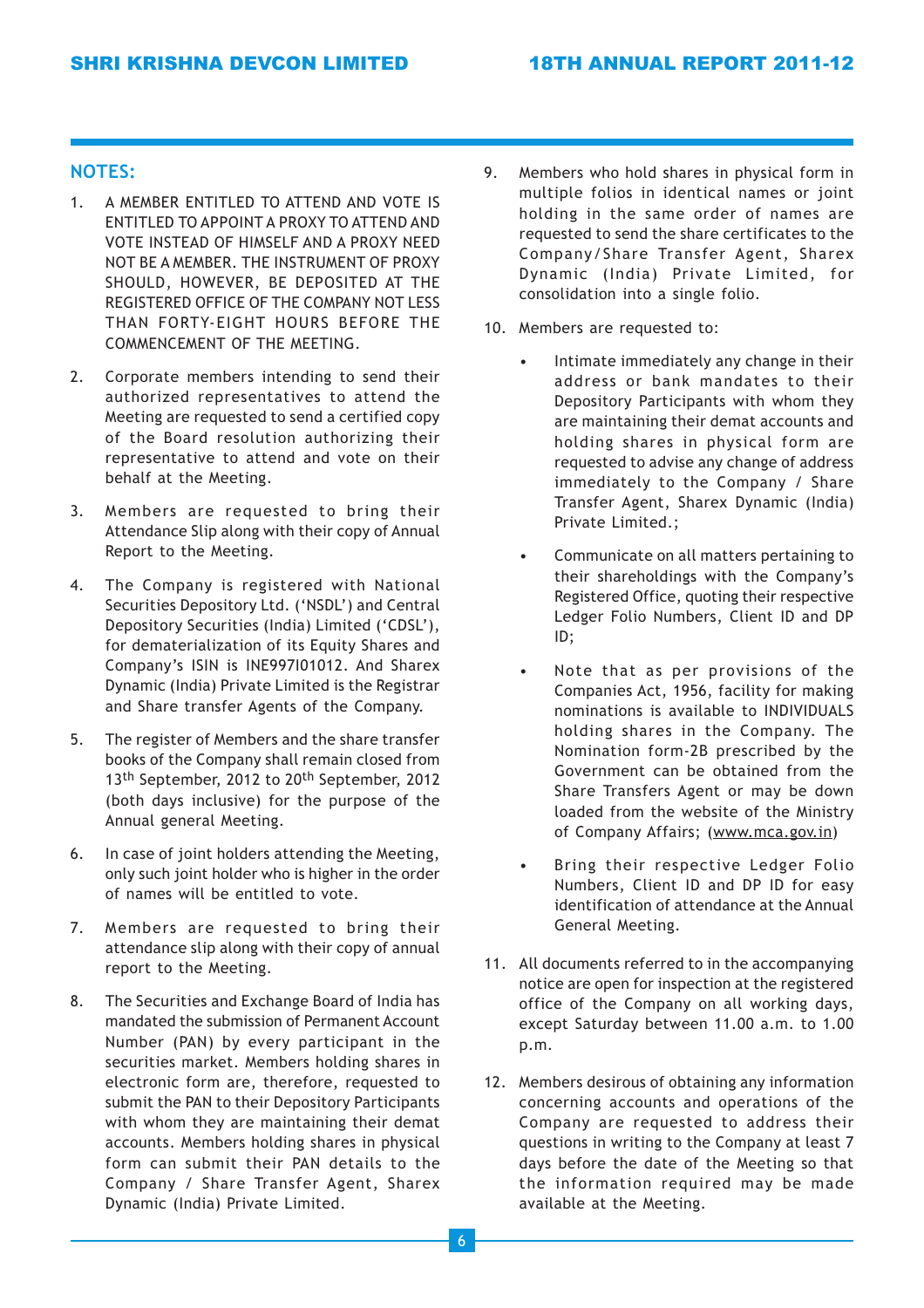## NOTES:

- 1. A MEMBER ENTITLED TO ATTEND AND VOTE IS ENTITLED TO APPOINT A PROXY TO ATTEND AND VOTE INSTEAD OF HIMSELF AND A PROXY NEED NOT BE A MEMBER. THE INSTRUMENT OF PROXY SHOULD, HOWEVER, BE DEPOSITED AT THE REGISTERED OFFICE OF THE COMPANY NOT LESS THAN FORTY-EIGHT HOURS BEFORE THE COMMENCEMENT OF THE MEETING.
- 2. Corporate members intending to send their authorized representatives to attend the Meeting are requested to send a certified copy of the Board resolution authorizing their representative to attend and vote on their behalf at the Meeting.
- 3. Members are requested to bring their Attendance Slip along with their copy of Annual Report to the Meeting.
- 4. The Company is registered with National Securities Depository Ltd. ('NSDL') and Central Depository Securities (India) Limited ('CDSL'), for dematerialization of its Equity Shares and Company's ISIN is INE997I01012. And Sharex Dynamic (India) Private Limited is the Registrar and Share transfer Agents of the Company.
- 5. The register of Members and the share transfer books of the Company shall remain closed from 13<sup>th</sup> September, 2012 to 20<sup>th</sup> September, 2012 (both days inclusive) for the purpose of the Annual general Meeting.
- 6. In case of joint holders attending the Meeting, only such joint holder who is higher in the order of names will be entitled to vote.
- 7. Members are requested to bring their attendance slip along with their copy of annual report to the Meeting.
- 8. The Securities and Exchange Board of India has mandated the submission of Permanent Account Number (PAN) by every participant in the securities market. Members holding shares in electronic form are, therefore, requested to submit the PAN to their Depository Participants with whom they are maintaining their demat accounts. Members holding shares in physical form can submit their PAN details to the Company / Share Transfer Agent, Sharex Dynamic (India) Private Limited.
- 9. Members who hold shares in physical form in multiple folios in identical names or joint holding in the same order of names are requested to send the share certificates to the Company/Share Transfer Agent, Sharex Dynamic (India) Private Limited, for consolidation into a single folio.
- 10. Members are requested to:
	- Intimate immediately any change in their address or bank mandates to their Depository Participants with whom they are maintaining their demat accounts and holding shares in physical form are requested to advise any change of address immediately to the Company / Share Transfer Agent, Sharex Dynamic (India) Private Limited.;
	- Communicate on all matters pertaining to their shareholdings with the Company's Registered Office, quoting their respective Ledger Folio Numbers, Client ID and DP ID;
	- Note that as per provisions of the Companies Act, 1956, facility for making nominations is available to INDIVIDUALS holding shares in the Company. The Nomination form-2B prescribed by the Government can be obtained from the Share Transfers Agent or may be down loaded from the website of the Ministry of Company Affairs; (www.mca.gov.in)
	- Bring their respective Ledger Folio Numbers, Client ID and DP ID for easy identification of attendance at the Annual General Meeting.
- 11. All documents referred to in the accompanying notice are open for inspection at the registered office of the Company on all working days, except Saturday between 11.00 a.m. to 1.00 p.m.
- 12. Members desirous of obtaining any information concerning accounts and operations of the Company are requested to address their questions in writing to the Company at least 7 days before the date of the Meeting so that the information required may be made available at the Meeting.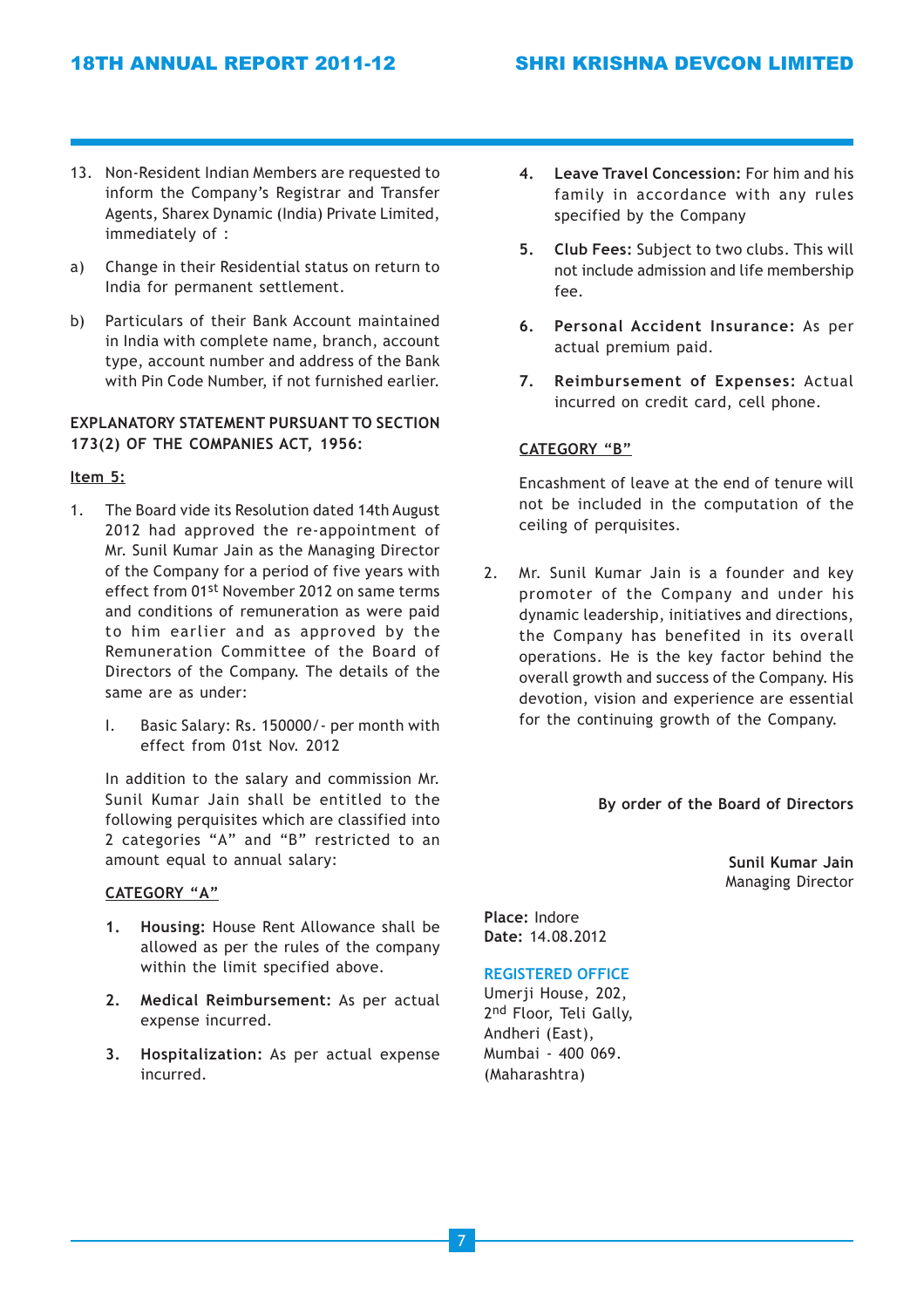- 13. Non-Resident Indian Members are requested to inform the Company's Registrar and Transfer Agents, Sharex Dynamic (India) Private Limited, immediately of :
- a) Change in their Residential status on return to India for permanent settlement.
- b) Particulars of their Bank Account maintained in India with complete name, branch, account type, account number and address of the Bank with Pin Code Number, if not furnished earlier.

## EXPLANATORY STATEMENT PURSUANT TO SECTION 173(2) OF THE COMPANIES ACT, 1956:

## Item 5:

- 1. The Board vide its Resolution dated 14th August 2012 had approved the re-appointment of Mr. Sunil Kumar Jain as the Managing Director of the Company for a period of five years with effect from 01st November 2012 on same terms and conditions of remuneration as were paid to him earlier and as approved by the Remuneration Committee of the Board of Directors of the Company. The details of the same are as under:
	- I. Basic Salary: Rs. 150000/- per month with effect from 01st Nov. 2012

In addition to the salary and commission Mr. Sunil Kumar Jain shall be entitled to the following perquisites which are classified into 2 categories "A" and "B" restricted to an amount equal to annual salary:

## CATEGORY "A"

- 1. Housing: House Rent Allowance shall be allowed as per the rules of the company within the limit specified above.
- 2. Medical Reimbursement: As per actual expense incurred.
- 3. Hospitalization: As per actual expense incurred.
- 4. Leave Travel Concession: For him and his family in accordance with any rules specified by the Company
- 5. Club Fees: Subject to two clubs. This will not include admission and life membership fee.
- 6. Personal Accident Insurance: As per actual premium paid.
- 7. Reimbursement of Expenses: Actual incurred on credit card, cell phone.

## CATEGORY "B"

Encashment of leave at the end of tenure will not be included in the computation of the ceiling of perquisites.

2. Mr. Sunil Kumar Jain is a founder and key promoter of the Company and under his dynamic leadership, initiatives and directions, the Company has benefited in its overall operations. He is the key factor behind the overall growth and success of the Company. His devotion, vision and experience are essential for the continuing growth of the Company.

#### By order of the Board of Directors

Sunil Kumar Jain Managing Director

Place: Indore Date: 14.08.2012

## REGISTERED OFFICE

Umerji House, 202, 2nd Floor, Teli Gally, Andheri (East), Mumbai - 400 069. (Maharashtra)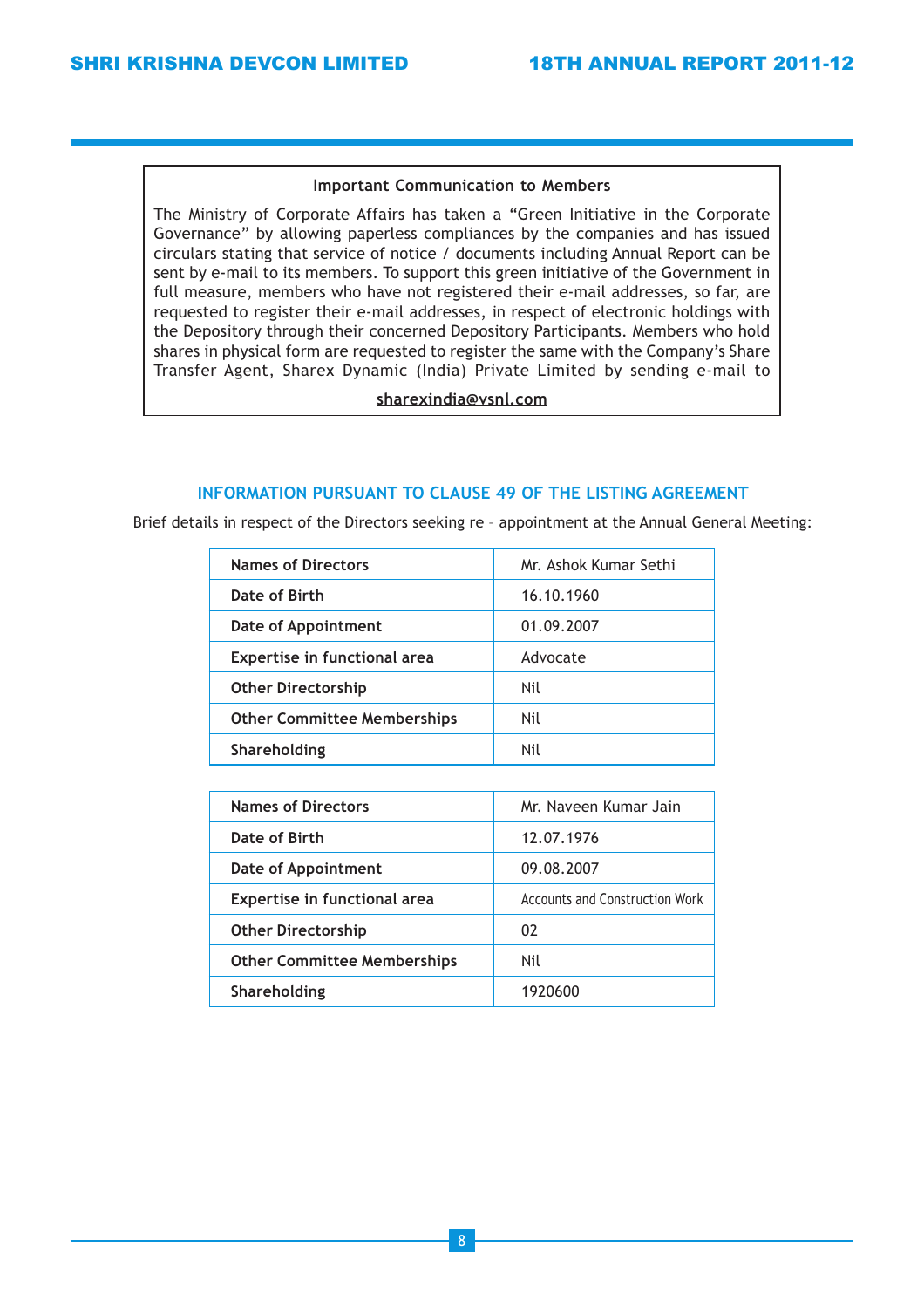#### Important Communication to Members

The Ministry of Corporate Affairs has taken a "Green Initiative in the Corporate Governance" by allowing paperless compliances by the companies and has issued circulars stating that service of notice / documents including Annual Report can be sent by e-mail to its members. To support this green initiative of the Government in full measure, members who have not registered their e-mail addresses, so far, are requested to register their e-mail addresses, in respect of electronic holdings with the Depository through their concerned Depository Participants. Members who hold shares in physical form are requested to register the same with the Company's Share Transfer Agent, Sharex Dynamic (India) Private Limited by sending e-mail to

sharexindia@vsnl.com

## INFORMATION PURSUANT TO CLAUSE 49 OF THE LISTING AGREEMENT

Brief details in respect of the Directors seeking re – appointment at the Annual General Meeting:

| Mr. Ashok Kumar Sethi |
|-----------------------|
| 16.10.1960            |
| 01.09.2007            |
| Advocate              |
| Nil                   |
| Nil                   |
| Nil                   |
|                       |

| <b>Names of Directors</b>           | Mr. Naveen Kumar Jain                 |  |
|-------------------------------------|---------------------------------------|--|
| Date of Birth                       | 12.07.1976                            |  |
| Date of Appointment                 | 09.08.2007                            |  |
| <b>Expertise in functional area</b> | <b>Accounts and Construction Work</b> |  |
| <b>Other Directorship</b>           | 02                                    |  |
| <b>Other Committee Memberships</b>  | Nil                                   |  |
| Shareholding                        | 1920600                               |  |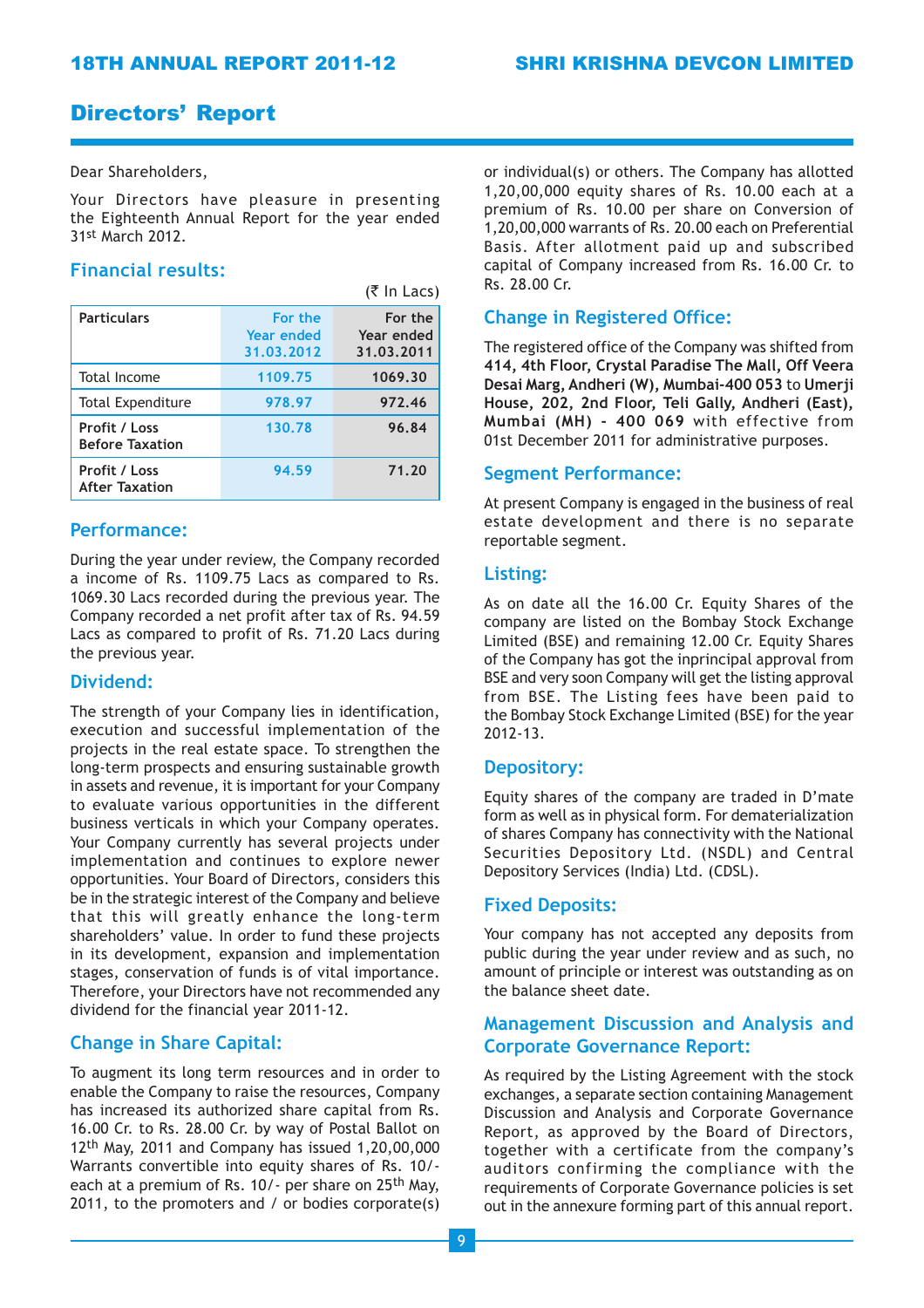## Directors' Report

## Dear Shareholders,

Your Directors have pleasure in presenting the Eighteenth Annual Report for the year ended 31st March 2012.

 $\sim$   $\sim$   $\sim$ 

## Financial results:

|                                         |                                     | $(S \parallel Ld(S))$               |
|-----------------------------------------|-------------------------------------|-------------------------------------|
| <b>Particulars</b>                      | For the<br>Year ended<br>31.03.2012 | For the<br>Year ended<br>31.03.2011 |
| Total Income                            | 1109.75                             | 1069.30                             |
| <b>Total Expenditure</b>                | 978.97                              | 972.46                              |
| Profit / Loss<br><b>Before Taxation</b> | 130.78                              | 96.84                               |
| Profit / Loss<br><b>After Taxation</b>  | 94.59                               | 71.20                               |

## Performance:

During the year under review, the Company recorded a income of Rs. 1109.75 Lacs as compared to Rs. 1069.30 Lacs recorded during the previous year. The Company recorded a net profit after tax of Rs. 94.59 Lacs as compared to profit of Rs. 71.20 Lacs during the previous year.

## Dividend:

The strength of your Company lies in identification, execution and successful implementation of the projects in the real estate space. To strengthen the long-term prospects and ensuring sustainable growth in assets and revenue, it is important for your Company to evaluate various opportunities in the different business verticals in which your Company operates. Your Company currently has several projects under implementation and continues to explore newer opportunities. Your Board of Directors, considers this be in the strategic interest of the Company and believe that this will greatly enhance the long-term shareholders' value. In order to fund these projects in its development, expansion and implementation stages, conservation of funds is of vital importance. Therefore, your Directors have not recommended any dividend for the financial year 2011-12.

## Change in Share Capital:

To augment its long term resources and in order to enable the Company to raise the resources, Company has increased its authorized share capital from Rs. 16.00 Cr. to Rs. 28.00 Cr. by way of Postal Ballot on 12th May, 2011 and Company has issued 1,20,00,000 Warrants convertible into equity shares of Rs. 10/ each at a premium of Rs. 10/- per share on 25<sup>th</sup> May, 2011, to the promoters and / or bodies corporate(s)

or individual(s) or others. The Company has allotted 1,20,00,000 equity shares of Rs. 10.00 each at a premium of Rs. 10.00 per share on Conversion of 1,20,00,000 warrants of Rs. 20.00 each on Preferential Basis. After allotment paid up and subscribed capital of Company increased from Rs. 16.00 Cr. to Rs. 28.00 Cr.

## Change in Registered Office:

The registered office of the Company was shifted from 414, 4th Floor, Crystal Paradise The Mall, Off Veera Desai Marg, Andheri (W), Mumbai-400 053 to Umerji House, 202, 2nd Floor, Teli Gally, Andheri (East), Mumbai (MH) - 400 069 with effective from 01st December 2011 for administrative purposes.

## Segment Performance:

At present Company is engaged in the business of real estate development and there is no separate reportable segment.

## Listing:

As on date all the 16.00 Cr. Equity Shares of the company are listed on the Bombay Stock Exchange Limited (BSE) and remaining 12.00 Cr. Equity Shares of the Company has got the inprincipal approval from BSE and very soon Company will get the listing approval from BSE. The Listing fees have been paid to the Bombay Stock Exchange Limited (BSE) for the year 2012-13.

## Depository:

Equity shares of the company are traded in D'mate form as well as in physical form. For dematerialization of shares Company has connectivity with the National Securities Depository Ltd. (NSDL) and Central Depository Services (India) Ltd. (CDSL).

## Fixed Deposits:

Your company has not accepted any deposits from public during the year under review and as such, no amount of principle or interest was outstanding as on the balance sheet date.

## Management Discussion and Analysis and Corporate Governance Report:

As required by the Listing Agreement with the stock exchanges, a separate section containing Management Discussion and Analysis and Corporate Governance Report, as approved by the Board of Directors, together with a certificate from the company's auditors confirming the compliance with the requirements of Corporate Governance policies is set out in the annexure forming part of this annual report.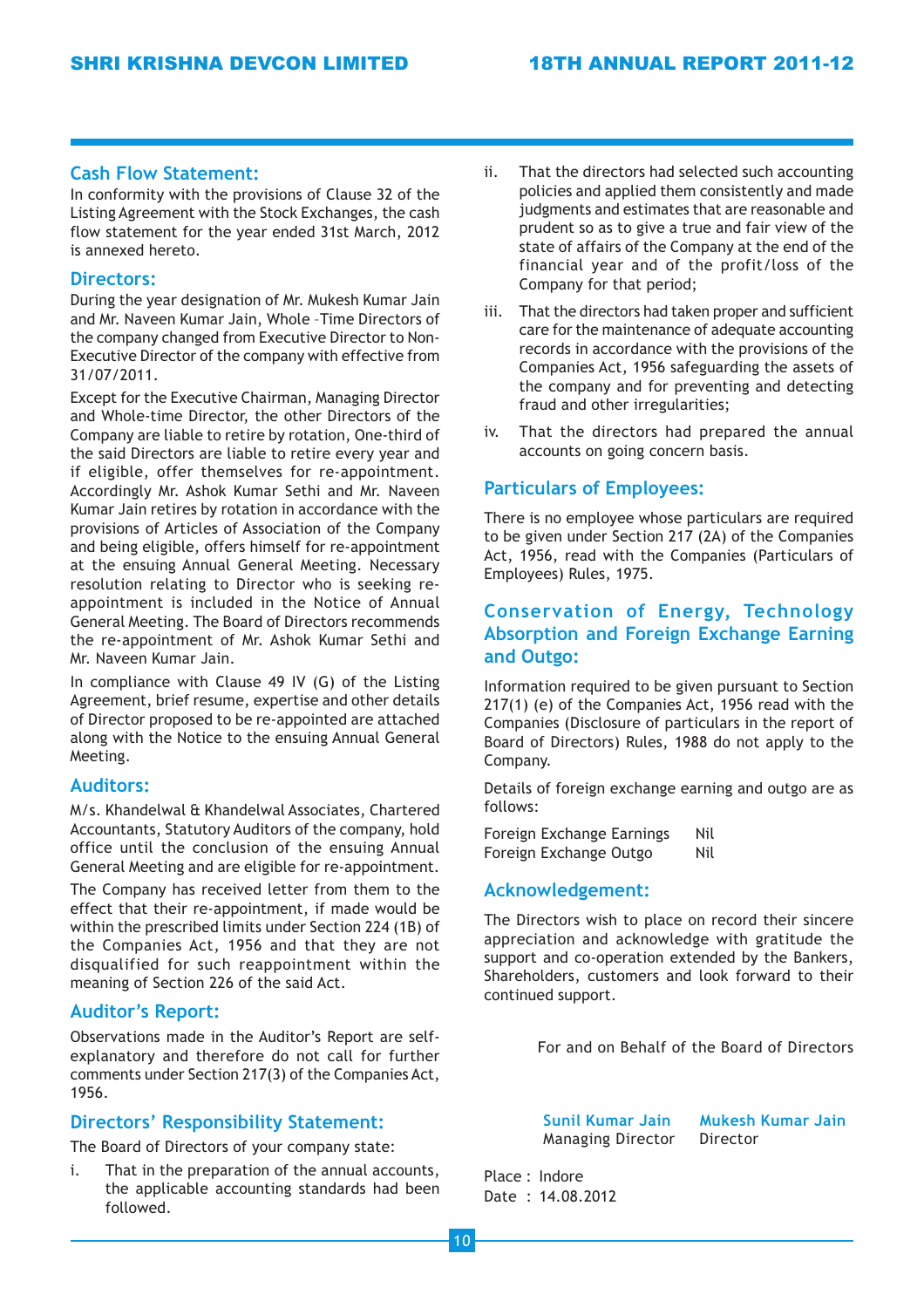## Cash Flow Statement:

In conformity with the provisions of Clause 32 of the Listing Agreement with the Stock Exchanges, the cash flow statement for the year ended 31st March, 2012 is annexed hereto.

## Directors:

During the year designation of Mr. Mukesh Kumar Jain and Mr. Naveen Kumar Jain, Whole –Time Directors of the company changed from Executive Director to Non-Executive Director of the company with effective from 31/07/2011.

Except for the Executive Chairman, Managing Director and Whole-time Director, the other Directors of the Company are liable to retire by rotation, One-third of the said Directors are liable to retire every year and if eligible, offer themselves for re-appointment. Accordingly Mr. Ashok Kumar Sethi and Mr. Naveen Kumar Jain retires by rotation in accordance with the provisions of Articles of Association of the Company and being eligible, offers himself for re-appointment at the ensuing Annual General Meeting. Necessary resolution relating to Director who is seeking reappointment is included in the Notice of Annual General Meeting. The Board of Directors recommends the re-appointment of Mr. Ashok Kumar Sethi and Mr. Naveen Kumar Jain.

In compliance with Clause 49 IV (G) of the Listing Agreement, brief resume, expertise and other details of Director proposed to be re-appointed are attached along with the Notice to the ensuing Annual General Meeting.

## Auditors:

M/s. Khandelwal & Khandelwal Associates, Chartered Accountants, Statutory Auditors of the company, hold office until the conclusion of the ensuing Annual General Meeting and are eligible for re-appointment.

The Company has received letter from them to the effect that their re-appointment, if made would be within the prescribed limits under Section 224 (1B) of the Companies Act, 1956 and that they are not disqualified for such reappointment within the meaning of Section 226 of the said Act.

## Auditor's Report:

Observations made in the Auditor's Report are selfexplanatory and therefore do not call for further comments under Section 217(3) of the Companies Act, 1956.

## Directors' Responsibility Statement:

The Board of Directors of your company state:

i. That in the preparation of the annual accounts, the applicable accounting standards had been followed.

- ii. That the directors had selected such accounting policies and applied them consistently and made judgments and estimates that are reasonable and prudent so as to give a true and fair view of the state of affairs of the Company at the end of the financial year and of the profit/loss of the Company for that period;
- iii. That the directors had taken proper and sufficient care for the maintenance of adequate accounting records in accordance with the provisions of the Companies Act, 1956 safeguarding the assets of the company and for preventing and detecting fraud and other irregularities;
- iv. That the directors had prepared the annual accounts on going concern basis.

## Particulars of Employees:

There is no employee whose particulars are required to be given under Section 217 (2A) of the Companies Act, 1956, read with the Companies (Particulars of Employees) Rules, 1975.

## Conservation of Energy, Technology Absorption and Foreign Exchange Earning and Outgo:

Information required to be given pursuant to Section 217(1) (e) of the Companies Act, 1956 read with the Companies (Disclosure of particulars in the report of Board of Directors) Rules, 1988 do not apply to the Company.

Details of foreign exchange earning and outgo are as follows:

Foreign Exchange Earnings Nil Foreign Exchange Outgo Nil

## Acknowledgement:

The Directors wish to place on record their sincere appreciation and acknowledge with gratitude the support and co-operation extended by the Bankers, Shareholders, customers and look forward to their continued support.

For and on Behalf of the Board of Directors

Managing Director Director

Sunil Kumar Jain Mukesh Kumar Jain

Place : Indore Date : 14.08.2012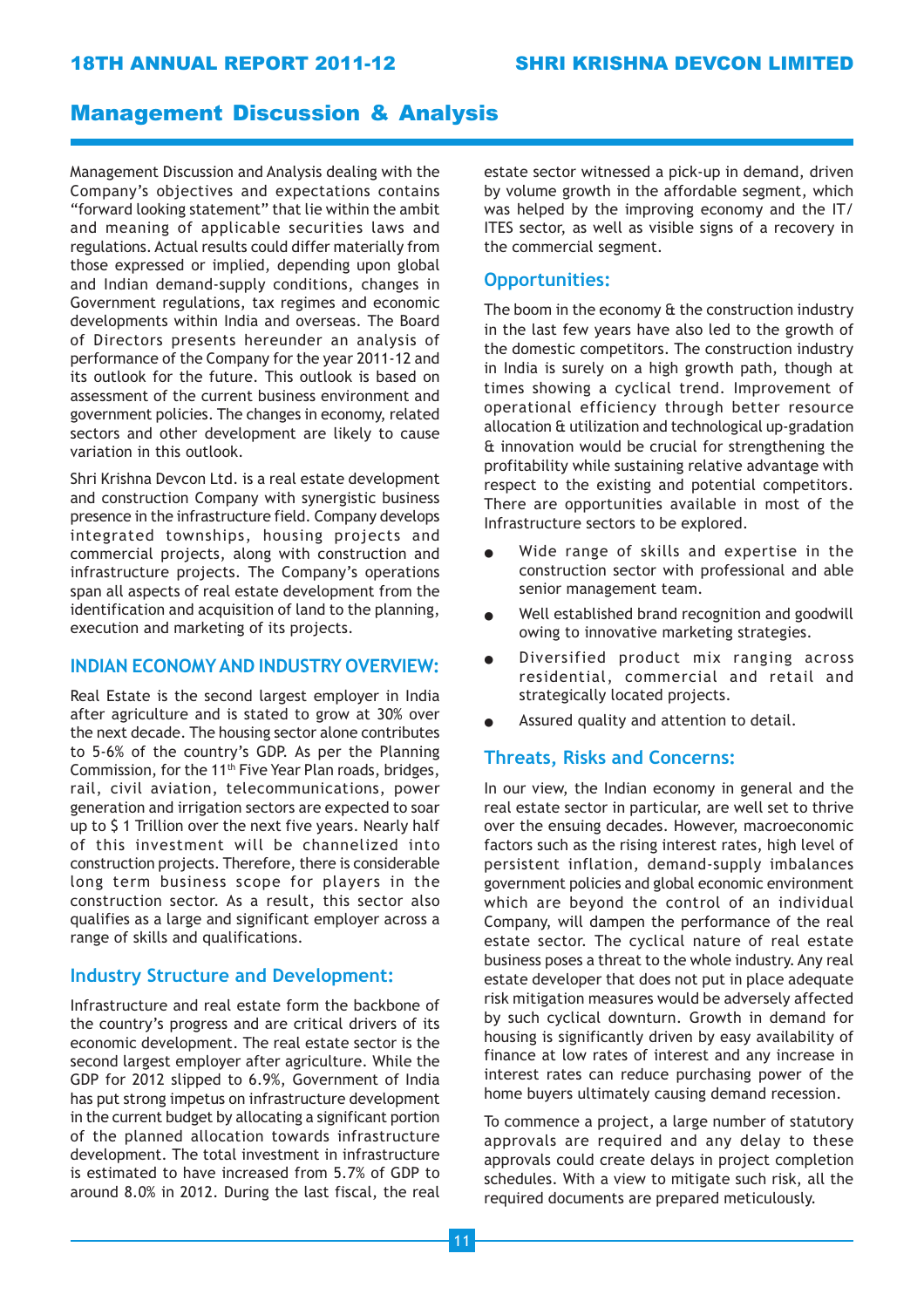## 18TH ANNUAL REPORT 2011-12 SHRI KRISHNA DEVCON LIMITED

## Management Discussion & Analysis

Management Discussion and Analysis dealing with the Company's objectives and expectations contains "forward looking statement" that lie within the ambit and meaning of applicable securities laws and regulations. Actual results could differ materially from those expressed or implied, depending upon global and Indian demand-supply conditions, changes in Government regulations, tax regimes and economic developments within India and overseas. The Board of Directors presents hereunder an analysis of performance of the Company for the year 2011-12 and its outlook for the future. This outlook is based on assessment of the current business environment and government policies. The changes in economy, related sectors and other development are likely to cause variation in this outlook.

Shri Krishna Devcon Ltd. is a real estate development and construction Company with synergistic business presence in the infrastructure field. Company develops integrated townships, housing projects and commercial projects, along with construction and infrastructure projects. The Company's operations span all aspects of real estate development from the identification and acquisition of land to the planning, execution and marketing of its projects.

#### INDIAN ECONOMY AND INDUSTRY OVERVIEW:

Real Estate is the second largest employer in India after agriculture and is stated to grow at 30% over the next decade. The housing sector alone contributes to 5-6% of the country's GDP. As per the Planning Commission, for the 11<sup>th</sup> Five Year Plan roads, bridges, rail, civil aviation, telecommunications, power generation and irrigation sectors are expected to soar up to \$ 1 Trillion over the next five years. Nearly half of this investment will be channelized into construction projects. Therefore, there is considerable long term business scope for players in the construction sector. As a result, this sector also qualifies as a large and significant employer across a range of skills and qualifications.

### Industry Structure and Development:

Infrastructure and real estate form the backbone of the country's progress and are critical drivers of its economic development. The real estate sector is the second largest employer after agriculture. While the GDP for 2012 slipped to 6.9%, Government of India has put strong impetus on infrastructure development in the current budget by allocating a significant portion of the planned allocation towards infrastructure development. The total investment in infrastructure is estimated to have increased from 5.7% of GDP to around 8.0% in 2012. During the last fiscal, the real estate sector witnessed a pick-up in demand, driven by volume growth in the affordable segment, which was helped by the improving economy and the IT/ ITES sector, as well as visible signs of a recovery in the commercial segment.

### Opportunities:

The boom in the economy & the construction industry in the last few years have also led to the growth of the domestic competitors. The construction industry in India is surely on a high growth path, though at times showing a cyclical trend. Improvement of operational efficiency through better resource allocation & utilization and technological up-gradation & innovation would be crucial for strengthening the profitability while sustaining relative advantage with respect to the existing and potential competitors. There are opportunities available in most of the Infrastructure sectors to be explored.

- Wide range of skills and expertise in the construction sector with professional and able senior management team.
- Well established brand recognition and goodwill owing to innovative marketing strategies.
- Diversified product mix ranging across residential, commercial and retail and strategically located projects.
- Assured quality and attention to detail.

### Threats, Risks and Concerns:

In our view, the Indian economy in general and the real estate sector in particular, are well set to thrive over the ensuing decades. However, macroeconomic factors such as the rising interest rates, high level of persistent inflation, demand-supply imbalances government policies and global economic environment which are beyond the control of an individual Company, will dampen the performance of the real estate sector. The cyclical nature of real estate business poses a threat to the whole industry. Any real estate developer that does not put in place adequate risk mitigation measures would be adversely affected by such cyclical downturn. Growth in demand for housing is significantly driven by easy availability of finance at low rates of interest and any increase in interest rates can reduce purchasing power of the home buyers ultimately causing demand recession.

To commence a project, a large number of statutory approvals are required and any delay to these approvals could create delays in project completion schedules. With a view to mitigate such risk, all the required documents are prepared meticulously.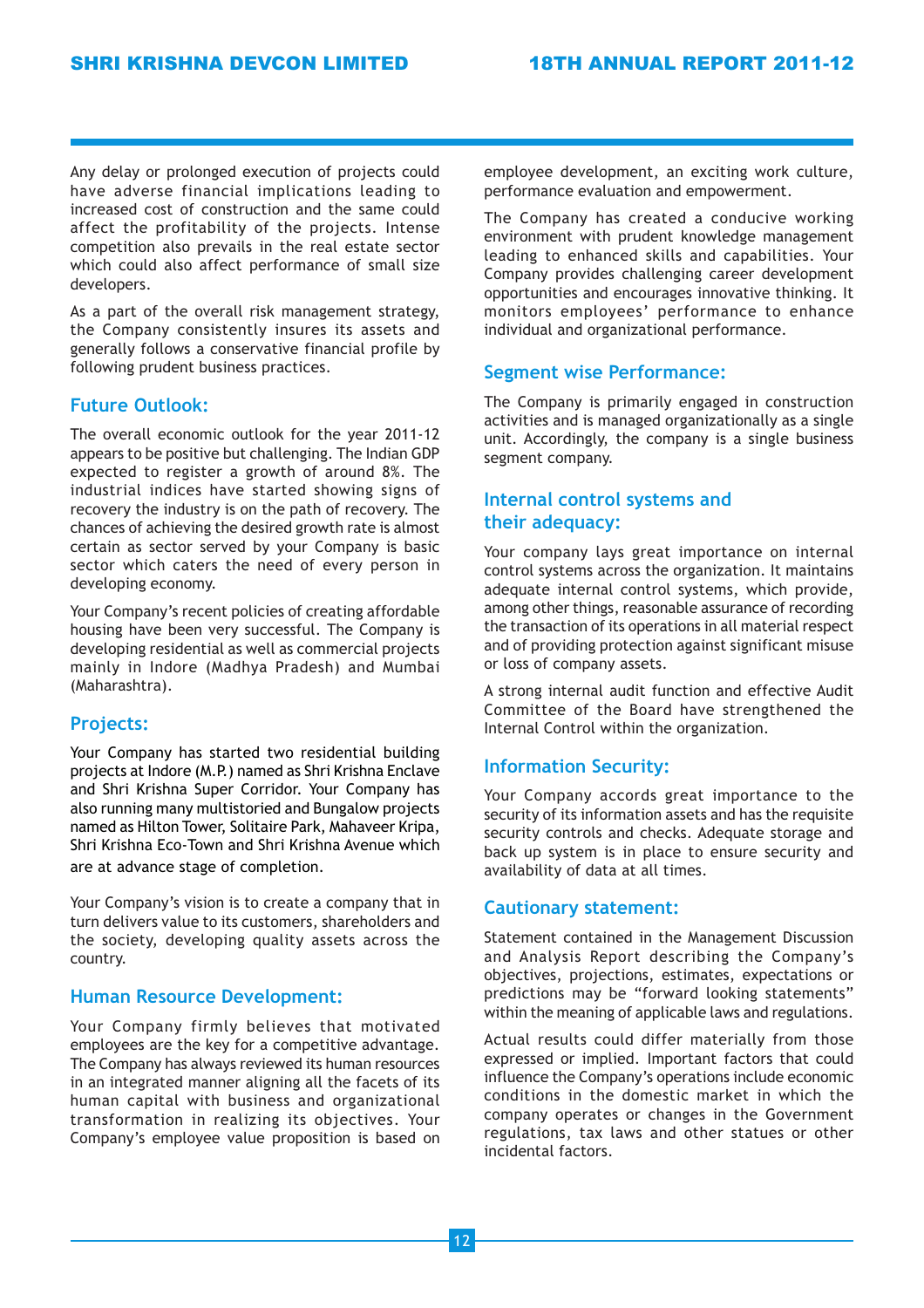Any delay or prolonged execution of projects could have adverse financial implications leading to increased cost of construction and the same could affect the profitability of the projects. Intense competition also prevails in the real estate sector which could also affect performance of small size developers.

As a part of the overall risk management strategy, the Company consistently insures its assets and generally follows a conservative financial profile by following prudent business practices.

## Future Outlook:

The overall economic outlook for the year 2011-12 appears to be positive but challenging. The Indian GDP expected to register a growth of around 8%. The industrial indices have started showing signs of recovery the industry is on the path of recovery. The chances of achieving the desired growth rate is almost certain as sector served by your Company is basic sector which caters the need of every person in developing economy.

Your Company's recent policies of creating affordable housing have been very successful. The Company is developing residential as well as commercial projects mainly in Indore (Madhya Pradesh) and Mumbai (Maharashtra).

## Projects:

Your Company has started two residential building projects at Indore (M.P.) named as Shri Krishna Enclave and Shri Krishna Super Corridor. Your Company has also running many multistoried and Bungalow projects named as Hilton Tower, Solitaire Park, Mahaveer Kripa, Shri Krishna Eco-Town and Shri Krishna Avenue which are at advance stage of completion.

Your Company's vision is to create a company that in turn delivers value to its customers, shareholders and the society, developing quality assets across the country.

## Human Resource Development:

Your Company firmly believes that motivated employees are the key for a competitive advantage. The Company has always reviewed its human resources in an integrated manner aligning all the facets of its human capital with business and organizational transformation in realizing its objectives. Your Company's employee value proposition is based on employee development, an exciting work culture, performance evaluation and empowerment.

The Company has created a conducive working environment with prudent knowledge management leading to enhanced skills and capabilities. Your Company provides challenging career development opportunities and encourages innovative thinking. It monitors employees' performance to enhance individual and organizational performance.

## Segment wise Performance:

The Company is primarily engaged in construction activities and is managed organizationally as a single unit. Accordingly, the company is a single business segment company.

## Internal control systems and their adequacy:

Your company lays great importance on internal control systems across the organization. It maintains adequate internal control systems, which provide, among other things, reasonable assurance of recording the transaction of its operations in all material respect and of providing protection against significant misuse or loss of company assets.

A strong internal audit function and effective Audit Committee of the Board have strengthened the Internal Control within the organization.

## Information Security:

Your Company accords great importance to the security of its information assets and has the requisite security controls and checks. Adequate storage and back up system is in place to ensure security and availability of data at all times.

## Cautionary statement:

Statement contained in the Management Discussion and Analysis Report describing the Company's objectives, projections, estimates, expectations or predictions may be "forward looking statements" within the meaning of applicable laws and regulations.

Actual results could differ materially from those expressed or implied. Important factors that could influence the Company's operations include economic conditions in the domestic market in which the company operates or changes in the Government regulations, tax laws and other statues or other incidental factors.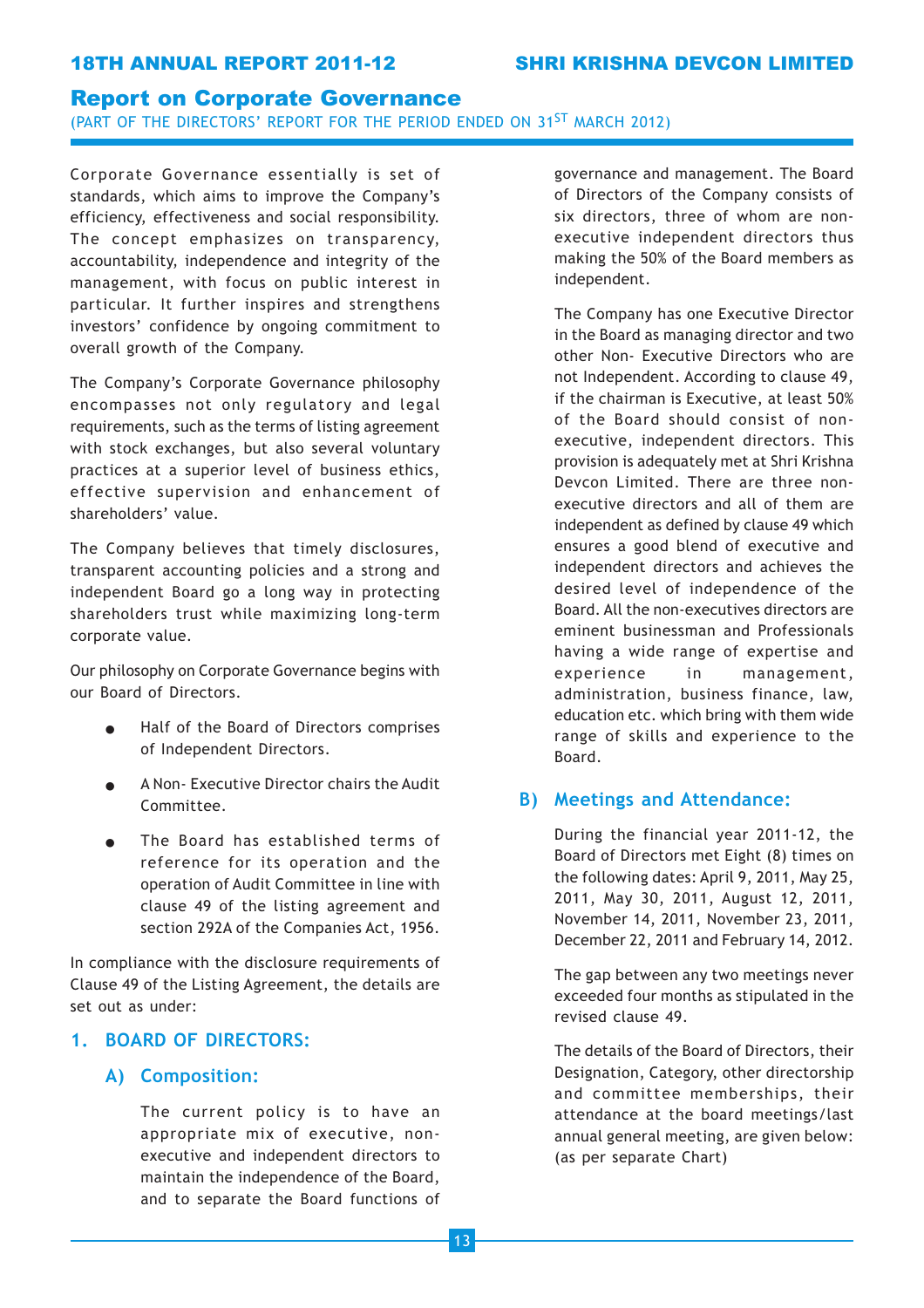### Report on Corporate Governance

(PART OF THE DIRECTORS' REPORT FOR THE PERIOD ENDED ON 31ST MARCH 2012)

Corporate Governance essentially is set of standards, which aims to improve the Company's efficiency, effectiveness and social responsibility. The concept emphasizes on transparency, accountability, independence and integrity of the management, with focus on public interest in particular. It further inspires and strengthens investors' confidence by ongoing commitment to overall growth of the Company.

The Company's Corporate Governance philosophy encompasses not only regulatory and legal requirements, such as the terms of listing agreement with stock exchanges, but also several voluntary practices at a superior level of business ethics, effective supervision and enhancement of shareholders' value.

The Company believes that timely disclosures, transparent accounting policies and a strong and independent Board go a long way in protecting shareholders trust while maximizing long-term corporate value.

Our philosophy on Corporate Governance begins with our Board of Directors.

- Half of the Board of Directors comprises of Independent Directors.
- A Non- Executive Director chairs the Audit Committee.
- The Board has established terms of reference for its operation and the operation of Audit Committee in line with clause 49 of the listing agreement and section 292A of the Companies Act, 1956.

In compliance with the disclosure requirements of Clause 49 of the Listing Agreement, the details are set out as under:

## 1. BOARD OF DIRECTORS:

## A) Composition:

The current policy is to have an appropriate mix of executive, nonexecutive and independent directors to maintain the independence of the Board, and to separate the Board functions of

governance and management. The Board of Directors of the Company consists of six directors, three of whom are nonexecutive independent directors thus making the 50% of the Board members as independent.

The Company has one Executive Director in the Board as managing director and two other Non- Executive Directors who are not Independent. According to clause 49, if the chairman is Executive, at least 50% of the Board should consist of nonexecutive, independent directors. This provision is adequately met at Shri Krishna Devcon Limited. There are three nonexecutive directors and all of them are independent as defined by clause 49 which ensures a good blend of executive and independent directors and achieves the desired level of independence of the Board. All the non-executives directors are eminent businessman and Professionals having a wide range of expertise and experience in management, administration, business finance, law, education etc. which bring with them wide range of skills and experience to the Board.

## B) Meetings and Attendance:

During the financial year 2011-12, the Board of Directors met Eight (8) times on the following dates: April 9, 2011, May 25, 2011, May 30, 2011, August 12, 2011, November 14, 2011, November 23, 2011, December 22, 2011 and February 14, 2012.

The gap between any two meetings never exceeded four months as stipulated in the revised clause 49.

The details of the Board of Directors, their Designation, Category, other directorship and committee memberships, their attendance at the board meetings/last annual general meeting, are given below: (as per separate Chart)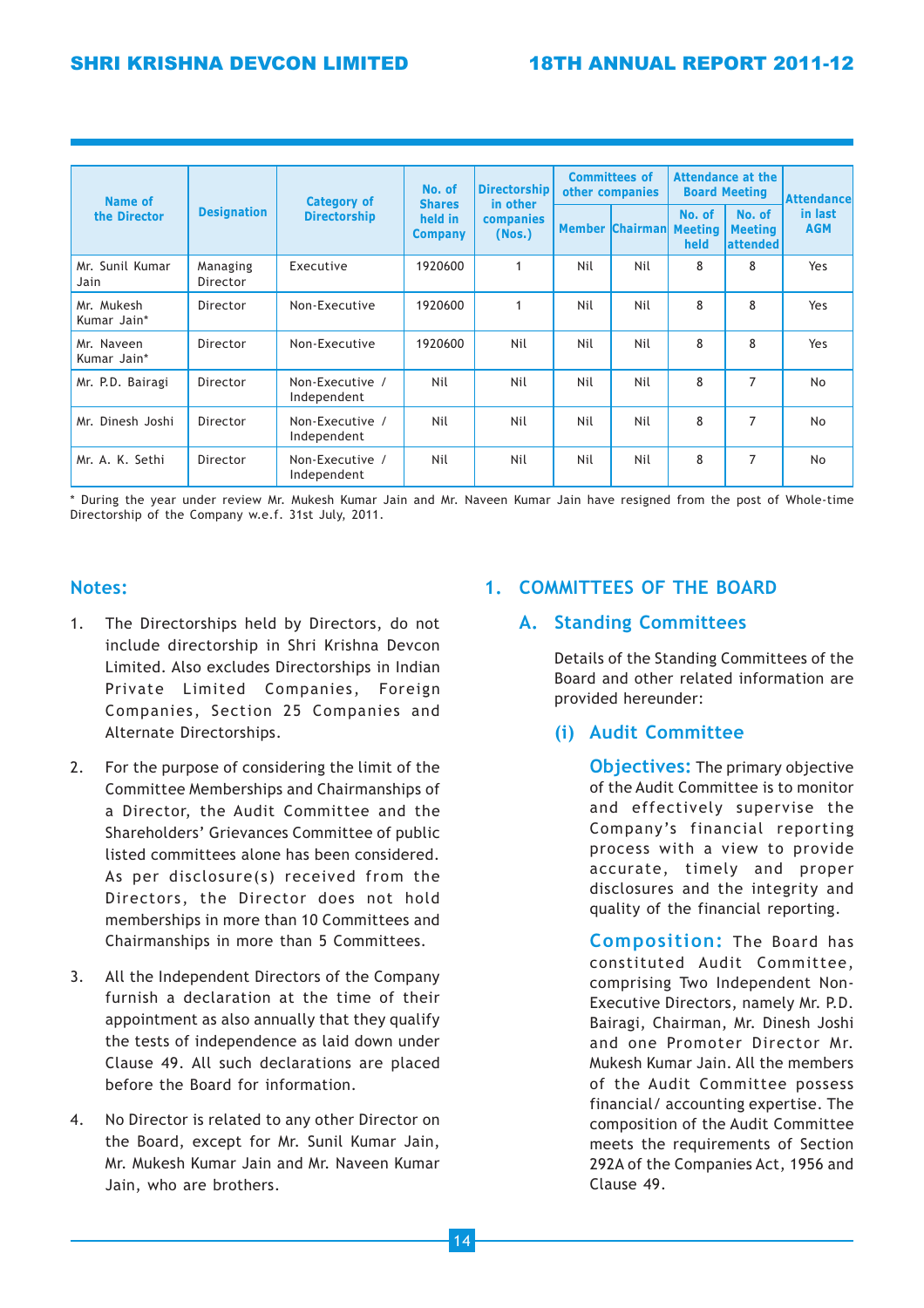| Name of<br>the Director   | <b>Category of</b><br><b>Designation</b><br><b>Directorship</b> |                                | No. of<br><b>Shares</b><br>held in<br><b>Company</b> | <b>Directorship</b><br>in other | <b>Committees of</b><br>other companies |     | <b>Attendance at the</b><br><b>Board Meeting</b> |   | Attendancel                    |
|---------------------------|-----------------------------------------------------------------|--------------------------------|------------------------------------------------------|---------------------------------|-----------------------------------------|-----|--------------------------------------------------|---|--------------------------------|
|                           |                                                                 |                                |                                                      |                                 |                                         |     | companies<br>(Nos.)                              |   | <b>Member Chairman Meeting</b> |
| Mr. Sunil Kumar<br>Jain   | Managing<br>Director                                            | Executive                      | 1920600                                              | 1                               | Nil                                     | Nil | 8                                                | 8 | Yes                            |
| Mr. Mukesh<br>Kumar Jain* | Director                                                        | Non-Executive                  | 1920600                                              | 1                               | Nil                                     | Nil | 8                                                | 8 | Yes                            |
| Mr. Naveen<br>Kumar Jain* | Director                                                        | Non-Executive                  | 1920600                                              | Nil                             | Nil                                     | Nil | 8                                                | 8 | Yes                            |
| Mr. P.D. Bairagi          | Director                                                        | Non-Executive /<br>Independent | Nil                                                  | Nil                             | Nil                                     | Nil | 8                                                | 7 | <b>No</b>                      |
| Mr. Dinesh Joshi          | Director                                                        | Non-Executive /<br>Independent | Nil                                                  | Nil                             | Nil                                     | Nil | 8                                                | 7 | No.                            |
| Mr. A. K. Sethi           | Director                                                        | Non-Executive /<br>Independent | Nil                                                  | Nil                             | Nil                                     | Nil | 8                                                | 7 | <b>No</b>                      |

\* During the year under review Mr. Mukesh Kumar Jain and Mr. Naveen Kumar Jain have resigned from the post of Whole-time Directorship of the Company w.e.f. 31st July, 2011.

## Notes:

- 1. The Directorships held by Directors, do not include directorship in Shri Krishna Devcon Limited. Also excludes Directorships in Indian Private Limited Companies, Foreign Companies, Section 25 Companies and Alternate Directorships.
- 2. For the purpose of considering the limit of the Committee Memberships and Chairmanships of a Director, the Audit Committee and the Shareholders' Grievances Committee of public listed committees alone has been considered. As per disclosure(s) received from the Directors, the Director does not hold memberships in more than 10 Committees and Chairmanships in more than 5 Committees.
- 3. All the Independent Directors of the Company furnish a declaration at the time of their appointment as also annually that they qualify the tests of independence as laid down under Clause 49. All such declarations are placed before the Board for information.
- 4. No Director is related to any other Director on the Board, except for Mr. Sunil Kumar Jain, Mr. Mukesh Kumar Jain and Mr. Naveen Kumar Jain, who are brothers.

## 1. COMMITTEES OF THE BOARD

## A. Standing Committees

Details of the Standing Committees of the Board and other related information are provided hereunder:

## (i) Audit Committee

**Objectives:** The primary objective of the Audit Committee is to monitor and effectively supervise the Company's financial reporting process with a view to provide accurate, timely and proper disclosures and the integrity and quality of the financial reporting.

Composition: The Board has constituted Audit Committee, comprising Two Independent Non-Executive Directors, namely Mr. P.D. Bairagi, Chairman, Mr. Dinesh Joshi and one Promoter Director Mr. Mukesh Kumar Jain. All the members of the Audit Committee possess financial/ accounting expertise. The composition of the Audit Committee meets the requirements of Section 292A of the Companies Act, 1956 and Clause 49.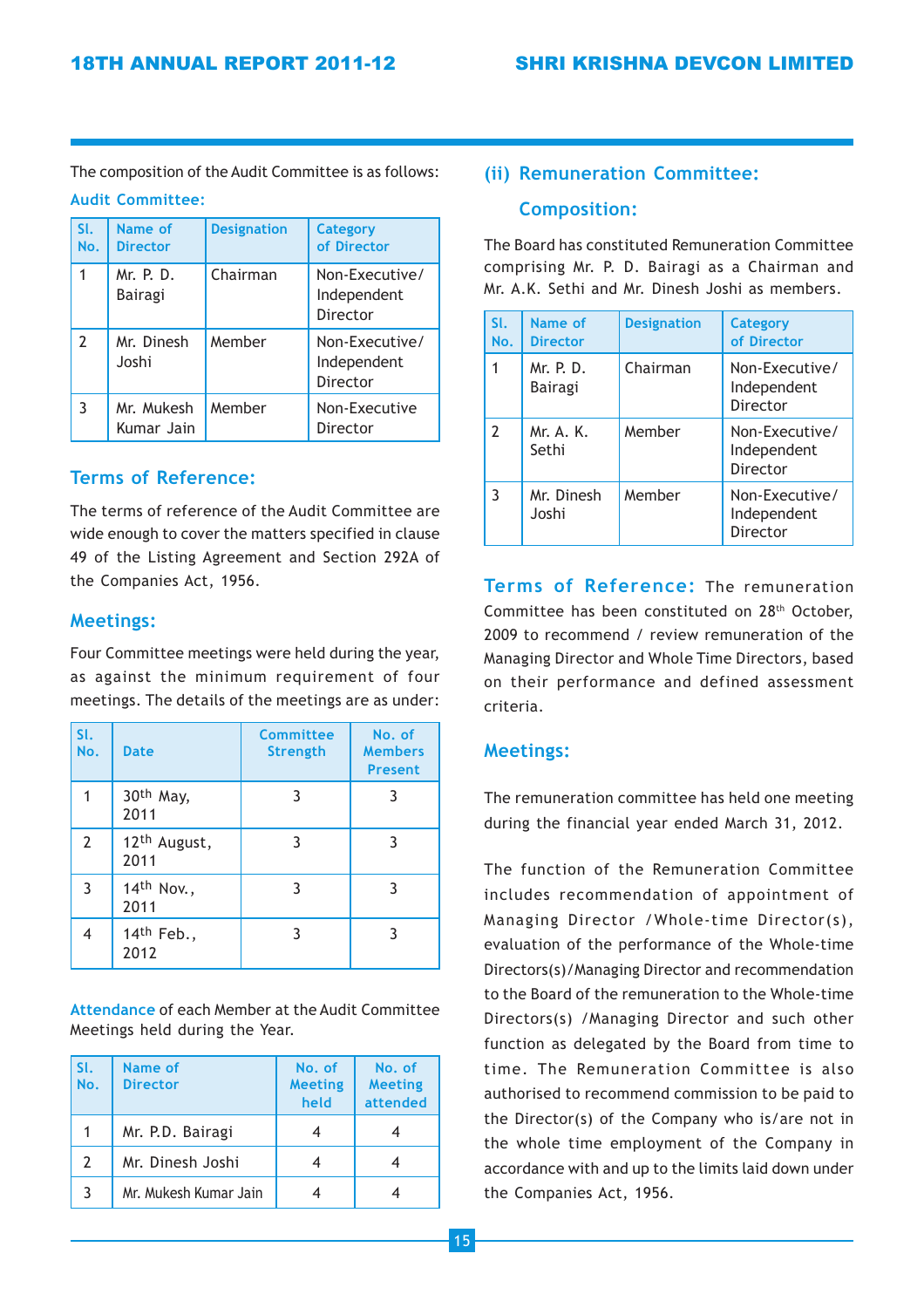The composition of the Audit Committee is as follows:

## Audit Committee:

| SI.<br>No.               | Name of<br><b>Director</b>  | <b>Designation</b> | <b>Category</b><br>of Director            |
|--------------------------|-----------------------------|--------------------|-------------------------------------------|
| 1                        | Mr. P. D.<br><b>Bairagi</b> | Chairman           | Non-Executive/<br>Independent<br>Director |
| $\overline{\phantom{a}}$ | Mr. Dinesh<br>Joshi         | Member             | Non-Executive/<br>Independent<br>Director |
| 3                        | Mr. Mukesh<br>Kumar Jain    | Member             | Non-Executive<br>Director                 |

## Terms of Reference:

The terms of reference of the Audit Committee are wide enough to cover the matters specified in clause 49 of the Listing Agreement and Section 292A of the Companies Act, 1956.

## Meetings:

Four Committee meetings were held during the year, as against the minimum requirement of four meetings. The details of the meetings are as under:

| SI.<br>No.     | <b>Date</b>                      | Committee<br><b>Strength</b> | No. of<br><b>Members</b><br><b>Present</b> |
|----------------|----------------------------------|------------------------------|--------------------------------------------|
|                | 30th May,<br>2011                | 3                            | 3                                          |
| $\overline{2}$ | 12 <sup>th</sup> August,<br>2011 | ٦                            | 3                                          |
| 3              | 14th Nov.,<br>2011               | 3                            | 3                                          |
| 4              | 14th Feb.,<br>2012               | 3                            | 3                                          |

Attendance of each Member at the Audit Committee Meetings held during the Year.

| l SI.<br>No. | Name of<br><b>Director</b> | No. of<br><b>Meeting</b><br>held | No. of<br><b>Meeting</b><br>attended |
|--------------|----------------------------|----------------------------------|--------------------------------------|
|              | Mr. P.D. Bairagi           |                                  |                                      |
| 2            | Mr. Dinesh Joshi           |                                  |                                      |
|              | Mr. Mukesh Kumar Jain      |                                  |                                      |

## (ii) Remuneration Committee:

## Composition:

The Board has constituted Remuneration Committee comprising Mr. P. D. Bairagi as a Chairman and Mr. A.K. Sethi and Mr. Dinesh Joshi as members.

| SI.<br>No.     | Name of<br><b>Director</b> | <b>Designation</b> | <b>Category</b><br>of Director            |
|----------------|----------------------------|--------------------|-------------------------------------------|
| 1              | Mr. P. D.<br>Bairagi       | Chairman           | Non-Executive/<br>Independent<br>Director |
| $\overline{2}$ | Mr. A. K.<br>Sethi         | Member             | Non-Executive/<br>Independent<br>Director |
| 3              | Mr. Dinesh<br>Joshi        | Member             | Non-Executive/<br>Independent<br>Director |

Terms of Reference: The remuneration Committee has been constituted on 28th October, 2009 to recommend / review remuneration of the Managing Director and Whole Time Directors, based on their performance and defined assessment criteria.

## Meetings:

The remuneration committee has held one meeting during the financial year ended March 31, 2012.

The function of the Remuneration Committee includes recommendation of appointment of Managing Director /Whole-time Director(s), evaluation of the performance of the Whole-time Directors(s)/Managing Director and recommendation to the Board of the remuneration to the Whole-time Directors(s) /Managing Director and such other function as delegated by the Board from time to time. The Remuneration Committee is also authorised to recommend commission to be paid to the Director(s) of the Company who is/are not in the whole time employment of the Company in accordance with and up to the limits laid down under the Companies Act, 1956.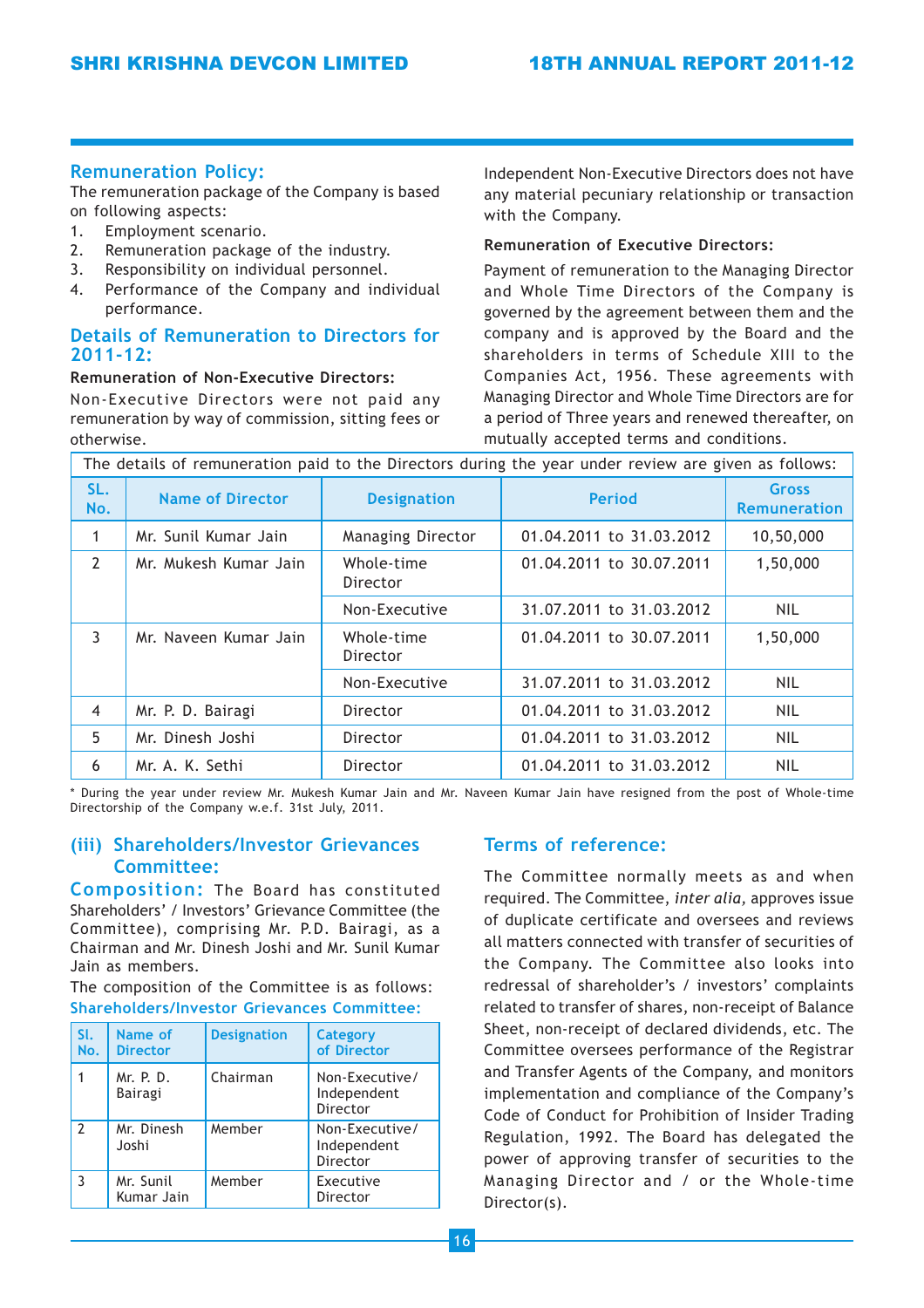## Remuneration Policy:

The remuneration package of the Company is based on following aspects:

- 1. Employment scenario.
- 2. Remuneration package of the industry.
- 3. Responsibility on individual personnel.
- 4. Performance of the Company and individual performance.

## Details of Remuneration to Directors for 2011-12:

#### Remuneration of Non-Executive Directors:

Non-Executive Directors were not paid any remuneration by way of commission, sitting fees or otherwise.

Independent Non-Executive Directors does not have any material pecuniary relationship or transaction with the Company.

### Remuneration of Executive Directors:

Payment of remuneration to the Managing Director and Whole Time Directors of the Company is governed by the agreement between them and the company and is approved by the Board and the shareholders in terms of Schedule XIII to the Companies Act, 1956. These agreements with Managing Director and Whole Time Directors are for a period of Three years and renewed thereafter, on mutually accepted terms and conditions.

| The details of remuneration paid to the Directors during the year under review are given as follows: |                         |                        |                          |                                     |
|------------------------------------------------------------------------------------------------------|-------------------------|------------------------|--------------------------|-------------------------------------|
| SL.<br>No.                                                                                           | <b>Name of Director</b> | <b>Designation</b>     | <b>Period</b>            | <b>Gross</b><br><b>Remuneration</b> |
| 1                                                                                                    | Mr. Sunil Kumar Jain    | Managing Director      | 01.04.2011 to 31.03.2012 | 10,50,000                           |
| $\overline{2}$                                                                                       | Mr. Mukesh Kumar Jain   | Whole-time<br>Director | 01.04.2011 to 30.07.2011 | 1,50,000                            |
|                                                                                                      |                         | Non-Executive          | 31.07.2011 to 31.03.2012 | <b>NIL</b>                          |
| 3                                                                                                    | Mr. Naveen Kumar Jain   | Whole-time<br>Director | 01.04.2011 to 30.07.2011 | 1,50,000                            |
|                                                                                                      |                         | Non-Executive          | 31.07.2011 to 31.03.2012 | <b>NIL</b>                          |
| $\overline{4}$                                                                                       | Mr. P. D. Bairagi       | Director               | 01.04.2011 to 31.03.2012 | <b>NIL</b>                          |
| 5                                                                                                    | Mr. Dinesh Joshi        | Director               | 01.04.2011 to 31.03.2012 | <b>NIL</b>                          |
| 6                                                                                                    | Mr. A. K. Sethi         | Director               | 01.04.2011 to 31.03.2012 | <b>NIL</b>                          |

\* During the year under review Mr. Mukesh Kumar Jain and Mr. Naveen Kumar Jain have resigned from the post of Whole-time Directorship of the Company w.e.f. 31st July, 2011.

## (iii) Shareholders/Investor Grievances Committee:

Composition: The Board has constituted Shareholders' / Investors' Grievance Committee (the Committee), comprising Mr. P.D. Bairagi, as a Chairman and Mr. Dinesh Joshi and Mr. Sunil Kumar Jain as members.

The composition of the Committee is as follows: Shareholders/Investor Grievances Committee:

| SI.<br>No.     | Name of<br><b>Director</b>  | <b>Designation</b> | <b>Category</b><br>of Director            |
|----------------|-----------------------------|--------------------|-------------------------------------------|
|                | Mr. P. D.<br><b>Bairagi</b> | Chairman           | Non-Executive/<br>Independent<br>Director |
| $\overline{2}$ | Mr. Dinesh<br>Joshi         | Member             | Non-Executive/<br>Independent<br>Director |
| 3              | Mr. Sunil<br>Kumar Jain     | Member             | Executive<br>Director                     |

## Terms of reference:

The Committee normally meets as and when required. The Committee, inter alia, approves issue of duplicate certificate and oversees and reviews all matters connected with transfer of securities of the Company. The Committee also looks into redressal of shareholder's / investors' complaints related to transfer of shares, non-receipt of Balance Sheet, non-receipt of declared dividends, etc. The Committee oversees performance of the Registrar and Transfer Agents of the Company, and monitors implementation and compliance of the Company's Code of Conduct for Prohibition of Insider Trading Regulation, 1992. The Board has delegated the power of approving transfer of securities to the Managing Director and / or the Whole-time Director(s).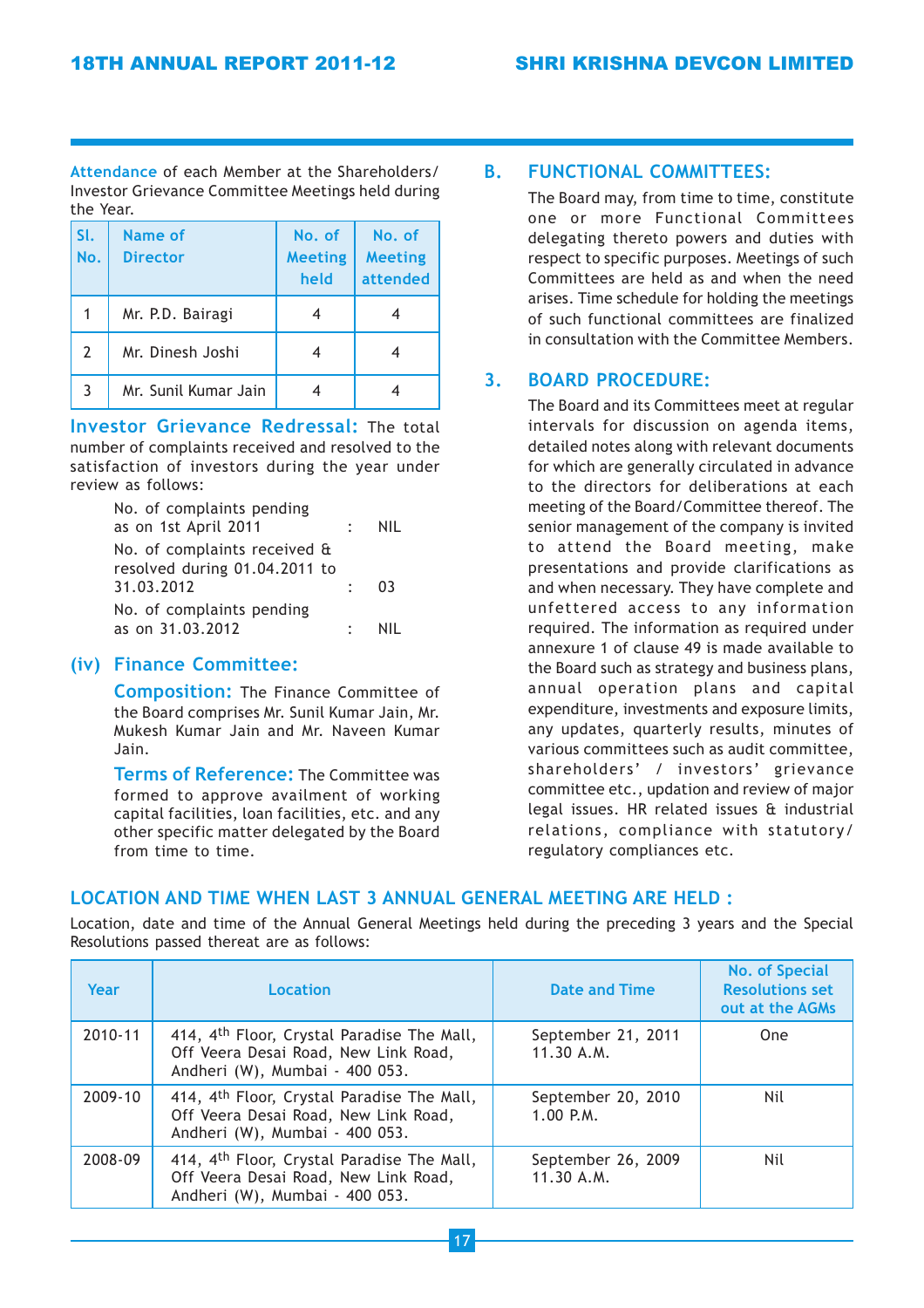Attendance of each Member at the Shareholders/ Investor Grievance Committee Meetings held during the Year.

| SI.<br>No.     | Name of<br><b>Director</b> | No. of<br><b>Meeting</b><br>held | No. of<br><b>Meeting</b><br>attended |
|----------------|----------------------------|----------------------------------|--------------------------------------|
|                | Mr. P.D. Bairagi           |                                  |                                      |
| $\overline{2}$ | Mr. Dinesh Joshi           |                                  |                                      |
| 3              | Mr. Sunil Kumar Jain       |                                  |                                      |

Investor Grievance Redressal: The total number of complaints received and resolved to the satisfaction of investors during the year under review as follows:

| No. of complaints pending     |           |      |
|-------------------------------|-----------|------|
| as on 1st April 2011          |           | NII  |
| No. of complaints received &  |           |      |
| resolved during 01.04.2011 to |           |      |
| 31.03.2012                    | $\bullet$ | - 03 |
| No. of complaints pending     |           |      |
| as on 31.03.2012              |           | NII  |

## (iv) Finance Committee:

Composition: The Finance Committee of the Board comprises Mr. Sunil Kumar Jain, Mr. Mukesh Kumar Jain and Mr. Naveen Kumar Jain.

Terms of Reference: The Committee was formed to approve availment of working capital facilities, loan facilities, etc. and any other specific matter delegated by the Board from time to time.

## B. FUNCTIONAL COMMITTEES:

The Board may, from time to time, constitute one or more Functional Committees delegating thereto powers and duties with respect to specific purposes. Meetings of such Committees are held as and when the need arises. Time schedule for holding the meetings of such functional committees are finalized in consultation with the Committee Members.

## 3. BOARD PROCEDURE:

The Board and its Committees meet at regular intervals for discussion on agenda items, detailed notes along with relevant documents for which are generally circulated in advance to the directors for deliberations at each meeting of the Board/Committee thereof. The senior management of the company is invited to attend the Board meeting, make presentations and provide clarifications as and when necessary. They have complete and unfettered access to any information required. The information as required under annexure 1 of clause 49 is made available to the Board such as strategy and business plans, annual operation plans and capital expenditure, investments and exposure limits, any updates, quarterly results, minutes of various committees such as audit committee, shareholders' / investors' grievance committee etc., updation and review of major legal issues. HR related issues & industrial relations, compliance with statutory/ regulatory compliances etc.

## LOCATION AND TIME WHEN LAST 3 ANNUAL GENERAL MEETING ARE HELD :

Location, date and time of the Annual General Meetings held during the preceding 3 years and the Special Resolutions passed thereat are as follows:

| Year    | Location                                                                                                             | <b>Date and Time</b>             | <b>No. of Special</b><br><b>Resolutions set</b><br>out at the AGMs |
|---------|----------------------------------------------------------------------------------------------------------------------|----------------------------------|--------------------------------------------------------------------|
| 2010-11 | 414, 4th Floor, Crystal Paradise The Mall,<br>Off Veera Desai Road, New Link Road,<br>Andheri (W), Mumbai - 400 053. | September 21, 2011<br>11.30 A.M. | <b>One</b>                                                         |
| 2009-10 | 414, 4th Floor, Crystal Paradise The Mall,<br>Off Veera Desai Road, New Link Road,<br>Andheri (W), Mumbai - 400 053. | September 20, 2010<br>1.00 P.M.  | Nil                                                                |
| 2008-09 | 414, 4th Floor, Crystal Paradise The Mall,<br>Off Veera Desai Road, New Link Road,<br>Andheri (W), Mumbai - 400 053. | September 26, 2009<br>11.30 A.M. | Nil                                                                |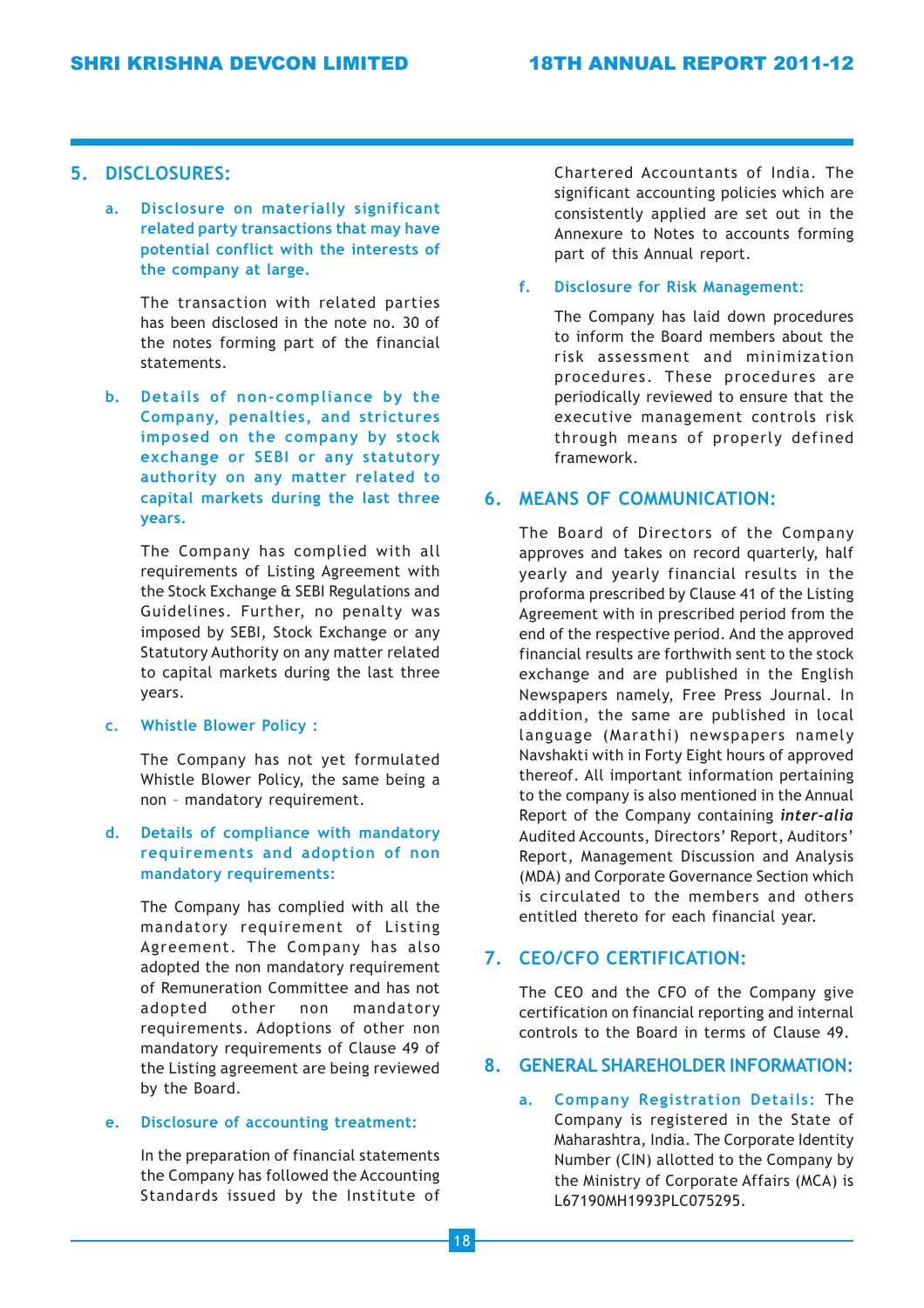## 5. DISCLOSURES:

a. Disclosure on materially significant related party transactions that may have potential conflict with the interests of the company at large.

> The transaction with related parties has been disclosed in the note no. 30 of the notes forming part of the financial statements.

b. Details of non-compliance by the Company, penalties, and strictures imposed on the company by stock exchange or SEBI or any statutory authority on any matter related to capital markets during the last three years.

The Company has complied with all requirements of Listing Agreement with the Stock Exchange & SEBI Regulations and Guidelines. Further, no penalty was imposed by SEBI, Stock Exchange or any Statutory Authority on any matter related to capital markets during the last three years.

c. Whistle Blower Policy :

The Company has not yet formulated Whistle Blower Policy, the same being a non – mandatory requirement.

d. Details of compliance with mandatory requirements and adoption of non mandatory requirements:

The Company has complied with all the mandatory requirement of Listing Agreement. The Company has also adopted the non mandatory requirement of Remuneration Committee and has not adopted other non mandatory requirements. Adoptions of other non mandatory requirements of Clause 49 of the Listing agreement are being reviewed by the Board.

### e. Disclosure of accounting treatment:

In the preparation of financial statements the Company has followed the Accounting Standards issued by the Institute of Chartered Accountants of India. The significant accounting policies which are consistently applied are set out in the Annexure to Notes to accounts forming part of this Annual report.

#### f. Disclosure for Risk Management:

The Company has laid down procedures to inform the Board members about the risk assessment and minimization procedures. These procedures are periodically reviewed to ensure that the executive management controls risk through means of properly defined framework.

## 6. MEANS OF COMMUNICATION:

The Board of Directors of the Company approves and takes on record quarterly, half yearly and yearly financial results in the proforma prescribed by Clause 41 of the Listing Agreement with in prescribed period from the end of the respective period. And the approved financial results are forthwith sent to the stock exchange and are published in the English Newspapers namely, Free Press Journal. In addition, the same are published in local language (Marathi) newspapers namely Navshakti with in Forty Eight hours of approved thereof. All important information pertaining to the company is also mentioned in the Annual Report of the Company containing inter-alia Audited Accounts, Directors' Report, Auditors' Report, Management Discussion and Analysis (MDA) and Corporate Governance Section which is circulated to the members and others entitled thereto for each financial year.

## 7. CEO/CFO CERTIFICATION:

The CEO and the CFO of the Company give certification on financial reporting and internal controls to the Board in terms of Clause 49.

## 8. GENERAL SHAREHOLDER INFORMATION:

a. Company Registration Details: The Company is registered in the State of Maharashtra, India. The Corporate Identity Number (CIN) allotted to the Company by the Ministry of Corporate Affairs (MCA) is L67190MH1993PLC075295.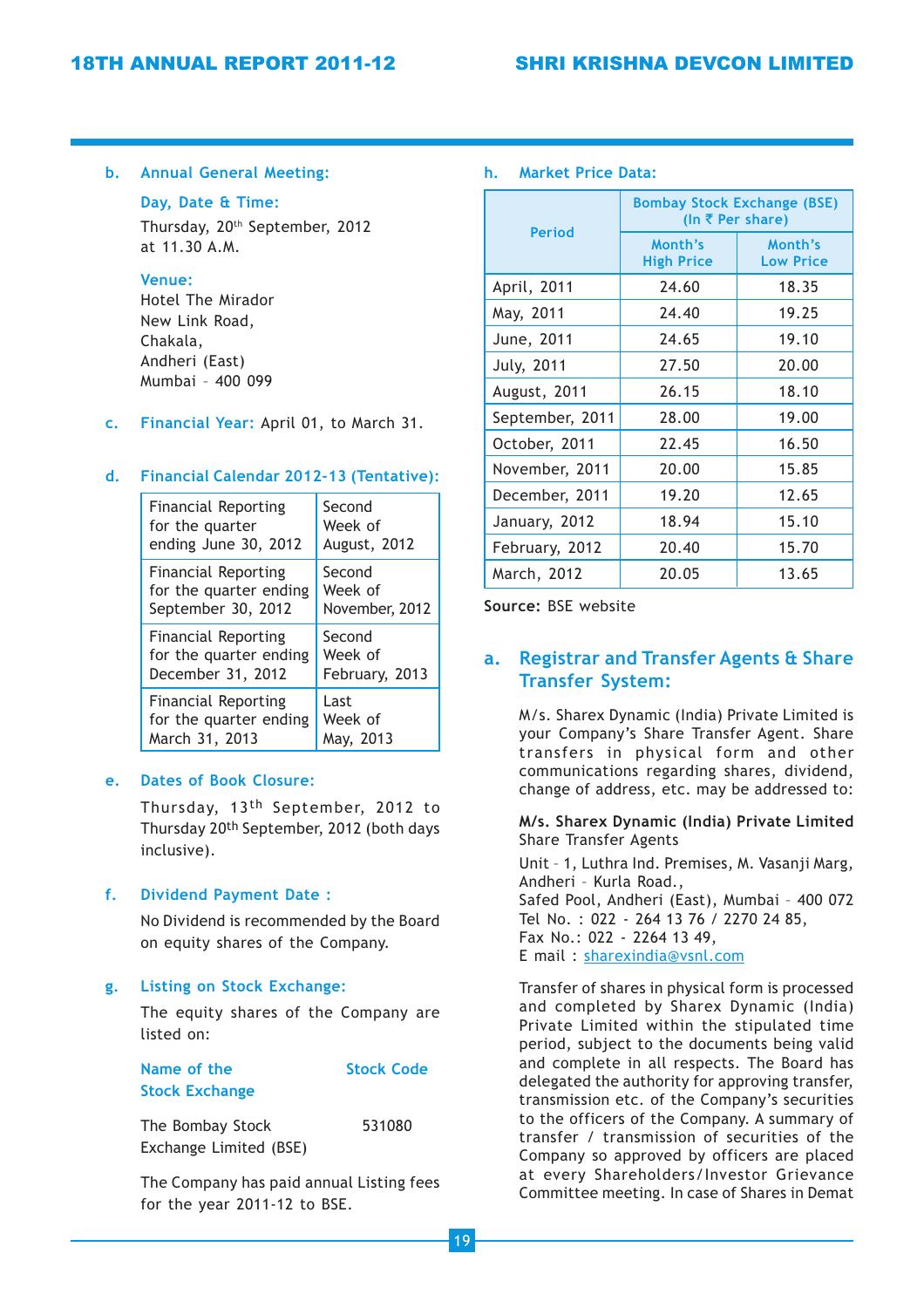#### b. Annual General Meeting:

#### Day, Date & Time:

Thursday, 20th September, 2012 at 11.30 A.M.

#### Venue:

Hotel The Mirador New Link Road, Chakala, Andheri (East) Mumbai – 400 099

c. Financial Year: April 01, to March 31.

#### d. Financial Calendar 2012-13 (Tentative):

| <b>Financial Reporting</b> | Second         |
|----------------------------|----------------|
| for the quarter            | Week of        |
| ending June 30, 2012       | August, 2012   |
| <b>Financial Reporting</b> | Second         |
| for the quarter ending     | Week of        |
| September 30, 2012         | November, 2012 |
| <b>Financial Reporting</b> | Second         |
| for the quarter ending     | Week of        |
| December 31, 2012          | February, 2013 |
| <b>Financial Reporting</b> | Last           |
| for the quarter ending     | Week of        |
| March 31, 2013             | May, 2013      |

## e. Dates of Book Closure:

Thursday, 13th September, 2012 to Thursday 20th September, 2012 (both days inclusive).

## f. Dividend Payment Date :

No Dividend is recommended by the Board on equity shares of the Company.

#### g. Listing on Stock Exchange:

The equity shares of the Company are listed on:

| Name of the           | <b>Stock Code</b> |
|-----------------------|-------------------|
| <b>Stock Exchange</b> |                   |

| The Bombay Stock       | 531080 |
|------------------------|--------|
| Exchange Limited (BSE) |        |

The Company has paid annual Listing fees for the year 2011-12 to BSE.

#### h. Market Price Data:

|                   | <b>Bombay Stock Exchange (BSE)</b><br>(In ₹ Per share) |                             |  |  |
|-------------------|--------------------------------------------------------|-----------------------------|--|--|
| <b>Period</b>     | Month's<br><b>High Price</b>                           | Month's<br><b>Low Price</b> |  |  |
| April, 2011       | 24.60                                                  | 18.35                       |  |  |
| May, 2011         | 24.40                                                  | 19.25                       |  |  |
| June, 2011        | 24.65                                                  | 19.10                       |  |  |
| <b>July, 2011</b> | 27.50                                                  | 20.00                       |  |  |
| August, 2011      | 26.15                                                  | 18.10                       |  |  |
| September, 2011   | 28.00                                                  | 19.00                       |  |  |
| October, 2011     | 22.45                                                  | 16.50                       |  |  |
| November, 2011    | 20.00                                                  | 15.85                       |  |  |
| December, 2011    | 19.20                                                  | 12.65                       |  |  |
| January, 2012     | 18.94                                                  | 15.10                       |  |  |
| February, 2012    | 20.40                                                  | 15.70                       |  |  |
| March, 2012       | 20.05                                                  | 13.65                       |  |  |

Source: BSE website

## a. Registrar and Transfer Agents & Share Transfer System:

M/s. Sharex Dynamic (India) Private Limited is your Company's Share Transfer Agent. Share transfers in physical form and other communications regarding shares, dividend, change of address, etc. may be addressed to:

#### M/s. Sharex Dynamic (India) Private Limited Share Transfer Agents

Unit – 1, Luthra Ind. Premises, M. Vasanji Marg, Andheri – Kurla Road., Safed Pool, Andheri (East), Mumbai – 400 072 Tel No. : 022 - 264 13 76 / 2270 24 85, Fax No.: 022 - 2264 13 49, E mail : sharexindia@vsnl.com

Transfer of shares in physical form is processed and completed by Sharex Dynamic (India) Private Limited within the stipulated time period, subject to the documents being valid and complete in all respects. The Board has delegated the authority for approving transfer, transmission etc. of the Company's securities to the officers of the Company. A summary of transfer / transmission of securities of the Company so approved by officers are placed at every Shareholders/Investor Grievance Committee meeting. In case of Shares in Demat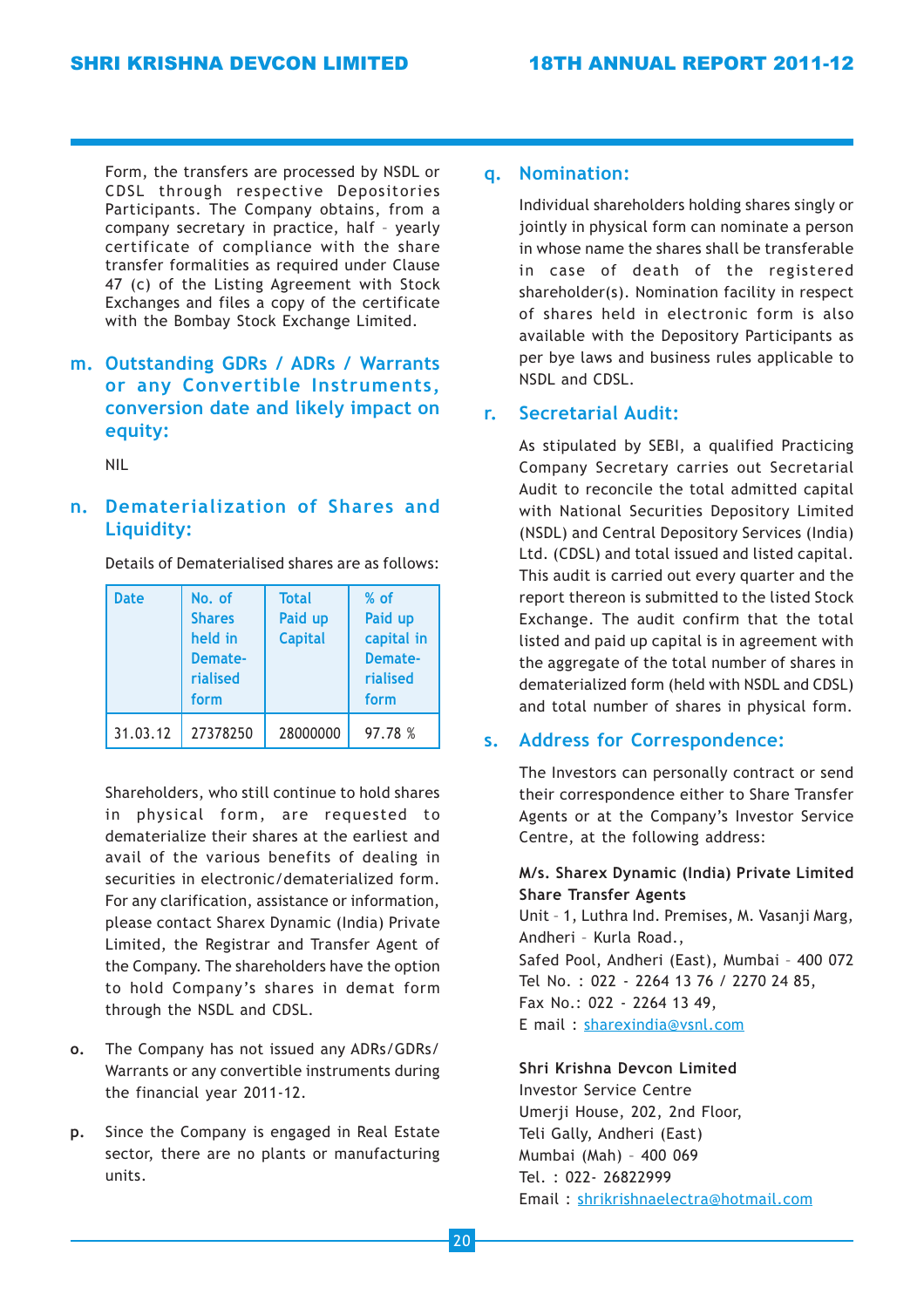Form, the transfers are processed by NSDL or CDSL through respective Depositories Participants. The Company obtains, from a company secretary in practice, half – yearly certificate of compliance with the share transfer formalities as required under Clause 47 (c) of the Listing Agreement with Stock Exchanges and files a copy of the certificate with the Bombay Stock Exchange Limited.

## m. Outstanding GDRs / ADRs / Warrants or any Convertible Instruments, conversion date and likely impact on equity:

NIL

## n. Dematerialization of Shares and Liquidity:

Details of Dematerialised shares are as follows:

| <b>Date</b> | No. of<br><b>Shares</b><br>held in<br>Demate-<br>rialised<br>form | <b>Total</b><br>Paid up<br><b>Capital</b> | $%$ of<br>Paid up<br>capital in<br>Demate-<br>rialised<br>form |
|-------------|-------------------------------------------------------------------|-------------------------------------------|----------------------------------------------------------------|
| 31.03.12    | 27378250                                                          | 28000000                                  | 97.78 %                                                        |

Shareholders, who still continue to hold shares in physical form, are requested to dematerialize their shares at the earliest and avail of the various benefits of dealing in securities in electronic/dematerialized form. For any clarification, assistance or information, please contact Sharex Dynamic (India) Private Limited, the Registrar and Transfer Agent of the Company. The shareholders have the option to hold Company's shares in demat form through the NSDL and CDSL.

- o. The Company has not issued any ADRs/GDRs/ Warrants or any convertible instruments during the financial year 2011-12.
- p. Since the Company is engaged in Real Estate sector, there are no plants or manufacturing units.

## q. Nomination:

Individual shareholders holding shares singly or jointly in physical form can nominate a person in whose name the shares shall be transferable in case of death of the registered shareholder(s). Nomination facility in respect of shares held in electronic form is also available with the Depository Participants as per bye laws and business rules applicable to NSDL and CDSL.

## r. Secretarial Audit:

As stipulated by SEBI, a qualified Practicing Company Secretary carries out Secretarial Audit to reconcile the total admitted capital with National Securities Depository Limited (NSDL) and Central Depository Services (India) Ltd. (CDSL) and total issued and listed capital. This audit is carried out every quarter and the report thereon is submitted to the listed Stock Exchange. The audit confirm that the total listed and paid up capital is in agreement with the aggregate of the total number of shares in dematerialized form (held with NSDL and CDSL) and total number of shares in physical form.

## s. Address for Correspondence:

The Investors can personally contract or send their correspondence either to Share Transfer Agents or at the Company's Investor Service Centre, at the following address:

## M/s. Sharex Dynamic (India) Private Limited Share Transfer Agents

Unit – 1, Luthra Ind. Premises, M. Vasanji Marg, Andheri – Kurla Road., Safed Pool, Andheri (East), Mumbai – 400 072 Tel No. : 022 - 2264 13 76 / 2270 24 85, Fax No.: 022 - 2264 13 49, E mail : sharexindia@vsnl.com

## Shri Krishna Devcon Limited

Investor Service Centre Umerji House, 202, 2nd Floor, Teli Gally, Andheri (East) Mumbai (Mah) – 400 069 Tel. : 022- 26822999 Email : shrikrishnaelectra@hotmail.com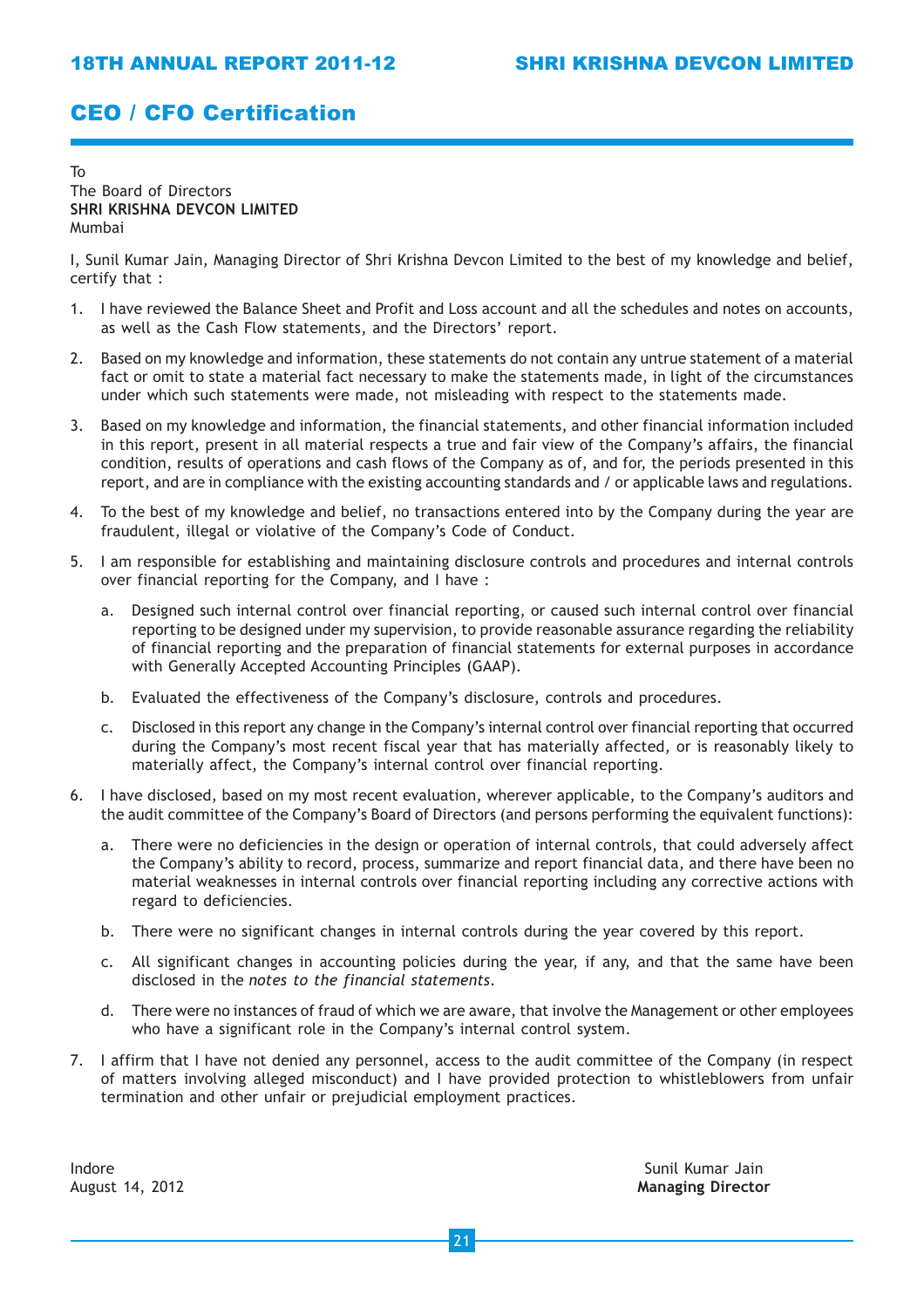## CEO / CFO Certification

#### To The Board of Directors SHRI KRISHNA DEVCON LIMITED Mumbai

I, Sunil Kumar Jain, Managing Director of Shri Krishna Devcon Limited to the best of my knowledge and belief, certify that :

- 1. I have reviewed the Balance Sheet and Profit and Loss account and all the schedules and notes on accounts, as well as the Cash Flow statements, and the Directors' report.
- 2. Based on my knowledge and information, these statements do not contain any untrue statement of a material fact or omit to state a material fact necessary to make the statements made, in light of the circumstances under which such statements were made, not misleading with respect to the statements made.
- 3. Based on my knowledge and information, the financial statements, and other financial information included in this report, present in all material respects a true and fair view of the Company's affairs, the financial condition, results of operations and cash flows of the Company as of, and for, the periods presented in this report, and are in compliance with the existing accounting standards and / or applicable laws and regulations.
- 4. To the best of my knowledge and belief, no transactions entered into by the Company during the year are fraudulent, illegal or violative of the Company's Code of Conduct.
- 5. I am responsible for establishing and maintaining disclosure controls and procedures and internal controls over financial reporting for the Company, and I have :
	- a. Designed such internal control over financial reporting, or caused such internal control over financial reporting to be designed under my supervision, to provide reasonable assurance regarding the reliability of financial reporting and the preparation of financial statements for external purposes in accordance with Generally Accepted Accounting Principles (GAAP).
	- b. Evaluated the effectiveness of the Company's disclosure, controls and procedures.
	- c. Disclosed in this report any change in the Company's internal control over financial reporting that occurred during the Company's most recent fiscal year that has materially affected, or is reasonably likely to materially affect, the Company's internal control over financial reporting.
- 6. I have disclosed, based on my most recent evaluation, wherever applicable, to the Company's auditors and the audit committee of the Company's Board of Directors (and persons performing the equivalent functions):
	- a. There were no deficiencies in the design or operation of internal controls, that could adversely affect the Company's ability to record, process, summarize and report financial data, and there have been no material weaknesses in internal controls over financial reporting including any corrective actions with regard to deficiencies.
	- b. There were no significant changes in internal controls during the year covered by this report.
	- c. All significant changes in accounting policies during the year, if any, and that the same have been disclosed in the notes to the financial statements.
	- d. There were no instances of fraud of which we are aware, that involve the Management or other employees who have a significant role in the Company's internal control system.
- 7. I affirm that I have not denied any personnel, access to the audit committee of the Company (in respect of matters involving alleged misconduct) and I have provided protection to whistleblowers from unfair termination and other unfair or prejudicial employment practices.

Indore Sunil Kumar Jain

August 14, 2012 **Managing Director**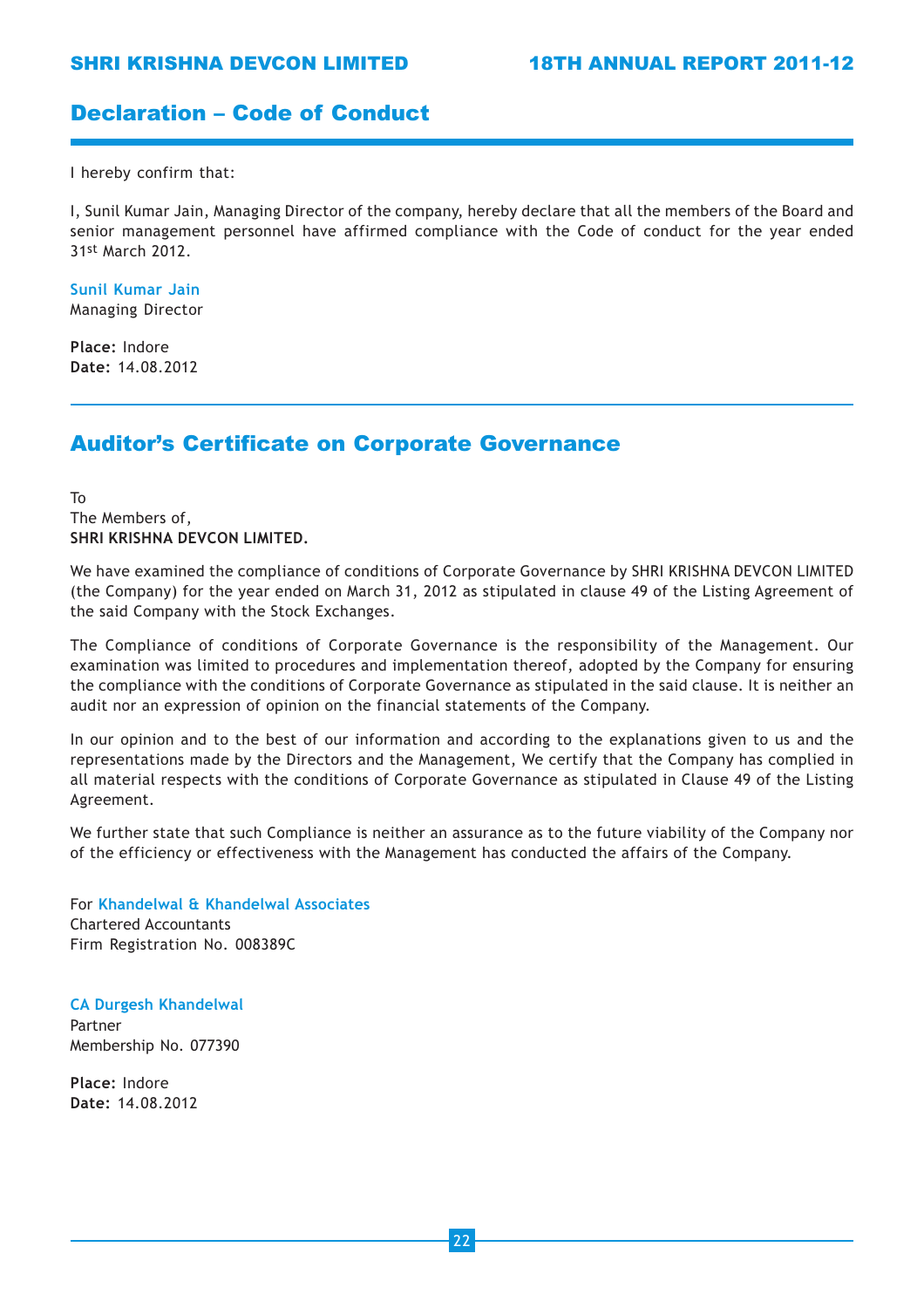## Declaration – Code of Conduct

I hereby confirm that:

I, Sunil Kumar Jain, Managing Director of the company, hereby declare that all the members of the Board and senior management personnel have affirmed compliance with the Code of conduct for the year ended 31st March 2012.

Sunil Kumar Jain Managing Director

Place: Indore Date: 14.08.2012

## Auditor's Certificate on Corporate Governance

To The Members of, SHRI KRISHNA DEVCON LIMITED.

We have examined the compliance of conditions of Corporate Governance by SHRI KRISHNA DEVCON LIMITED (the Company) for the year ended on March 31, 2012 as stipulated in clause 49 of the Listing Agreement of the said Company with the Stock Exchanges.

The Compliance of conditions of Corporate Governance is the responsibility of the Management. Our examination was limited to procedures and implementation thereof, adopted by the Company for ensuring the compliance with the conditions of Corporate Governance as stipulated in the said clause. It is neither an audit nor an expression of opinion on the financial statements of the Company.

In our opinion and to the best of our information and according to the explanations given to us and the representations made by the Directors and the Management, We certify that the Company has complied in all material respects with the conditions of Corporate Governance as stipulated in Clause 49 of the Listing Agreement.

We further state that such Compliance is neither an assurance as to the future viability of the Company nor of the efficiency or effectiveness with the Management has conducted the affairs of the Company.

For Khandelwal & Khandelwal Associates Chartered Accountants Firm Registration No. 008389C

CA Durgesh Khandelwal Partner Membership No. 077390

Place: Indore Date: 14.08.2012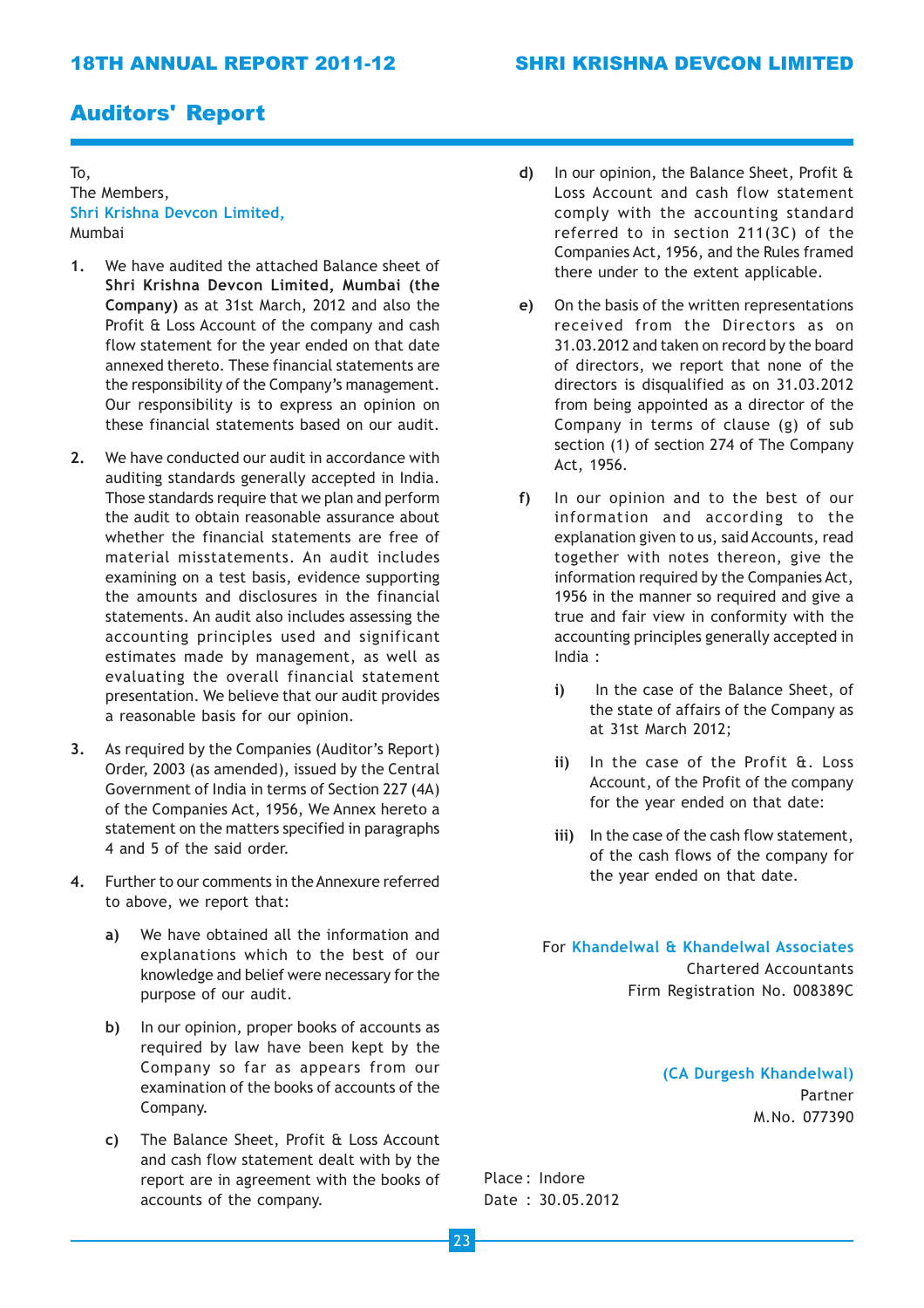## Auditors' Report

To, The Members, Shri Krishna Devcon Limited, Mumbai

- 1. We have audited the attached Balance sheet of Shri Krishna Devcon Limited, Mumbai (the Company) as at 31st March, 2012 and also the Profit & Loss Account of the company and cash flow statement for the year ended on that date annexed thereto. These financial statements are the responsibility of the Company's management. Our responsibility is to express an opinion on these financial statements based on our audit.
- 2. We have conducted our audit in accordance with auditing standards generally accepted in India. Those standards require that we plan and perform the audit to obtain reasonable assurance about whether the financial statements are free of material misstatements. An audit includes examining on a test basis, evidence supporting the amounts and disclosures in the financial statements. An audit also includes assessing the accounting principles used and significant estimates made by management, as well as evaluating the overall financial statement presentation. We believe that our audit provides a reasonable basis for our opinion.
- 3. As required by the Companies (Auditor's Report) Order, 2003 (as amended), issued by the Central Government of India in terms of Section 227 (4A) of the Companies Act, 1956, We Annex hereto a statement on the matters specified in paragraphs 4 and 5 of the said order.
- 4. Further to our comments in the Annexure referred to above, we report that:
	- a) We have obtained all the information and explanations which to the best of our knowledge and belief were necessary for the purpose of our audit.
	- b) In our opinion, proper books of accounts as required by law have been kept by the Company so far as appears from our examination of the books of accounts of the Company.
	- c) The Balance Sheet, Profit & Loss Account and cash flow statement dealt with by the report are in agreement with the books of accounts of the company.
- d) In our opinion, the Balance Sheet, Profit & Loss Account and cash flow statement comply with the accounting standard referred to in section 211(3C) of the Companies Act, 1956, and the Rules framed there under to the extent applicable.
- e) On the basis of the written representations received from the Directors as on 31.03.2012 and taken on record by the board of directors, we report that none of the directors is disqualified as on 31.03.2012 from being appointed as a director of the Company in terms of clause (g) of sub section (1) of section 274 of The Company Act, 1956.
- f) In our opinion and to the best of our information and according to the explanation given to us, said Accounts, read together with notes thereon, give the information required by the Companies Act, 1956 in the manner so required and give a true and fair view in conformity with the accounting principles generally accepted in India :
	- i) In the case of the Balance Sheet, of the state of affairs of the Company as at 31st March 2012;
	- ii) In the case of the Profit &. Loss Account, of the Profit of the company for the year ended on that date:
	- iii) In the case of the cash flow statement, of the cash flows of the company for the year ended on that date.

For Khandelwal & Khandelwal Associates Chartered Accountants Firm Registration No. 008389C

> (CA Durgesh Khandelwal) Partner M.No. 077390

Place : Indore Date : 30.05.2012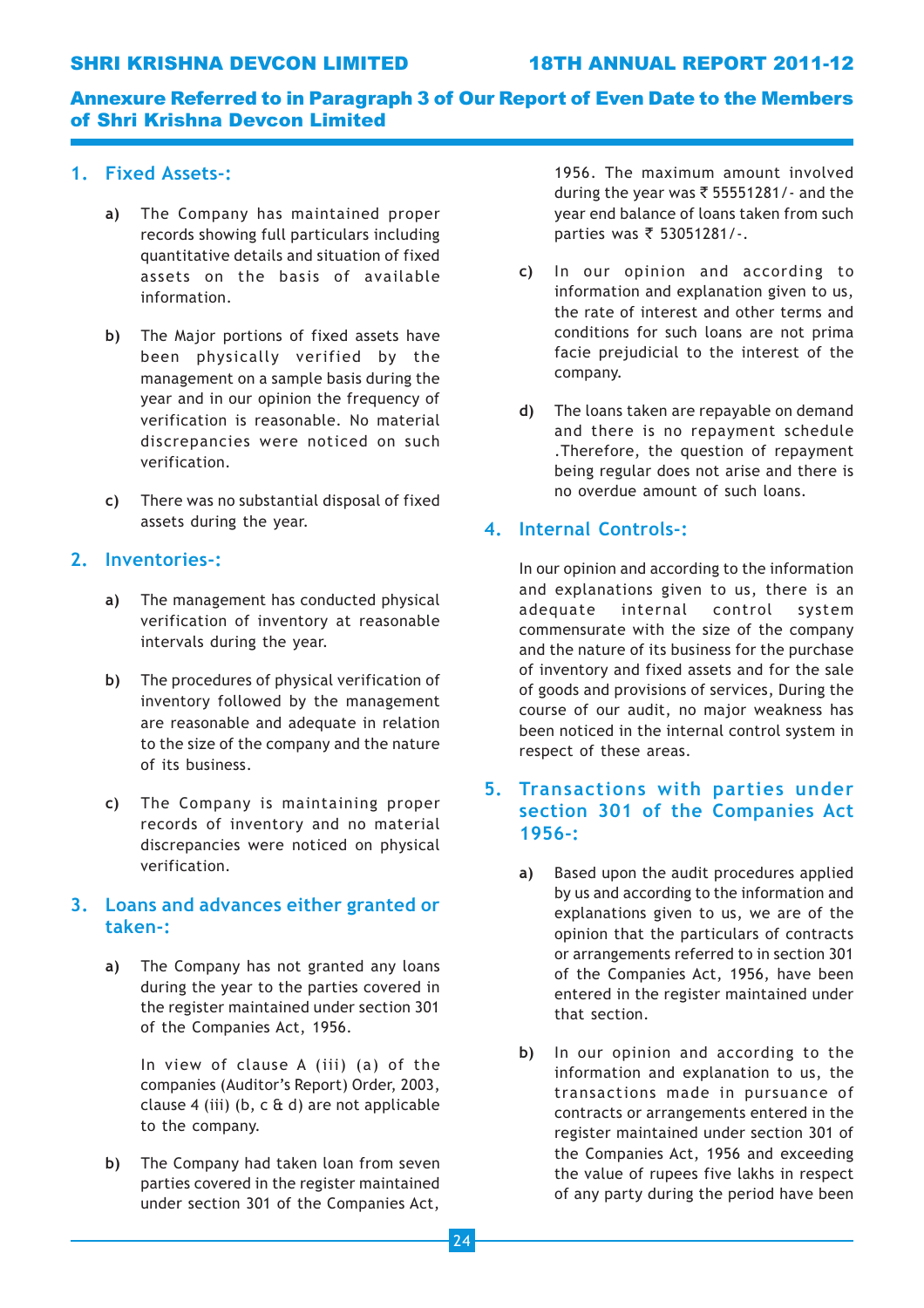## SHRI KRISHNA DEVCON LIMITED 18TH ANNUAL REPORT 2011-12

## Annexure Referred to in Paragraph 3 of Our Report of Even Date to the Members of Shri Krishna Devcon Limited

## 1. Fixed Assets-:

- a) The Company has maintained proper records showing full particulars including quantitative details and situation of fixed assets on the basis of available information.
- b) The Major portions of fixed assets have been physically verified by the management on a sample basis during the year and in our opinion the frequency of verification is reasonable. No material discrepancies were noticed on such verification.
- c) There was no substantial disposal of fixed assets during the year.

## 2. Inventories-:

- a) The management has conducted physical verification of inventory at reasonable intervals during the year.
- b) The procedures of physical verification of inventory followed by the management are reasonable and adequate in relation to the size of the company and the nature of its business.
- c) The Company is maintaining proper records of inventory and no material discrepancies were noticed on physical verification.

## 3. Loans and advances either granted or taken-:

a) The Company has not granted any loans during the year to the parties covered in the register maintained under section 301 of the Companies Act, 1956.

> In view of clause A (iii) (a) of the companies (Auditor's Report) Order, 2003, clause 4 (iii) (b, c & d) are not applicable to the company.

b) The Company had taken loan from seven parties covered in the register maintained under section 301 of the Companies Act,

1956. The maximum amount involved during the year was  $\bar{\tau}$  55551281/- and the year end balance of loans taken from such parties was  $\bar{\tau}$  53051281/-.

- c) In our opinion and according to information and explanation given to us, the rate of interest and other terms and conditions for such loans are not prima facie prejudicial to the interest of the company.
- d) The loans taken are repayable on demand and there is no repayment schedule .Therefore, the question of repayment being regular does not arise and there is no overdue amount of such loans.

## 4. Internal Controls-:

In our opinion and according to the information and explanations given to us, there is an adequate internal control system commensurate with the size of the company and the nature of its business for the purchase of inventory and fixed assets and for the sale of goods and provisions of services, During the course of our audit, no major weakness has been noticed in the internal control system in respect of these areas.

## 5. Transactions with parties under section 301 of the Companies Act 1956-:

- a) Based upon the audit procedures applied by us and according to the information and explanations given to us, we are of the opinion that the particulars of contracts or arrangements referred to in section 301 of the Companies Act, 1956, have been entered in the register maintained under that section.
- b) In our opinion and according to the information and explanation to us, the transactions made in pursuance of contracts or arrangements entered in the register maintained under section 301 of the Companies Act, 1956 and exceeding the value of rupees five lakhs in respect of any party during the period have been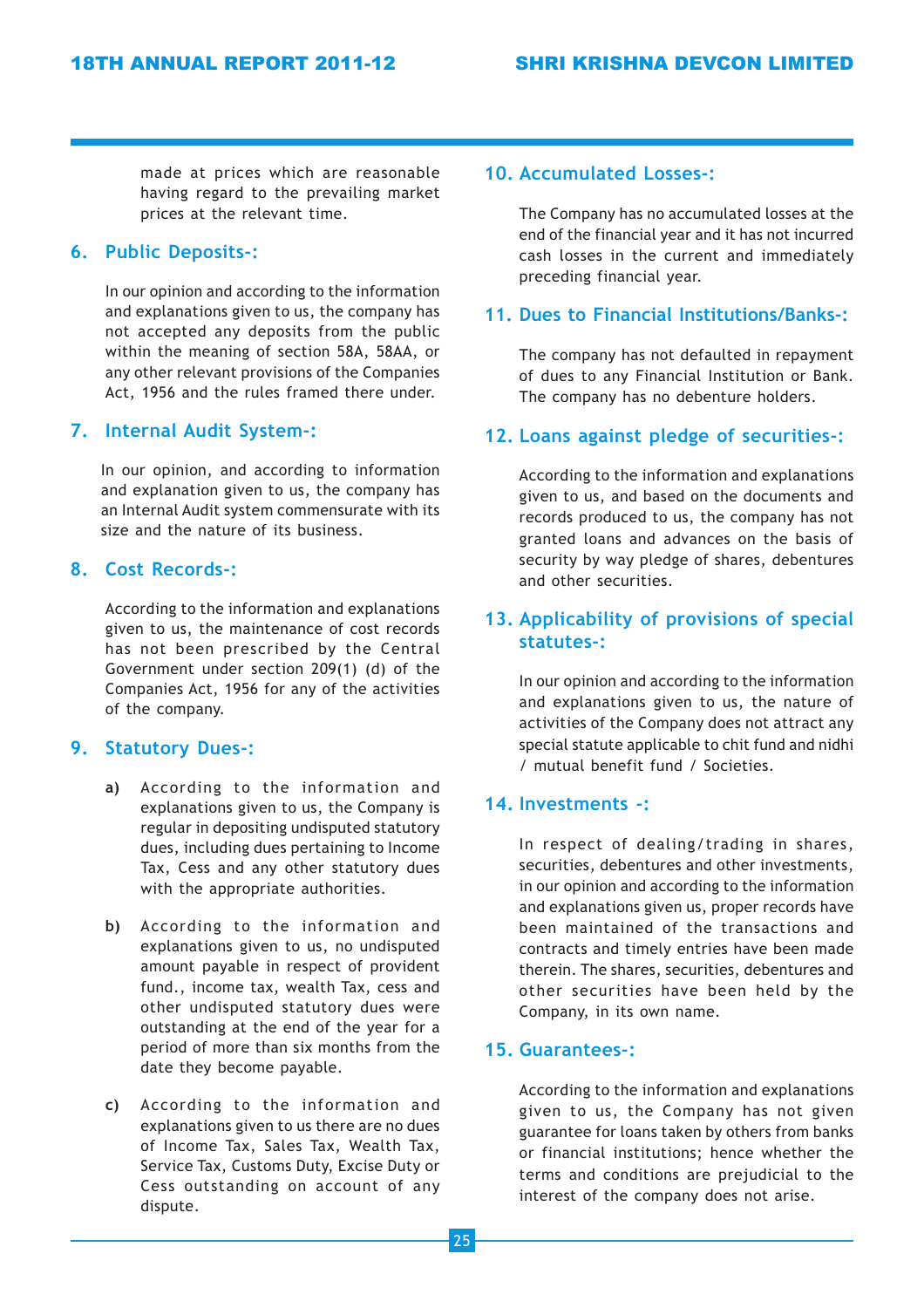made at prices which are reasonable having regard to the prevailing market prices at the relevant time.

## 6. Public Deposits-:

In our opinion and according to the information and explanations given to us, the company has not accepted any deposits from the public within the meaning of section 58A, 58AA, or any other relevant provisions of the Companies Act, 1956 and the rules framed there under.

## 7. Internal Audit System-:

In our opinion, and according to information and explanation given to us, the company has an Internal Audit system commensurate with its size and the nature of its business.

## 8. Cost Records-:

According to the information and explanations given to us, the maintenance of cost records has not been prescribed by the Central Government under section 209(1) (d) of the Companies Act, 1956 for any of the activities of the company.

## 9. Statutory Dues-:

- a) According to the information and explanations given to us, the Company is regular in depositing undisputed statutory dues, including dues pertaining to Income Tax, Cess and any other statutory dues with the appropriate authorities.
- b) According to the information and explanations given to us, no undisputed amount payable in respect of provident fund., income tax, wealth Tax, cess and other undisputed statutory dues were outstanding at the end of the year for a period of more than six months from the date they become payable.
- c) According to the information and explanations given to us there are no dues of Income Tax, Sales Tax, Wealth Tax, Service Tax, Customs Duty, Excise Duty or Cess outstanding on account of any dispute.

## 10. Accumulated Losses-:

The Company has no accumulated losses at the end of the financial year and it has not incurred cash losses in the current and immediately preceding financial year.

## 11. Dues to Financial Institutions/Banks-:

The company has not defaulted in repayment of dues to any Financial Institution or Bank. The company has no debenture holders.

## 12. Loans against pledge of securities-:

According to the information and explanations given to us, and based on the documents and records produced to us, the company has not granted loans and advances on the basis of security by way pledge of shares, debentures and other securities.

## 13. Applicability of provisions of special statutes-:

In our opinion and according to the information and explanations given to us, the nature of activities of the Company does not attract any special statute applicable to chit fund and nidhi / mutual benefit fund / Societies.

## 14. Investments -:

In respect of dealing/trading in shares, securities, debentures and other investments, in our opinion and according to the information and explanations given us, proper records have been maintained of the transactions and contracts and timely entries have been made therein. The shares, securities, debentures and other securities have been held by the Company, in its own name.

## 15. Guarantees-:

According to the information and explanations given to us, the Company has not given guarantee for loans taken by others from banks or financial institutions; hence whether the terms and conditions are prejudicial to the interest of the company does not arise.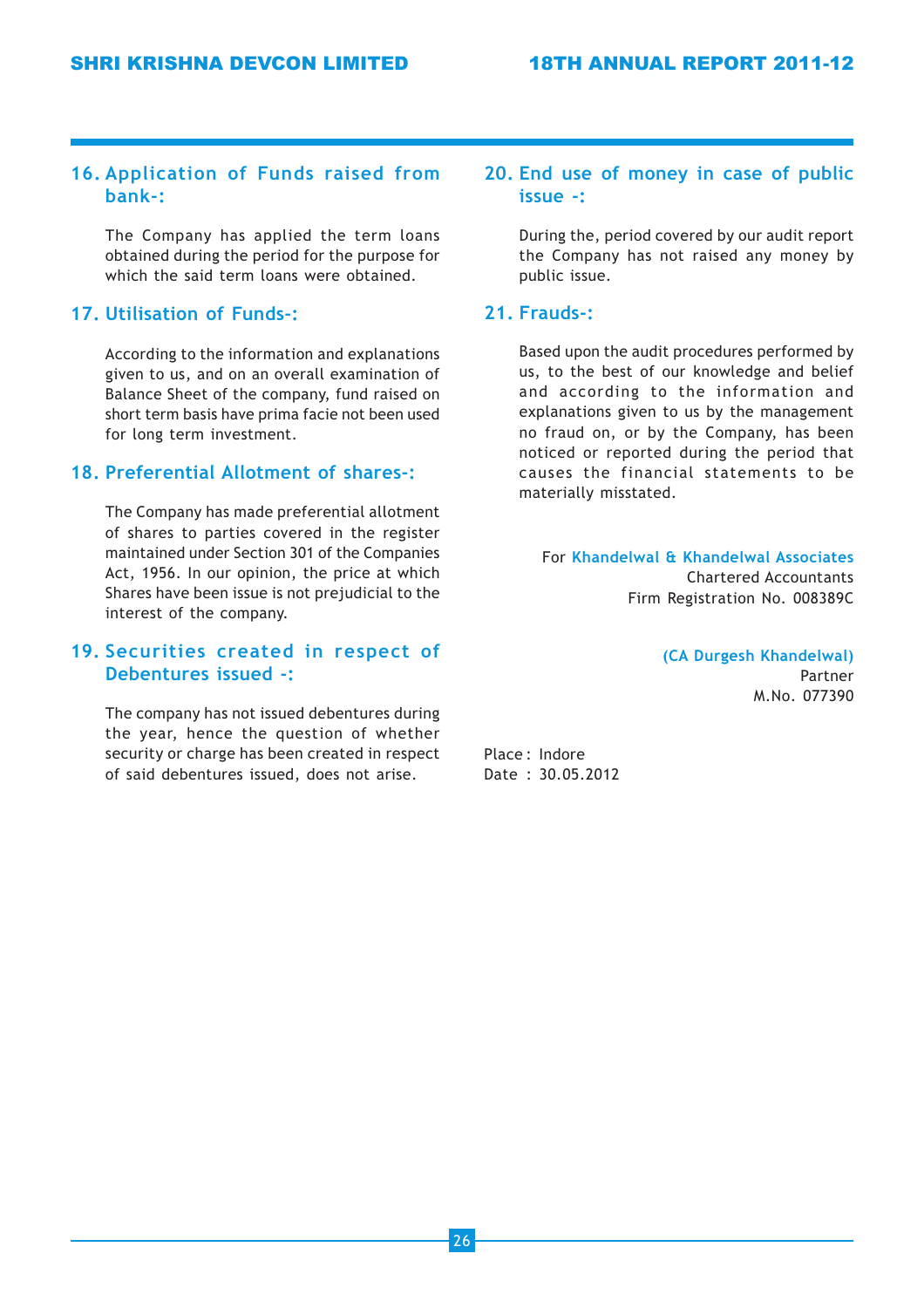## 16. Application of Funds raised from bank-:

The Company has applied the term loans obtained during the period for the purpose for which the said term loans were obtained.

## 17. Utilisation of Funds-:

According to the information and explanations given to us, and on an overall examination of Balance Sheet of the company, fund raised on short term basis have prima facie not been used for long term investment.

## 18. Preferential Allotment of shares-:

The Company has made preferential allotment of shares to parties covered in the register maintained under Section 301 of the Companies Act, 1956. In our opinion, the price at which Shares have been issue is not prejudicial to the interest of the company.

## 19. Securities created in respect of Debentures issued -:

The company has not issued debentures during the year, hence the question of whether security or charge has been created in respect of said debentures issued, does not arise.

## 20. End use of money in case of public issue -:

During the, period covered by our audit report the Company has not raised any money by public issue.

## 21. Frauds-:

Based upon the audit procedures performed by us, to the best of our knowledge and belief and according to the information and explanations given to us by the management no fraud on, or by the Company, has been noticed or reported during the period that causes the financial statements to be materially misstated.

For Khandelwal & Khandelwal Associates Chartered Accountants Firm Registration No. 008389C

> (CA Durgesh Khandelwal) Partner M.No. 077390

Place : Indore Date : 30.05.2012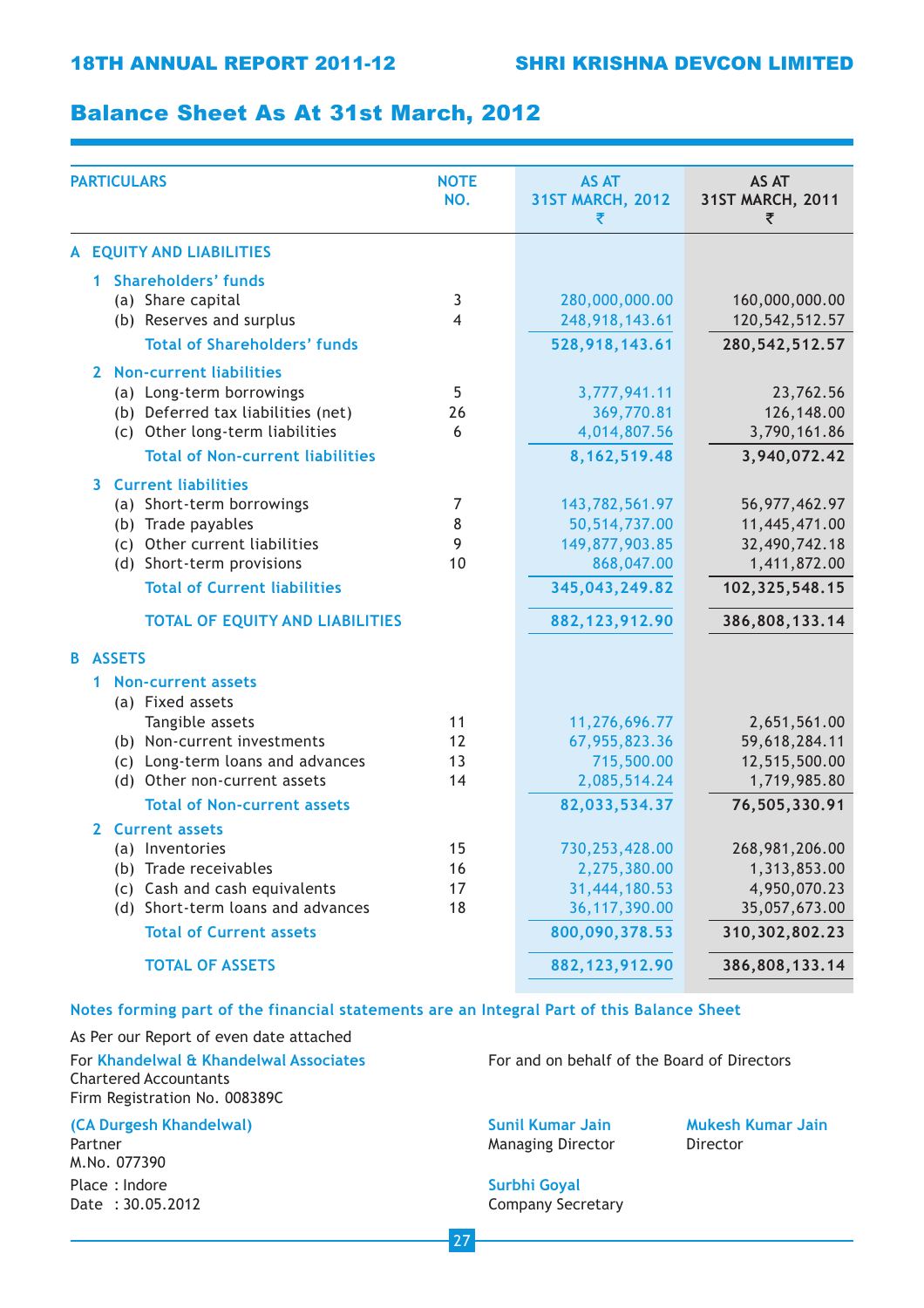## Balance Sheet As At 31st March, 2012

| <b>PARTICULARS</b> |                                       | <b>NOTE</b><br>NO.                      | <b>AS AT</b><br><b>31ST MARCH, 2012</b><br>₹ | AS AT<br>31ST MARCH, 2011<br>₹ |                   |
|--------------------|---------------------------------------|-----------------------------------------|----------------------------------------------|--------------------------------|-------------------|
|                    |                                       | A EQUITY AND LIABILITIES                |                                              |                                |                   |
|                    | 1.                                    | <b>Shareholders' funds</b>              |                                              |                                |                   |
|                    |                                       | (a) Share capital                       | 3                                            | 280,000,000.00                 | 160,000,000.00    |
|                    |                                       | (b) Reserves and surplus                | 4                                            | 248,918,143.61                 | 120, 542, 512.57  |
|                    |                                       | <b>Total of Shareholders' funds</b>     |                                              | 528,918,143.61                 | 280, 542, 512. 57 |
|                    |                                       |                                         |                                              |                                |                   |
|                    | $\mathbf{2}$                          | <b>Non-current liabilities</b>          |                                              |                                |                   |
|                    |                                       | (a) Long-term borrowings                | 5                                            | 3,777,941.11                   | 23,762.56         |
|                    |                                       | (b) Deferred tax liabilities (net)      | 26                                           | 369,770.81                     | 126,148.00        |
|                    |                                       | (c) Other long-term liabilities         | 6                                            | 4,014,807.56                   | 3,790,161.86      |
|                    |                                       | <b>Total of Non-current liabilities</b> |                                              | 8, 162, 519.48                 | 3,940,072.42      |
|                    | 3.                                    | <b>Current liabilities</b>              |                                              |                                |                   |
|                    |                                       | (a) Short-term borrowings               | 7                                            | 143,782,561.97                 | 56, 977, 462. 97  |
|                    |                                       | (b) Trade payables                      | 8                                            | 50,514,737.00                  | 11,445,471.00     |
|                    |                                       | (c) Other current liabilities           | 9                                            | 149,877,903.85                 | 32,490,742.18     |
|                    |                                       | (d) Short-term provisions               | 10                                           | 868,047.00                     | 1,411,872.00      |
|                    |                                       | <b>Total of Current liabilities</b>     |                                              | 345,043,249.82                 | 102,325,548.15    |
|                    |                                       | <b>TOTAL OF EQUITY AND LIABILITIES</b>  |                                              | 882, 123, 912.90               | 386,808,133.14    |
| B.                 | <b>ASSETS</b>                         |                                         |                                              |                                |                   |
| 1.                 |                                       | <b>Non-current assets</b>               |                                              |                                |                   |
|                    |                                       | (a) Fixed assets                        |                                              |                                |                   |
|                    |                                       | Tangible assets                         | 11                                           | 11,276,696.77                  | 2,651,561.00      |
|                    |                                       | (b) Non-current investments             | 12                                           | 67,955,823.36                  | 59,618,284.11     |
|                    |                                       | (c) Long-term loans and advances        | 13                                           | 715,500.00                     | 12,515,500.00     |
|                    |                                       | (d) Other non-current assets            | 14                                           | 2,085,514.24                   | 1,719,985.80      |
|                    |                                       | <b>Total of Non-current assets</b>      |                                              | 82,033,534.37                  | 76,505,330.91     |
|                    | <b>Current assets</b><br>$\mathbf{z}$ |                                         |                                              |                                |                   |
|                    |                                       | (a) Inventories                         | 15                                           | 730,253,428.00                 | 268,981,206.00    |
|                    |                                       | (b) Trade receivables                   | 16                                           | 2,275,380.00                   | 1,313,853.00      |
|                    |                                       | (c) Cash and cash equivalents           | 17                                           | 31,444,180.53                  | 4,950,070.23      |
|                    |                                       | (d) Short-term loans and advances       | 18                                           | 36, 117, 390.00                | 35,057,673.00     |
|                    |                                       | <b>Total of Current assets</b>          |                                              | 800,090,378.53                 | 310, 302, 802. 23 |
|                    |                                       | <b>TOTAL OF ASSETS</b>                  |                                              | 882, 123, 912.90               | 386,808,133.14    |
|                    |                                       |                                         |                                              |                                |                   |

### Notes forming part of the financial statements are an Integral Part of this Balance Sheet

As Per our Report of even date attached Chartered Accountants Firm Registration No. 008389C

#### (CA Durgesh Khandelwal) Sunil Kumar Jain Mukesh Kumar Jain Mukesh Kumar Jain

M.No. 077390 Place : Indore Surbhi Goyal

For Khandelwal & Khandelwal Associates For and on behalf of the Board of Directors

Partner **Managing Director** Director **Director** Director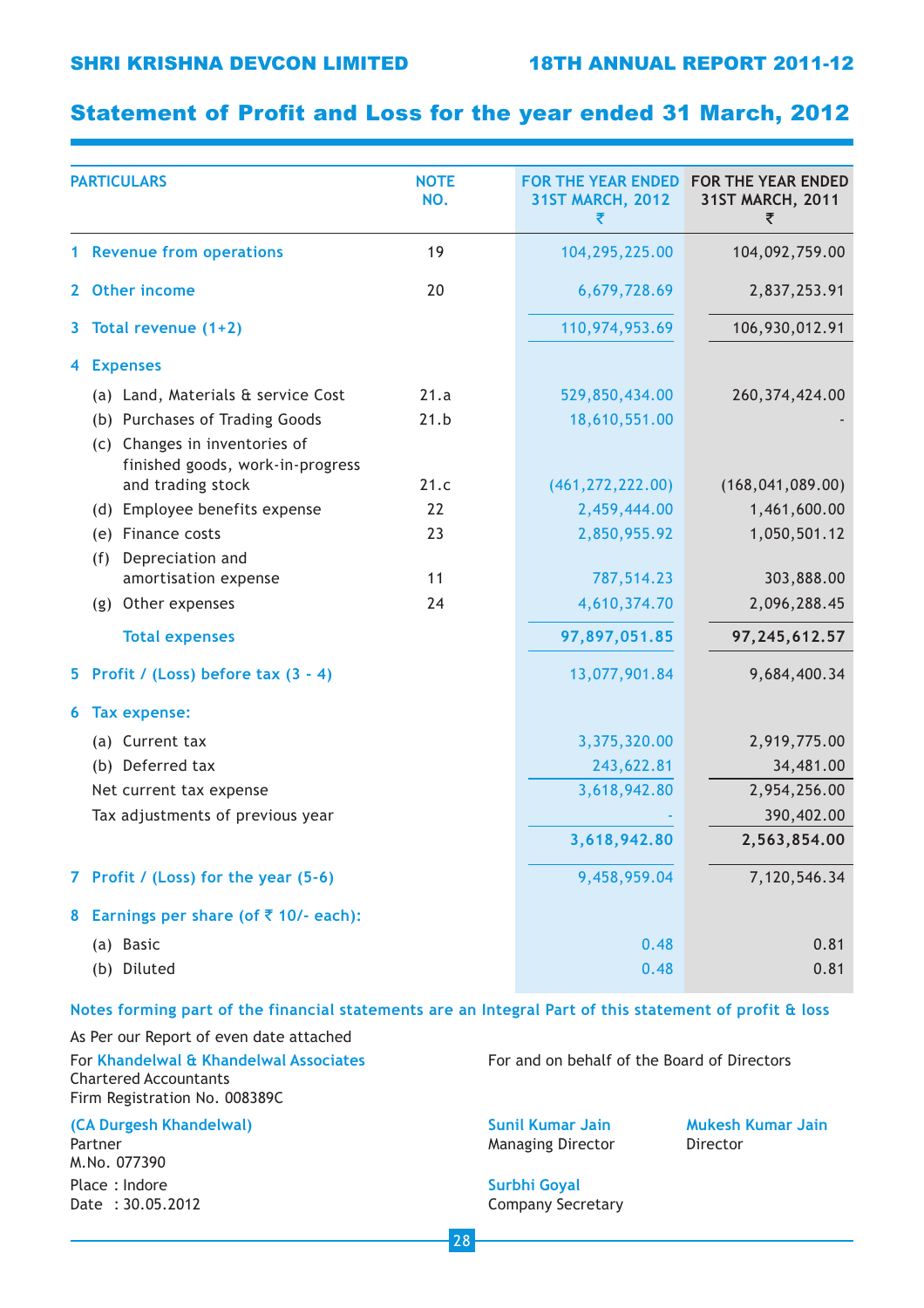## Statement of Profit and Loss for the year ended 31 March, 2012

| <b>PARTICULARS</b> |                                                                   | <b>NOTE</b><br>NO. | <b>31ST MARCH, 2012</b><br>₹ | FOR THE YEAR ENDED FOR THE YEAR ENDED<br>31ST MARCH, 2011<br>₹ |
|--------------------|-------------------------------------------------------------------|--------------------|------------------------------|----------------------------------------------------------------|
|                    | 1 Revenue from operations                                         | 19                 | 104,295,225.00               | 104,092,759.00                                                 |
|                    | 2 Other income                                                    | 20                 | 6,679,728.69                 | 2,837,253.91                                                   |
|                    | 3 Total revenue (1+2)                                             |                    | 110,974,953.69               | 106,930,012.91                                                 |
| 4.                 | <b>Expenses</b>                                                   |                    |                              |                                                                |
|                    | (a) Land, Materials & service Cost                                | 21.a               | 529,850,434.00               | 260, 374, 424.00                                               |
|                    | (b) Purchases of Trading Goods                                    | 21.b               | 18,610,551.00                |                                                                |
|                    | (c) Changes in inventories of<br>finished goods, work-in-progress |                    |                              |                                                                |
|                    | and trading stock                                                 | 21.c               | (461, 272, 222.00)           | (168, 041, 089.00)                                             |
|                    | (d) Employee benefits expense                                     | 22                 | 2,459,444.00                 | 1,461,600.00                                                   |
|                    | (e) Finance costs                                                 | 23                 | 2,850,955.92                 | 1,050,501.12                                                   |
|                    | Depreciation and<br>(f)                                           |                    |                              |                                                                |
|                    | amortisation expense                                              | 11                 | 787,514.23                   | 303,888.00                                                     |
|                    | (g) Other expenses                                                | 24                 | 4,610,374.70                 | 2,096,288.45                                                   |
|                    | <b>Total expenses</b>                                             |                    | 97,897,051.85                | 97,245,612.57                                                  |
|                    | 5 Profit / (Loss) before tax $(3 - 4)$                            |                    | 13,077,901.84                | 9,684,400.34                                                   |
| 6                  | <b>Tax expense:</b>                                               |                    |                              |                                                                |
|                    | (a) Current tax                                                   |                    | 3,375,320.00                 | 2,919,775.00                                                   |
|                    | (b) Deferred tax                                                  |                    | 243,622.81                   | 34,481.00                                                      |
|                    | Net current tax expense                                           |                    | 3,618,942.80                 | 2,954,256.00                                                   |
|                    | Tax adjustments of previous year                                  |                    |                              | 390,402.00                                                     |
|                    |                                                                   |                    | 3,618,942.80                 | 2,563,854.00                                                   |
|                    | 7 Profit / (Loss) for the year (5-6)                              |                    | 9,458,959.04                 | 7,120,546.34                                                   |
| 8                  | Earnings per share (of ₹ 10/- each):                              |                    |                              |                                                                |
|                    | (a) Basic                                                         |                    | 0.48                         | 0.81                                                           |
|                    | (b) Diluted                                                       |                    | 0.48                         | 0.81                                                           |
|                    |                                                                   |                    |                              |                                                                |

### Notes forming part of the financial statements are an Integral Part of this statement of profit & loss

As Per our Report of even date attached Chartered Accountants Firm Registration No. 008389C

(CA Durgesh Khandelwal) Sunil Kumar Jain Mukesh Kumar Jain Mukesh Kumar Jain

M.No. 077390 Place : Indore Surbhi Goyal

For Khandelwal & Khandelwal Associates For and on behalf of the Board of Directors

Partner **Managing Director** Director **Director** Director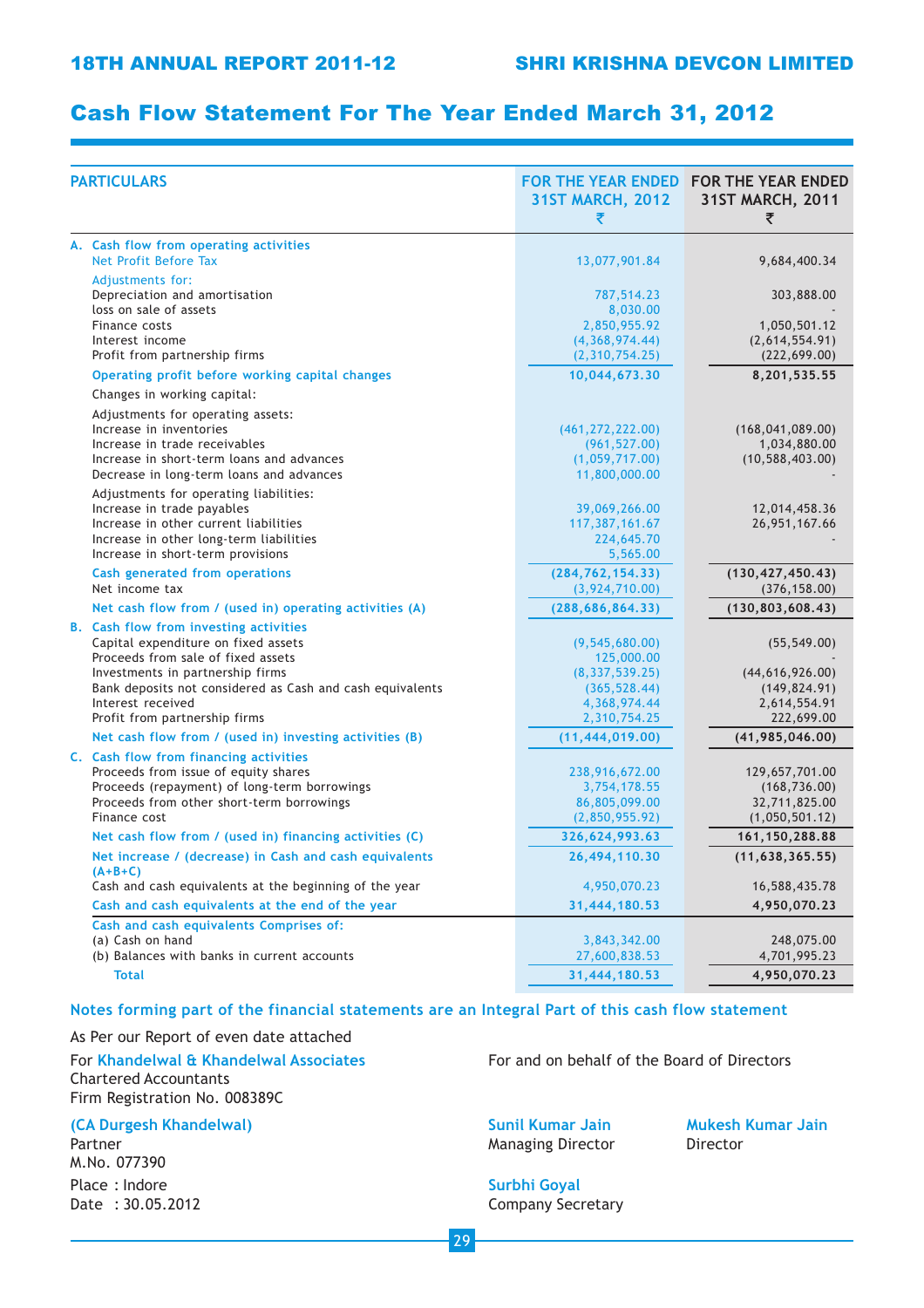## Cash Flow Statement For The Year Ended March 31, 2012

| <b>PARTICULARS</b>                                                                                                                                                                                                                                                                | <b>31ST MARCH, 2012</b><br>₹                                                                        | FOR THE YEAR ENDED FOR THE YEAR ENDED<br>31ST MARCH, 2011<br>₹                   |
|-----------------------------------------------------------------------------------------------------------------------------------------------------------------------------------------------------------------------------------------------------------------------------------|-----------------------------------------------------------------------------------------------------|----------------------------------------------------------------------------------|
| A. Cash flow from operating activities<br>Net Profit Before Tax                                                                                                                                                                                                                   | 13,077,901.84                                                                                       | 9,684,400.34                                                                     |
| Adjustments for:<br>Depreciation and amortisation<br>loss on sale of assets<br>Finance costs<br>Interest income                                                                                                                                                                   | 787,514.23<br>8,030.00<br>2,850,955.92<br>(4,368,974.44)                                            | 303,888.00<br>1,050,501.12<br>(2,614,554.91)                                     |
| Profit from partnership firms                                                                                                                                                                                                                                                     | (2,310,754.25)                                                                                      | (222, 699.00)                                                                    |
| Operating profit before working capital changes                                                                                                                                                                                                                                   | 10,044,673.30                                                                                       | 8,201,535.55                                                                     |
| Changes in working capital:                                                                                                                                                                                                                                                       |                                                                                                     |                                                                                  |
| Adjustments for operating assets:<br>Increase in inventories<br>Increase in trade receivables<br>Increase in short-term loans and advances<br>Decrease in long-term loans and advances                                                                                            | (461, 272, 222.00)<br>(961, 527.00)<br>(1,059,717.00)<br>11,800,000.00                              | (168, 041, 089.00)<br>1,034,880.00<br>(10, 588, 403.00)                          |
| Adjustments for operating liabilities:<br>Increase in trade payables<br>Increase in other current liabilities<br>Increase in other long-term liabilities<br>Increase in short-term provisions                                                                                     | 39,069,266.00<br>117,387,161.67<br>224,645.70<br>5,565.00                                           | 12,014,458.36<br>26,951,167.66                                                   |
| <b>Cash generated from operations</b><br>Net income tax                                                                                                                                                                                                                           | (284, 762, 154, 33)<br>(3, 924, 710.00)                                                             | (130, 427, 450.43)<br>(376, 158.00)                                              |
| Net cash flow from / (used in) operating activities (A)                                                                                                                                                                                                                           | (288, 686, 864.33)                                                                                  | (130, 803, 608.43)                                                               |
| <b>B.</b> Cash flow from investing activities<br>Capital expenditure on fixed assets<br>Proceeds from sale of fixed assets<br>Investments in partnership firms<br>Bank deposits not considered as Cash and cash equivalents<br>Interest received<br>Profit from partnership firms | (9, 545, 680.00)<br>125,000.00<br>(8, 337, 539.25)<br>(365, 528.44)<br>4,368,974.44<br>2,310,754.25 | (55, 549.00)<br>(44, 616, 926.00)<br>(149, 824.91)<br>2,614,554.91<br>222,699.00 |
| Net cash flow from / (used in) investing activities (B)                                                                                                                                                                                                                           | (11, 444, 019.00)                                                                                   | (41, 985, 046.00)                                                                |
| C. Cash flow from financing activities<br>Proceeds from issue of equity shares<br>Proceeds (repayment) of long-term borrowings<br>Proceeds from other short-term borrowings<br>Finance cost                                                                                       | 238,916,672.00<br>3,754,178.55<br>86,805,099.00<br>(2,850,955.92)                                   | 129,657,701.00<br>(168, 736.00)<br>32,711,825.00<br>(1,050,501.12)               |
| Net cash flow from / (used in) financing activities (C)                                                                                                                                                                                                                           | 326,624,993.63                                                                                      | 161, 150, 288.88                                                                 |
| Net increase / (decrease) in Cash and cash equivalents                                                                                                                                                                                                                            | 26,494,110.30                                                                                       | (11, 638, 365.55)                                                                |
| $(A+B+C)$<br>Cash and cash equivalents at the beginning of the year                                                                                                                                                                                                               | 4,950,070.23                                                                                        | 16,588,435.78                                                                    |
| Cash and cash equivalents at the end of the year                                                                                                                                                                                                                                  | 31,444,180.53                                                                                       | 4,950,070.23                                                                     |
| Cash and cash equivalents Comprises of:<br>(a) Cash on hand<br>(b) Balances with banks in current accounts                                                                                                                                                                        | 3,843,342.00<br>27,600,838.53                                                                       | 248,075.00<br>4,701,995.23                                                       |
| <b>Total</b>                                                                                                                                                                                                                                                                      | 31,444,180.53                                                                                       | 4,950,070.23                                                                     |

### Notes forming part of the financial statements are an Integral Part of this cash flow statement

#### As Per our Report of even date attached

## For Khandelwal & Khandelwal Associates For and on behalf of the Board of Directors Chartered Accountants

Firm Registration No. 008389C

## (CA Durgesh Khandelwal) Sunil Kumar Jain Mukesh Kumar Jain Mukesh Kumar Jain

M.No. 077390 Place : Indore Surbhi Goyal

Partner **Managing Director** Director **Director** Director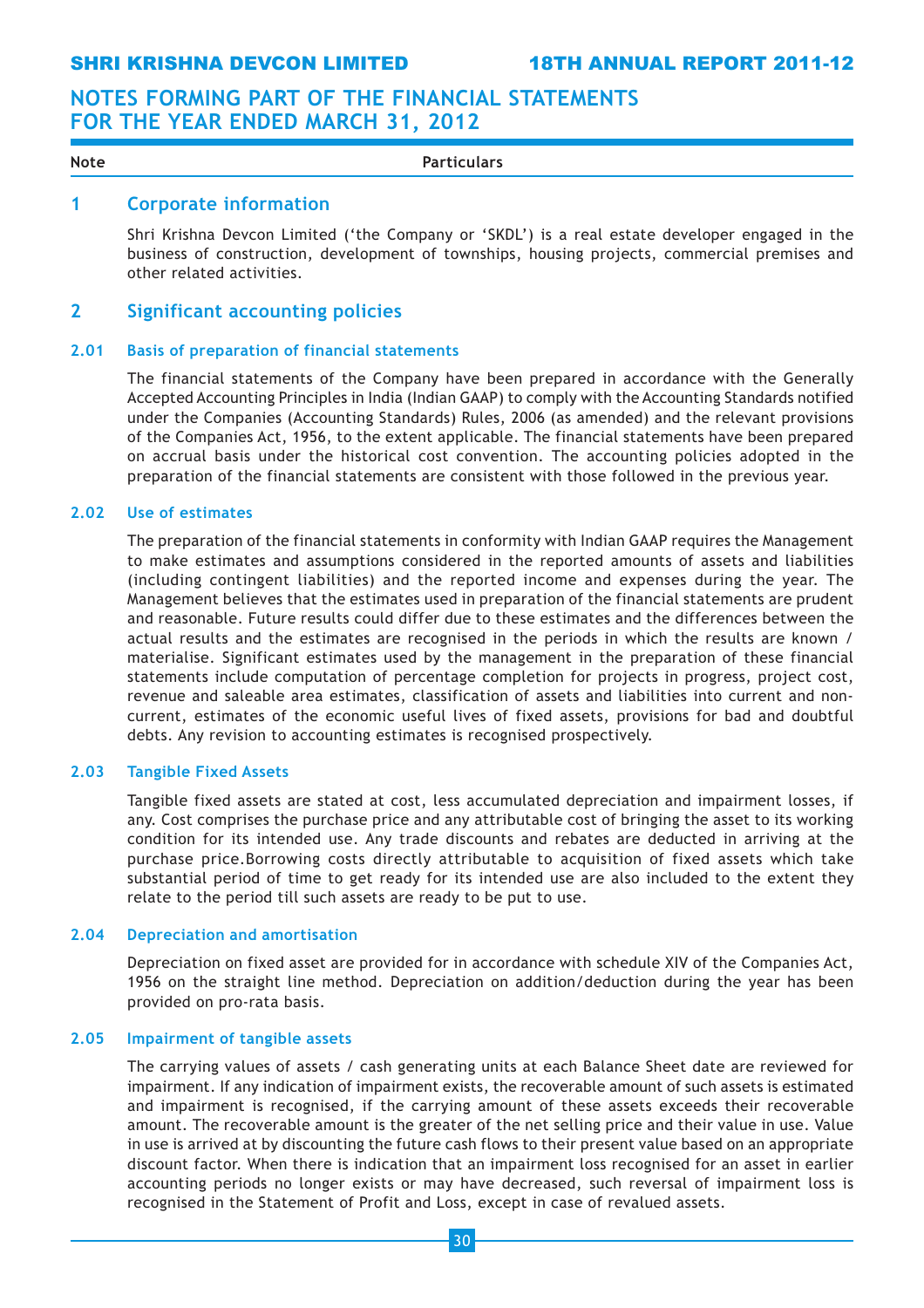Note **Particulars** 

## 1 Corporate information

Shri Krishna Devcon Limited ('the Company or 'SKDL') is a real estate developer engaged in the business of construction, development of townships, housing projects, commercial premises and other related activities.

## 2 Significant accounting policies

## 2.01 Basis of preparation of financial statements

The financial statements of the Company have been prepared in accordance with the Generally Accepted Accounting Principles in India (Indian GAAP) to comply with the Accounting Standards notified under the Companies (Accounting Standards) Rules, 2006 (as amended) and the relevant provisions of the Companies Act, 1956, to the extent applicable. The financial statements have been prepared on accrual basis under the historical cost convention. The accounting policies adopted in the preparation of the financial statements are consistent with those followed in the previous year.

#### 2.02 Use of estimates

The preparation of the financial statements in conformity with Indian GAAP requires the Management to make estimates and assumptions considered in the reported amounts of assets and liabilities (including contingent liabilities) and the reported income and expenses during the year. The Management believes that the estimates used in preparation of the financial statements are prudent and reasonable. Future results could differ due to these estimates and the differences between the actual results and the estimates are recognised in the periods in which the results are known / materialise. Significant estimates used by the management in the preparation of these financial statements include computation of percentage completion for projects in progress, project cost, revenue and saleable area estimates, classification of assets and liabilities into current and noncurrent, estimates of the economic useful lives of fixed assets, provisions for bad and doubtful debts. Any revision to accounting estimates is recognised prospectively.

## 2.03 Tangible Fixed Assets

Tangible fixed assets are stated at cost, less accumulated depreciation and impairment losses, if any. Cost comprises the purchase price and any attributable cost of bringing the asset to its working condition for its intended use. Any trade discounts and rebates are deducted in arriving at the purchase price.Borrowing costs directly attributable to acquisition of fixed assets which take substantial period of time to get ready for its intended use are also included to the extent they relate to the period till such assets are ready to be put to use.

#### 2.04 Depreciation and amortisation

Depreciation on fixed asset are provided for in accordance with schedule XIV of the Companies Act, 1956 on the straight line method. Depreciation on addition/deduction during the year has been provided on pro-rata basis.

## 2.05 Impairment of tangible assets

The carrying values of assets / cash generating units at each Balance Sheet date are reviewed for impairment. If any indication of impairment exists, the recoverable amount of such assets is estimated and impairment is recognised, if the carrying amount of these assets exceeds their recoverable amount. The recoverable amount is the greater of the net selling price and their value in use. Value in use is arrived at by discounting the future cash flows to their present value based on an appropriate discount factor. When there is indication that an impairment loss recognised for an asset in earlier accounting periods no longer exists or may have decreased, such reversal of impairment loss is recognised in the Statement of Profit and Loss, except in case of revalued assets.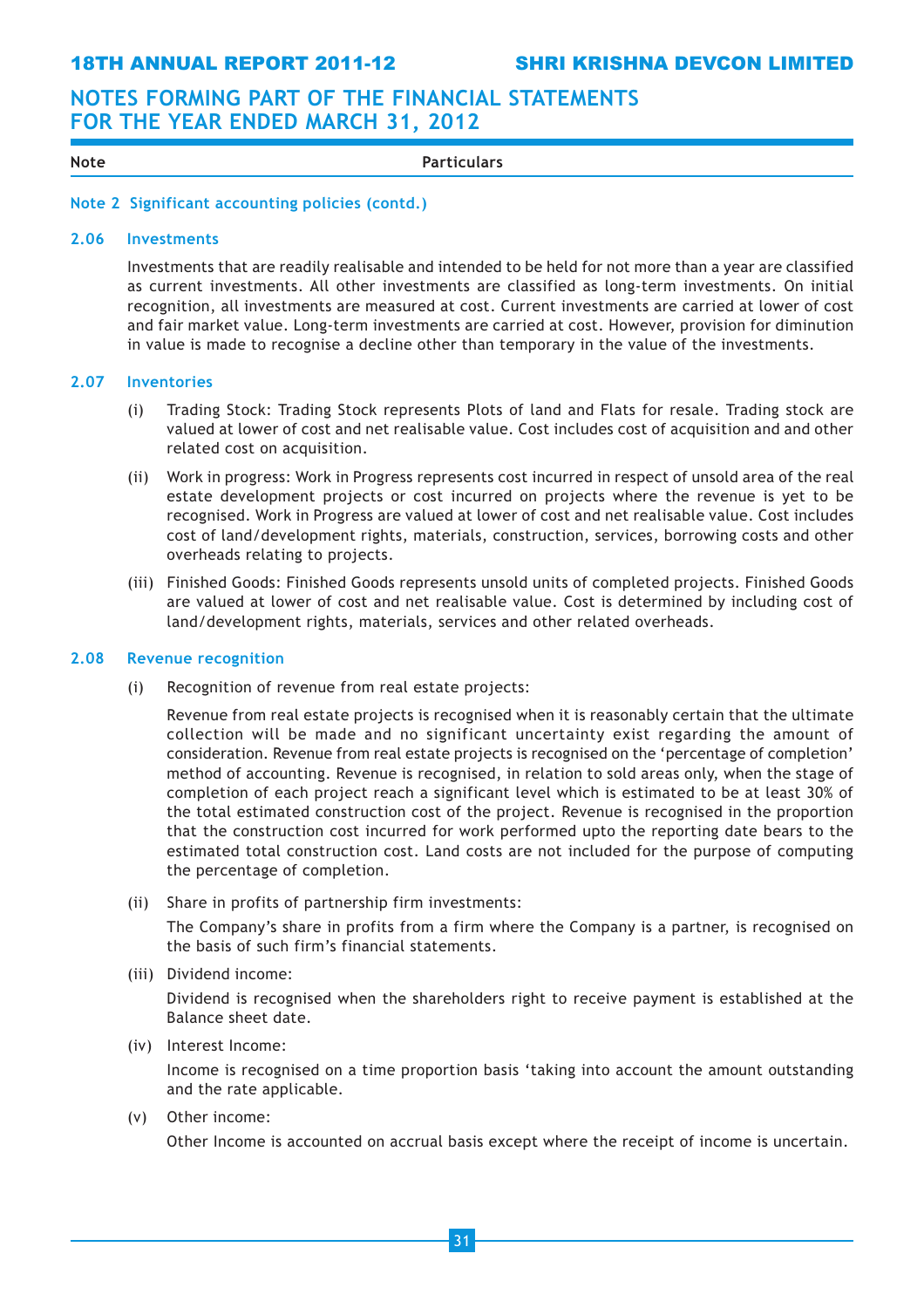Note **Particulars** 

### Note 2 Significant accounting policies (contd.)

#### 2.06 Investments

Investments that are readily realisable and intended to be held for not more than a year are classified as current investments. All other investments are classified as long-term investments. On initial recognition, all investments are measured at cost. Current investments are carried at lower of cost and fair market value. Long-term investments are carried at cost. However, provision for diminution in value is made to recognise a decline other than temporary in the value of the investments.

#### 2.07 Inventories

- (i) Trading Stock: Trading Stock represents Plots of land and Flats for resale. Trading stock are valued at lower of cost and net realisable value. Cost includes cost of acquisition and and other related cost on acquisition.
- (ii) Work in progress: Work in Progress represents cost incurred in respect of unsold area of the real estate development projects or cost incurred on projects where the revenue is yet to be recognised. Work in Progress are valued at lower of cost and net realisable value. Cost includes cost of land/development rights, materials, construction, services, borrowing costs and other overheads relating to projects.
- (iii) Finished Goods: Finished Goods represents unsold units of completed projects. Finished Goods are valued at lower of cost and net realisable value. Cost is determined by including cost of land/development rights, materials, services and other related overheads.

## 2.08 Revenue recognition

(i) Recognition of revenue from real estate projects:

Revenue from real estate projects is recognised when it is reasonably certain that the ultimate collection will be made and no significant uncertainty exist regarding the amount of consideration. Revenue from real estate projects is recognised on the 'percentage of completion' method of accounting. Revenue is recognised, in relation to sold areas only, when the stage of completion of each project reach a significant level which is estimated to be at least 30% of the total estimated construction cost of the project. Revenue is recognised in the proportion that the construction cost incurred for work performed upto the reporting date bears to the estimated total construction cost. Land costs are not included for the purpose of computing the percentage of completion.

- (ii) Share in profits of partnership firm investments: The Company's share in profits from a firm where the Company is a partner, is recognised on the basis of such firm's financial statements.
- (iii) Dividend income:

Dividend is recognised when the shareholders right to receive payment is established at the Balance sheet date.

## (iv) Interest Income:

Income is recognised on a time proportion basis 'taking into account the amount outstanding and the rate applicable.

(v) Other income:

Other Income is accounted on accrual basis except where the receipt of income is uncertain.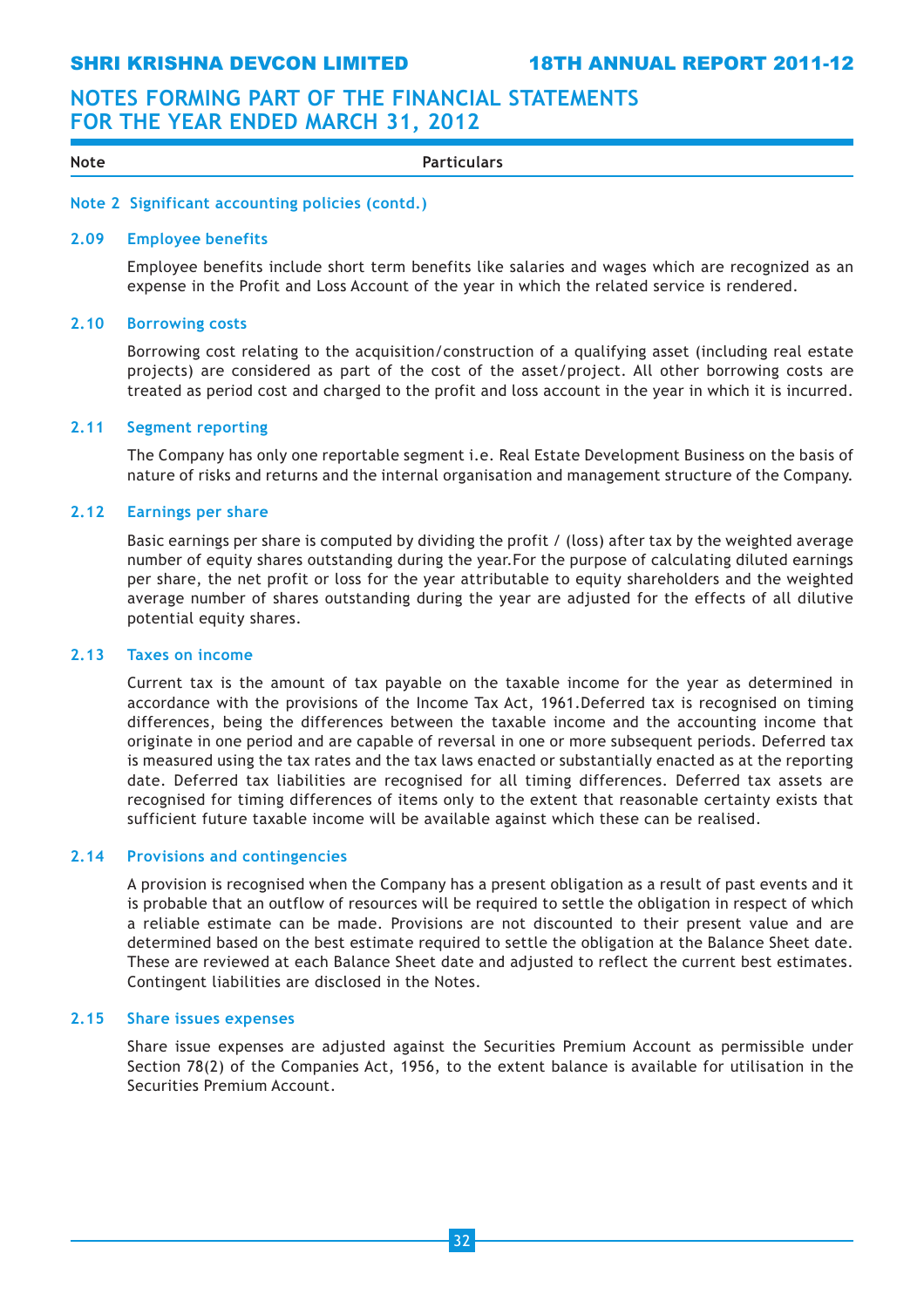SHRI KRISHNA DEVCON LIMITED 18TH ANNUAL REPORT 2011-12

## NOTES FORMING PART OF THE FINANCIAL STATEMENTS FOR THE YEAR ENDED MARCH 31, 2012

| Note | --<br>$-$<br>- 16<br><br>— п.<br>. |
|------|------------------------------------|

### Note 2 Significant accounting policies (contd.)

#### 2.09 Employee benefits

Employee benefits include short term benefits like salaries and wages which are recognized as an expense in the Profit and Loss Account of the year in which the related service is rendered.

#### 2.10 Borrowing costs

Borrowing cost relating to the acquisition/construction of a qualifying asset (including real estate projects) are considered as part of the cost of the asset/project. All other borrowing costs are treated as period cost and charged to the profit and loss account in the year in which it is incurred.

#### 2.11 Segment reporting

The Company has only one reportable segment i.e. Real Estate Development Business on the basis of nature of risks and returns and the internal organisation and management structure of the Company.

#### 2.12 Earnings per share

Basic earnings per share is computed by dividing the profit / (loss) after tax by the weighted average number of equity shares outstanding during the year.For the purpose of calculating diluted earnings per share, the net profit or loss for the year attributable to equity shareholders and the weighted average number of shares outstanding during the year are adjusted for the effects of all dilutive potential equity shares.

### 2.13 Taxes on income

Current tax is the amount of tax payable on the taxable income for the year as determined in accordance with the provisions of the Income Tax Act, 1961.Deferred tax is recognised on timing differences, being the differences between the taxable income and the accounting income that originate in one period and are capable of reversal in one or more subsequent periods. Deferred tax is measured using the tax rates and the tax laws enacted or substantially enacted as at the reporting date. Deferred tax liabilities are recognised for all timing differences. Deferred tax assets are recognised for timing differences of items only to the extent that reasonable certainty exists that sufficient future taxable income will be available against which these can be realised.

#### 2.14 Provisions and contingencies

A provision is recognised when the Company has a present obligation as a result of past events and it is probable that an outflow of resources will be required to settle the obligation in respect of which a reliable estimate can be made. Provisions are not discounted to their present value and are determined based on the best estimate required to settle the obligation at the Balance Sheet date. These are reviewed at each Balance Sheet date and adjusted to reflect the current best estimates. Contingent liabilities are disclosed in the Notes.

#### 2.15 Share issues expenses

Share issue expenses are adjusted against the Securities Premium Account as permissible under Section 78(2) of the Companies Act, 1956, to the extent balance is available for utilisation in the Securities Premium Account.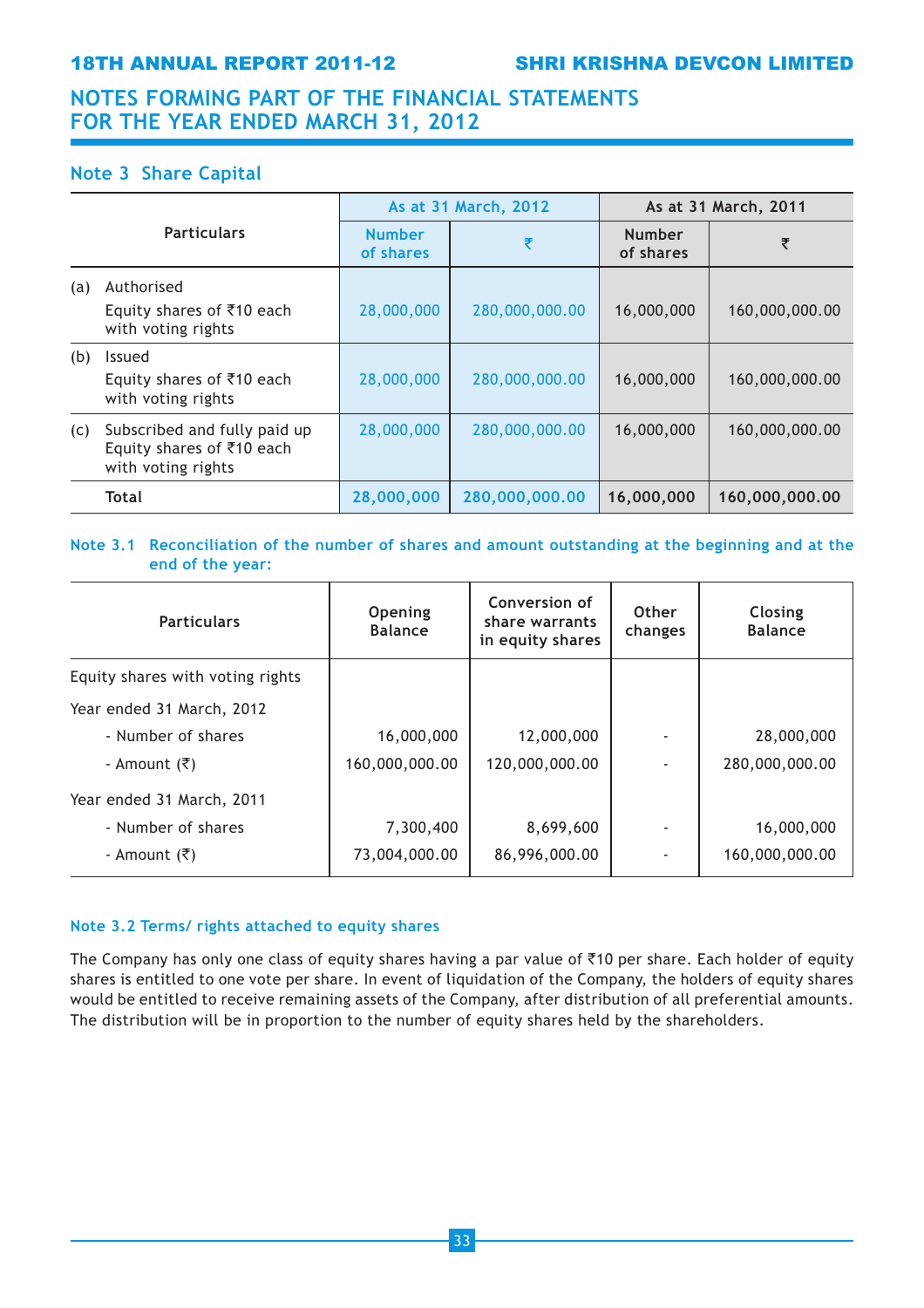## Note 3 Share Capital

|     |                                                                                 |                            | As at 31 March, 2012 | As at 31 March, 2011       |                |
|-----|---------------------------------------------------------------------------------|----------------------------|----------------------|----------------------------|----------------|
|     | <b>Particulars</b>                                                              | <b>Number</b><br>of shares | ₹                    | <b>Number</b><br>of shares | ₹              |
| (a) | Authorised<br>Equity shares of ₹10 each<br>with voting rights                   | 28,000,000                 | 280,000,000.00       | 16,000,000                 | 160,000,000.00 |
| (b) | <b>Issued</b><br>Equity shares of $\bar{\tau}$ 10 each<br>with voting rights    | 28,000,000                 | 280,000,000.00       | 16,000,000                 | 160,000,000.00 |
| (c) | Subscribed and fully paid up<br>Equity shares of ₹10 each<br>with voting rights | 28,000,000                 | 280,000,000.00       | 16,000,000                 | 160,000,000.00 |
|     | <b>Total</b>                                                                    | 28,000,000                 | 280,000,000.00       | 16,000,000                 | 160,000,000.00 |

## Note 3.1 Reconciliation of the number of shares and amount outstanding at the beginning and at the end of the year:

| <b>Particulars</b>               | Opening<br><b>Balance</b> | Conversion of<br>share warrants<br>in equity shares | Other<br>changes | Closing<br><b>Balance</b> |
|----------------------------------|---------------------------|-----------------------------------------------------|------------------|---------------------------|
| Equity shares with voting rights |                           |                                                     |                  |                           |
| Year ended 31 March, 2012        |                           |                                                     |                  |                           |
| - Number of shares               | 16,000,000                | 12,000,000                                          |                  | 28,000,000                |
| - Amount (₹)                     | 160,000,000.00            | 120,000,000.00                                      |                  | 280,000,000.00            |
| Year ended 31 March, 2011        |                           |                                                     |                  |                           |
| - Number of shares               | 7,300,400                 | 8,699,600                                           |                  | 16,000,000                |
| - Amount (₹)                     | 73,004,000.00             | 86,996,000.00                                       |                  | 160,000,000.00            |

## Note 3.2 Terms/ rights attached to equity shares

The Company has only one class of equity shares having a par value of  $\bar{\tau}$ 10 per share. Each holder of equity shares is entitled to one vote per share. In event of liquidation of the Company, the holders of equity shares would be entitled to receive remaining assets of the Company, after distribution of all preferential amounts. The distribution will be in proportion to the number of equity shares held by the shareholders.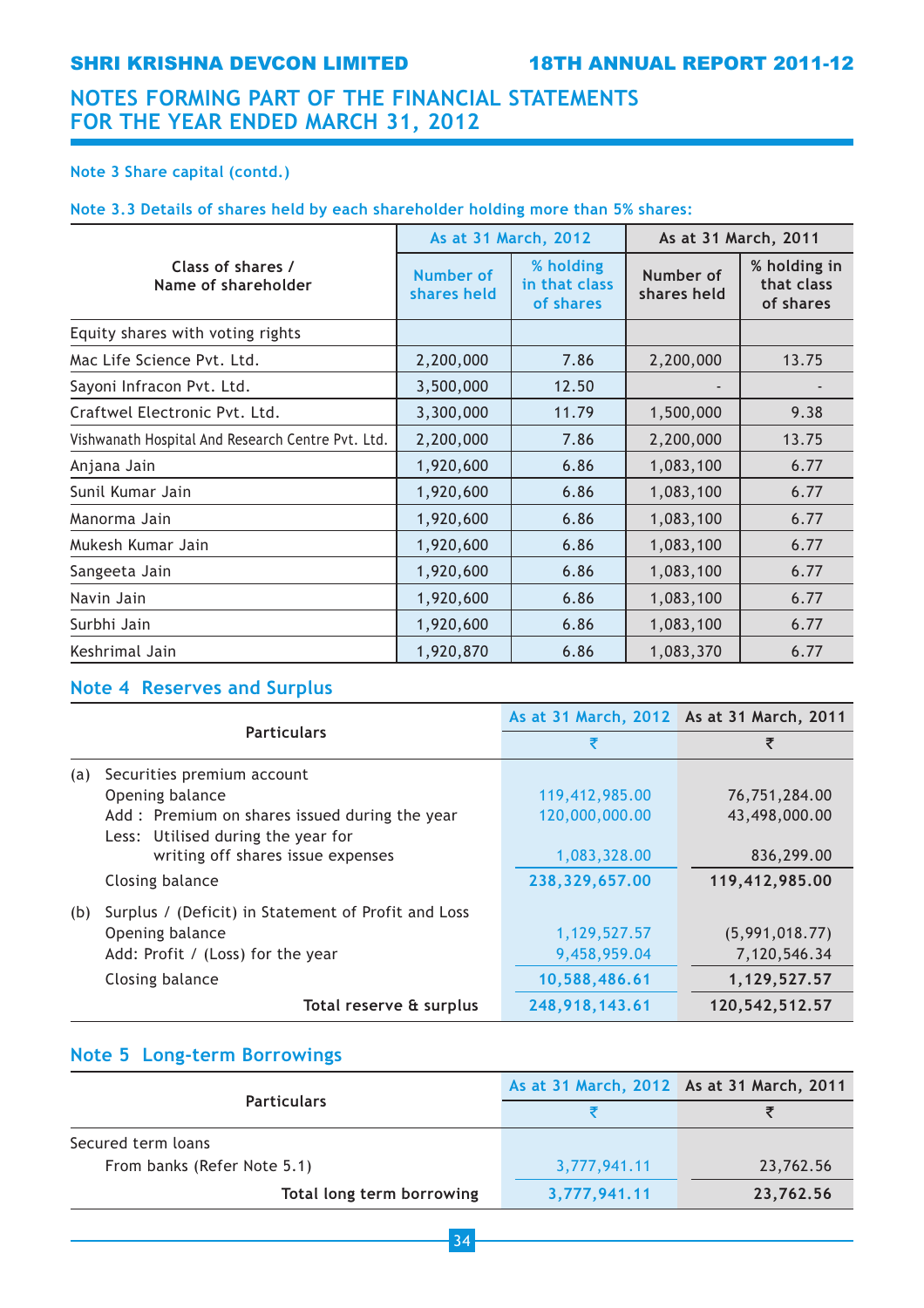## Note 3 Share capital (contd.)

## Note 3.3 Details of shares held by each shareholder holding more than 5% shares:

|                                                   |                          | As at 31 March, 2012                    | As at 31 March, 2011     |                                         |
|---------------------------------------------------|--------------------------|-----------------------------------------|--------------------------|-----------------------------------------|
| Class of shares /<br>Name of shareholder          | Number of<br>shares held | % holding<br>in that class<br>of shares | Number of<br>shares held | % holding in<br>that class<br>of shares |
| Equity shares with voting rights                  |                          |                                         |                          |                                         |
| Mac Life Science Pvt. Ltd.                        | 2,200,000                | 7.86                                    | 2,200,000                | 13.75                                   |
| Sayoni Infracon Pvt. Ltd.                         | 3,500,000                | 12.50                                   |                          |                                         |
| Craftwel Electronic Pyt. Ltd.                     | 3,300,000                | 11.79                                   | 1,500,000                | 9.38                                    |
| Vishwanath Hospital And Research Centre Pvt. Ltd. | 2,200,000                | 7.86                                    | 2,200,000                | 13.75                                   |
| Anjana Jain                                       | 1,920,600                | 6.86                                    | 1,083,100                | 6.77                                    |
| Sunil Kumar Jain                                  | 1,920,600                | 6.86                                    | 1,083,100                | 6.77                                    |
| Manorma Jain                                      | 1,920,600                | 6.86                                    | 1,083,100                | 6.77                                    |
| Mukesh Kumar Jain                                 | 1,920,600                | 6.86                                    | 1,083,100                | 6.77                                    |
| Sangeeta Jain                                     | 1,920,600                | 6.86                                    | 1,083,100                | 6.77                                    |
| Navin Jain                                        | 1,920,600                | 6.86                                    | 1,083,100                | 6.77                                    |
| Surbhi Jain                                       | 1,920,600                | 6.86                                    | 1,083,100                | 6.77                                    |
| Keshrimal Jain                                    | 1,920,870                | 6.86                                    | 1,083,370                | 6.77                                    |

## Note 4 Reserves and Surplus

|     |                                                     | As at 31 March, 2012 As at 31 March, 2011 |                |
|-----|-----------------------------------------------------|-------------------------------------------|----------------|
|     | <b>Particulars</b>                                  | ₹                                         | ₹              |
| (a) | Securities premium account                          |                                           |                |
|     | Opening balance                                     | 119,412,985.00                            | 76,751,284.00  |
|     | Add: Premium on shares issued during the year       | 120,000,000.00                            | 43,498,000.00  |
|     | Less: Utilised during the year for                  |                                           |                |
|     | writing off shares issue expenses                   | 1,083,328.00                              | 836,299.00     |
|     | Closing balance                                     | 238,329,657.00                            | 119,412,985.00 |
| (b) | Surplus / (Deficit) in Statement of Profit and Loss |                                           |                |
|     | Opening balance                                     | 1,129,527.57                              | (5,991,018.77) |
|     | Add: Profit / (Loss) for the year                   | 9,458,959.04                              | 7,120,546.34   |
|     | Closing balance                                     | 10,588,486.61                             | 1,129,527.57   |
|     | Total reserve & surplus                             | 248,918,143.61                            | 120,542,512.57 |

## Note 5 Long-term Borrowings

|                             | As at 31 March, 2012 As at 31 March, 2011 |           |
|-----------------------------|-------------------------------------------|-----------|
| <b>Particulars</b>          |                                           |           |
| Secured term loans          |                                           |           |
| From banks (Refer Note 5.1) | 3,777,941.11                              | 23,762.56 |
| Total long term borrowing   | 3,777,941.11                              | 23,762.56 |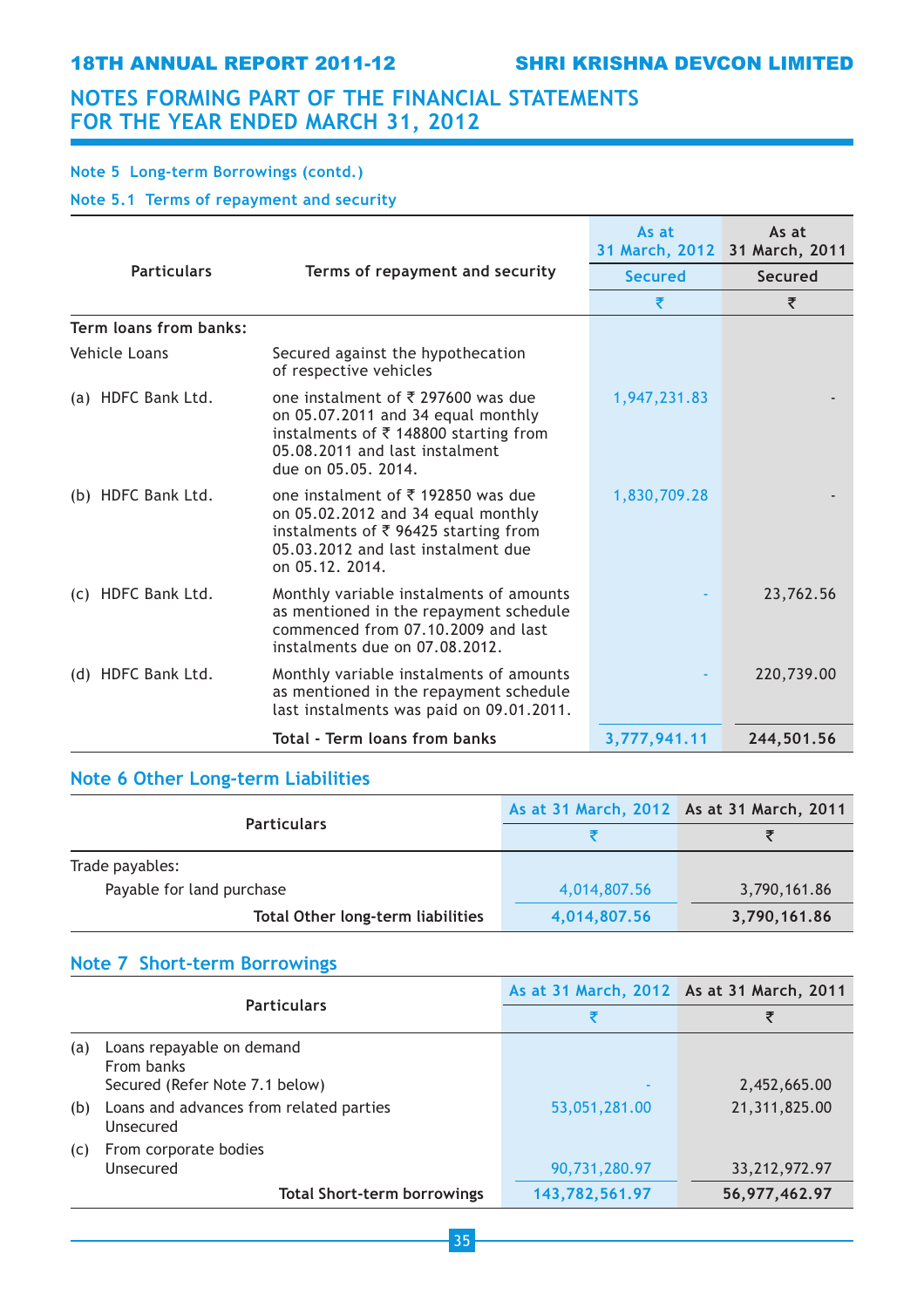## Note 5 Long-term Borrowings (contd.)

Note 5.1 Terms of repayment and security

|                        |                                                                                                                                                                                      | As at          | As at<br>31 March, 2012 31 March, 2011 |
|------------------------|--------------------------------------------------------------------------------------------------------------------------------------------------------------------------------------|----------------|----------------------------------------|
| <b>Particulars</b>     | Terms of repayment and security                                                                                                                                                      | <b>Secured</b> | Secured                                |
|                        |                                                                                                                                                                                      | ₹              | ₹                                      |
| Term loans from banks: |                                                                                                                                                                                      |                |                                        |
| Vehicle Loans          | Secured against the hypothecation<br>of respective vehicles                                                                                                                          |                |                                        |
| (a) HDFC Bank Ltd.     | one instalment of $\bar{\tau}$ 297600 was due<br>on 05.07.2011 and 34 equal monthly<br>instalments of ₹148800 starting from<br>05.08.2011 and last instalment<br>due on 05.05, 2014. | 1,947,231.83   |                                        |
| (b) HDFC Bank Ltd.     | one instalment of ₹192850 was due<br>on 05.02.2012 and 34 equal monthly<br>instalments of ₹ 96425 starting from<br>05.03.2012 and last instalment due<br>on 05.12. 2014.             | 1,830,709.28   |                                        |
| (c) HDFC Bank Ltd.     | Monthly variable instalments of amounts<br>as mentioned in the repayment schedule<br>commenced from 07.10.2009 and last<br>instalments due on 07.08.2012.                            |                | 23,762.56                              |
| (d) HDFC Bank Ltd.     | Monthly variable instalments of amounts<br>as mentioned in the repayment schedule<br>last instalments was paid on 09.01.2011.                                                        |                | 220,739.00                             |
|                        | <b>Total - Term loans from banks</b>                                                                                                                                                 | 3,777,941.11   | 244,501.56                             |

## Note 6 Other Long-term Liabilities

|                                          | As at 31 March, 2012 As at 31 March, 2011 |              |
|------------------------------------------|-------------------------------------------|--------------|
| <b>Particulars</b>                       |                                           |              |
| Trade payables:                          |                                           |              |
| Payable for land purchase                | 4,014,807.56                              | 3,790,161.86 |
| <b>Total Other long-term liabilities</b> | 4,014,807.56                              | 3,790,161.86 |

## Note 7 Short-term Borrowings

|     | <b>Particulars</b>                                                        | As at 31 March, 2012 As at 31 March, 2011 |                  |
|-----|---------------------------------------------------------------------------|-------------------------------------------|------------------|
|     |                                                                           | ₹                                         | ₹                |
| (a) | Loans repayable on demand<br>From banks<br>Secured (Refer Note 7.1 below) |                                           | 2,452,665.00     |
| (b) | Loans and advances from related parties<br>Unsecured                      | 53,051,281.00                             | 21,311,825.00    |
| (c) | From corporate bodies<br><b>Unsecured</b>                                 | 90,731,280.97                             | 33, 212, 972. 97 |
|     | <b>Total Short-term borrowings</b>                                        | 143,782,561.97                            | 56,977,462.97    |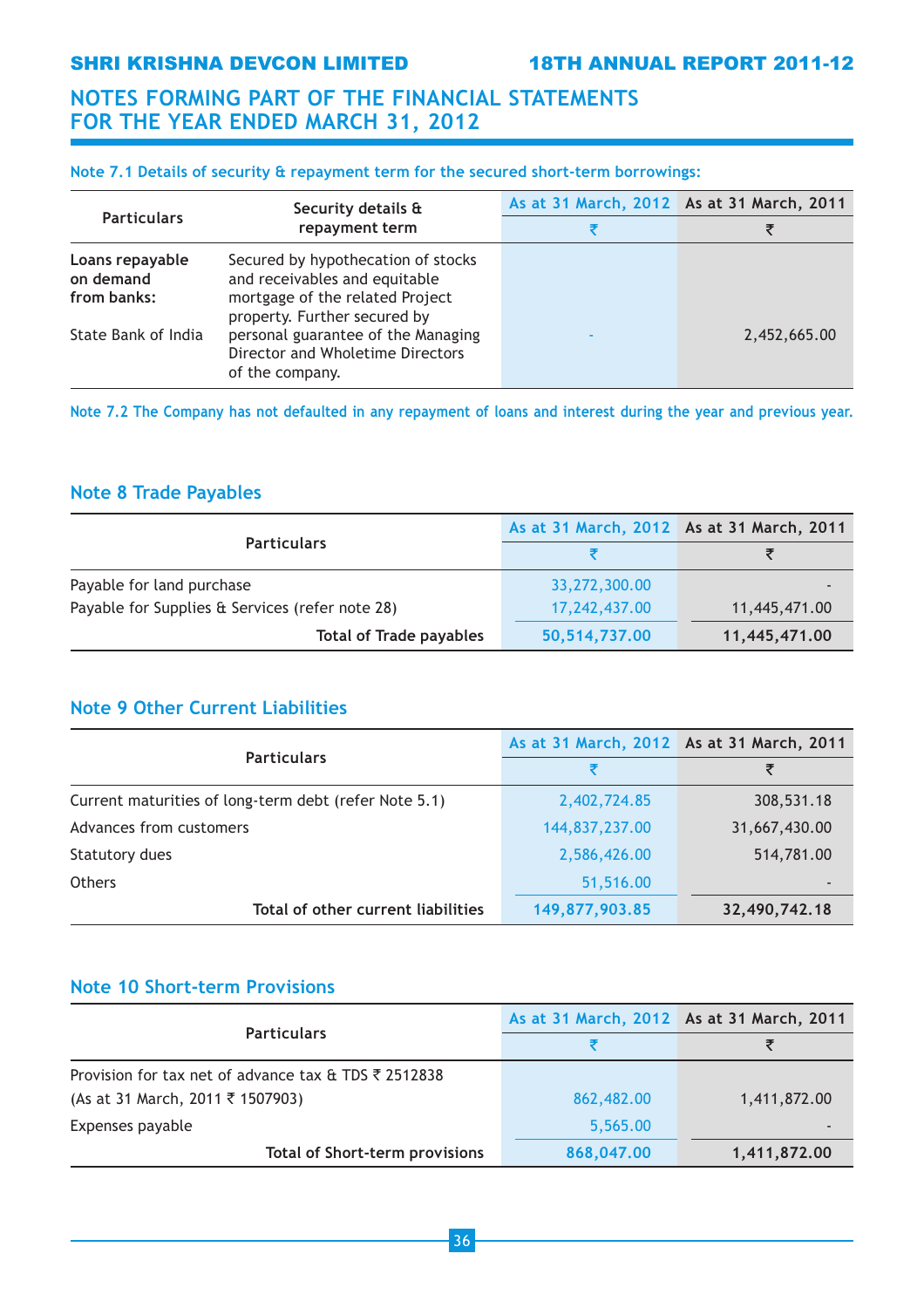SHRI KRISHNA DEVCON LIMITED 18TH ANNUAL REPORT 2011-12

## NOTES FORMING PART OF THE FINANCIAL STATEMENTS FOR THE YEAR ENDED MARCH 31, 2012

## Note 7.1 Details of security & repayment term for the secured short-term borrowings:

|                                             | Security details &                                                                                                                     | As at 31 March, 2012 As at 31 March, 2011 |              |
|---------------------------------------------|----------------------------------------------------------------------------------------------------------------------------------------|-------------------------------------------|--------------|
| <b>Particulars</b>                          | repayment term                                                                                                                         |                                           |              |
| Loans repayable<br>on demand<br>from banks: | Secured by hypothecation of stocks<br>and receivables and equitable<br>mortgage of the related Project<br>property. Further secured by |                                           |              |
| State Bank of India                         | personal guarantee of the Managing<br>Director and Wholetime Directors<br>of the company.                                              |                                           | 2,452,665.00 |

Note 7.2 The Company has not defaulted in any repayment of loans and interest during the year and previous year.

## Note 8 Trade Payables

|                                                 | As at 31 March, 2012 As at 31 March, 2011 |               |
|-------------------------------------------------|-------------------------------------------|---------------|
| <b>Particulars</b>                              |                                           |               |
| Payable for land purchase                       | 33,272,300.00                             |               |
| Payable for Supplies & Services (refer note 28) | 17,242,437.00                             | 11,445,471.00 |
| <b>Total of Trade payables</b>                  | 50,514,737.00                             | 11,445,471.00 |

## Note 9 Other Current Liabilities

|                                                       | As at 31 March, 2012 As at 31 March, 2011 |               |
|-------------------------------------------------------|-------------------------------------------|---------------|
| <b>Particulars</b>                                    | ₹                                         | ₹             |
| Current maturities of long-term debt (refer Note 5.1) | 2,402,724.85                              | 308,531.18    |
| Advances from customers                               | 144,837,237.00                            | 31,667,430.00 |
| Statutory dues                                        | 2,586,426.00                              | 514,781.00    |
| <b>Others</b>                                         | 51,516.00                                 | ٠             |
| Total of other current liabilities                    | 149,877,903.85                            | 32,490,742.18 |

## Note 10 Short-term Provisions

|                                                      | As at 31 March, 2012 As at 31 March, 2011 |              |
|------------------------------------------------------|-------------------------------------------|--------------|
| <b>Particulars</b>                                   |                                           |              |
| Provision for tax net of advance tax & TDS ₹ 2512838 |                                           |              |
| (As at 31 March, 2011 ₹ 1507903)                     | 862,482.00                                | 1,411,872.00 |
| Expenses payable                                     | 5,565.00                                  |              |
| <b>Total of Short-term provisions</b>                | 868,047.00                                | 1,411,872.00 |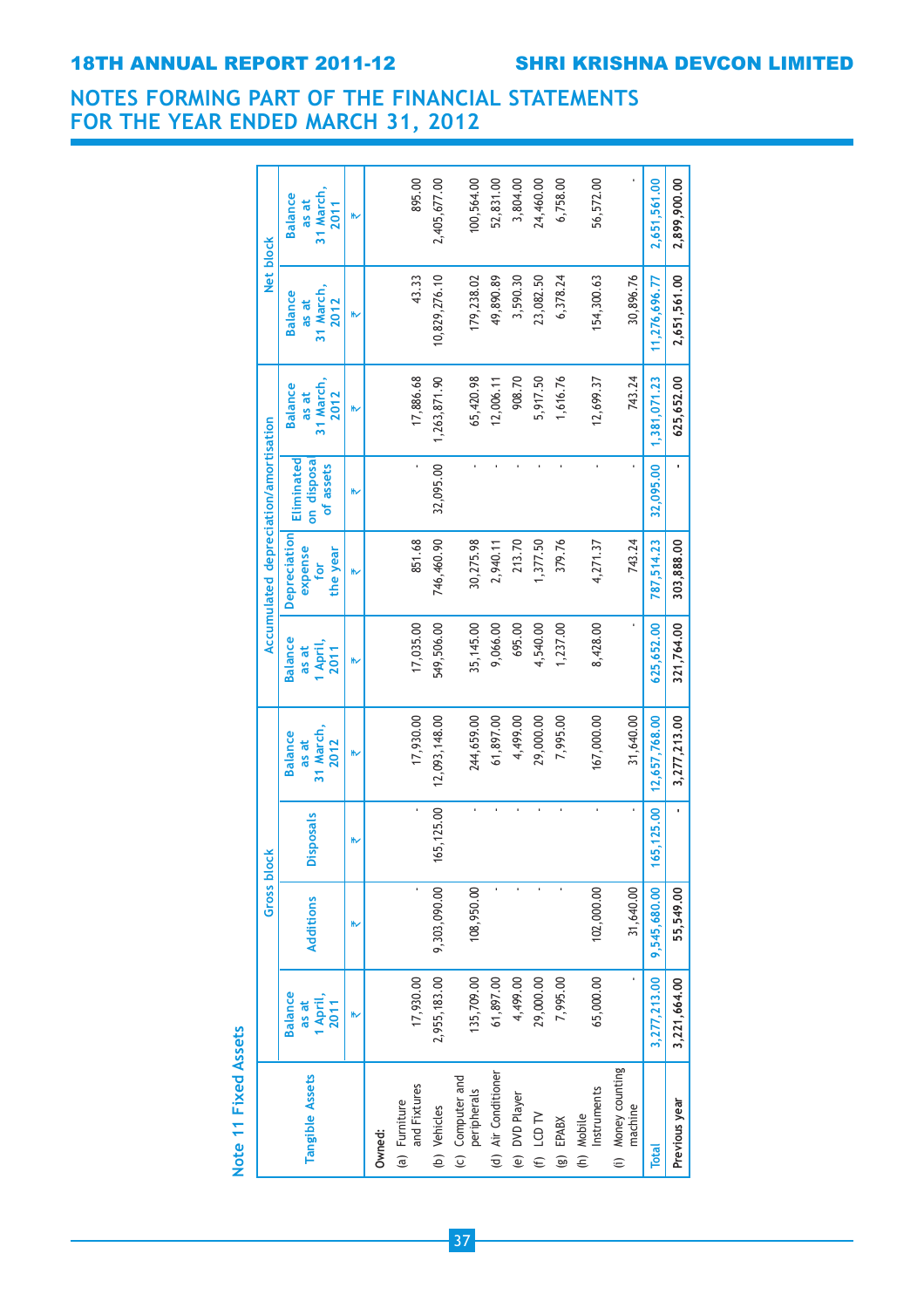## 18TH ANNUAL REPORT 2011-12 SHRI KRISHNA DEVCON LIMITED

## NOTES FORMING PART OF THE FINANCIAL STATEMENTS FOR THE YEAR ENDED MARCH 31, 2012

|                                 |                                             | <b>Gross block</b> |                  |                                              |                                             | Accumulated depreciation/amortisation      |                                       |                                              | Net block                                    |                                              |
|---------------------------------|---------------------------------------------|--------------------|------------------|----------------------------------------------|---------------------------------------------|--------------------------------------------|---------------------------------------|----------------------------------------------|----------------------------------------------|----------------------------------------------|
| Tangible Assets                 | <b>Balance</b><br>1 April,<br>2011<br>as at | <b>Additions</b>   | <b>Disposals</b> | 31 March,<br><b>Balance</b><br>2012<br>as at | <b>Balance</b><br>1 April,<br>as at<br>2011 | Depreciation<br>expense<br>the year<br>for | Eliminated<br>on disposa<br>of assets | 31 March,<br><b>Balance</b><br>2012<br>as at | 31 March,<br><b>Balance</b><br>2012<br>as at | 31 March,<br><b>Balance</b><br>as at<br>2011 |
|                                 |                                             | ₩                  | ₩                | ⊮                                            | 、                                           | ⊮                                          | ₩                                     | 、                                            | 、                                            |                                              |
| Owned:                          |                                             |                    |                  |                                              |                                             |                                            |                                       |                                              |                                              |                                              |
| and Fixtures<br>(a) Furniture   | 17,930.00                                   |                    |                  | 17,930.00                                    | 17,035.00                                   | 851.68                                     |                                       | 17,886.68                                    | 43.33                                        | 895.00                                       |
| (b) Vehicles                    | 2,955,183.00                                | 9,303,090.00       | 165,125.00       | 12,093,148.00                                | 549,506.00                                  | 746,460.90                                 | 32,095.00                             | 1,263,871.90                                 | 10,829,276.10                                | 2,405,677.00                                 |
| (c) Computer and<br>peripherals | 135,709.00                                  | 108,950.00         |                  | 244,659.00                                   | 35, 145.00                                  | 30,275.98                                  |                                       | 65,420.98                                    | 179,238.02                                   | 100,564.00                                   |
| (d) Air Conditioner             | 61,897.00                                   |                    |                  | 61,897.00                                    | 9,066.00                                    | 2,940.11                                   |                                       | 12,006.11                                    | 49,890.89                                    | 52,831.00                                    |
| (e) DVD Player                  | 4,499.00                                    |                    |                  | 4,499.00                                     | 695.00                                      | 213.70                                     |                                       | 908.70                                       | 3,590.30                                     | 3,804.00                                     |
| (f) $LCDT$                      | 29,000.00                                   |                    |                  | 29,000.00                                    | 4,540.00                                    | 1,377.50                                   |                                       | 5,917.50                                     | 23,082.50                                    | 24,460.00                                    |
| EPABX<br>$\widehat{\mathbf{e}}$ | 7,995.00                                    |                    |                  | 7,995.00                                     | 1,237.00                                    | 379.76                                     |                                       | 1,616.76                                     | 6,378.24                                     | 6,758.00                                     |
| Instruments<br>(h) Mobile       | 65,000.00                                   | 102,000.00         |                  | 167,000.00                                   | 8,428.00                                    | 4,271.37                                   |                                       | 12,699.37                                    | 154,300.63                                   | 56,572.00                                    |
| (i) Money counting<br>machine   |                                             | 31,640.00          |                  | 31,640.00                                    |                                             | 743.24                                     |                                       | 743.24                                       | 30,896.76                                    |                                              |
| <b>Total</b>                    | 3,277,213.00                                | 9,545,680.00       | 65, 125.00       | 12,657,768.00                                | 625,652.00                                  | 787,514.23                                 | 32,095.00                             | 1,381,071.23                                 | 11,276,696.77                                | 2,651,561.00                                 |
| Previous year                   | 3,221,664.00                                | 55,549.00          | ı                | 3,277,213.00                                 | 321,764.00                                  | 303,888.00                                 |                                       | 625,652.00                                   | 2,651,561.00                                 | 2,899,900.00                                 |

Note 11 Fixed Assets Note 11 Fixed Assets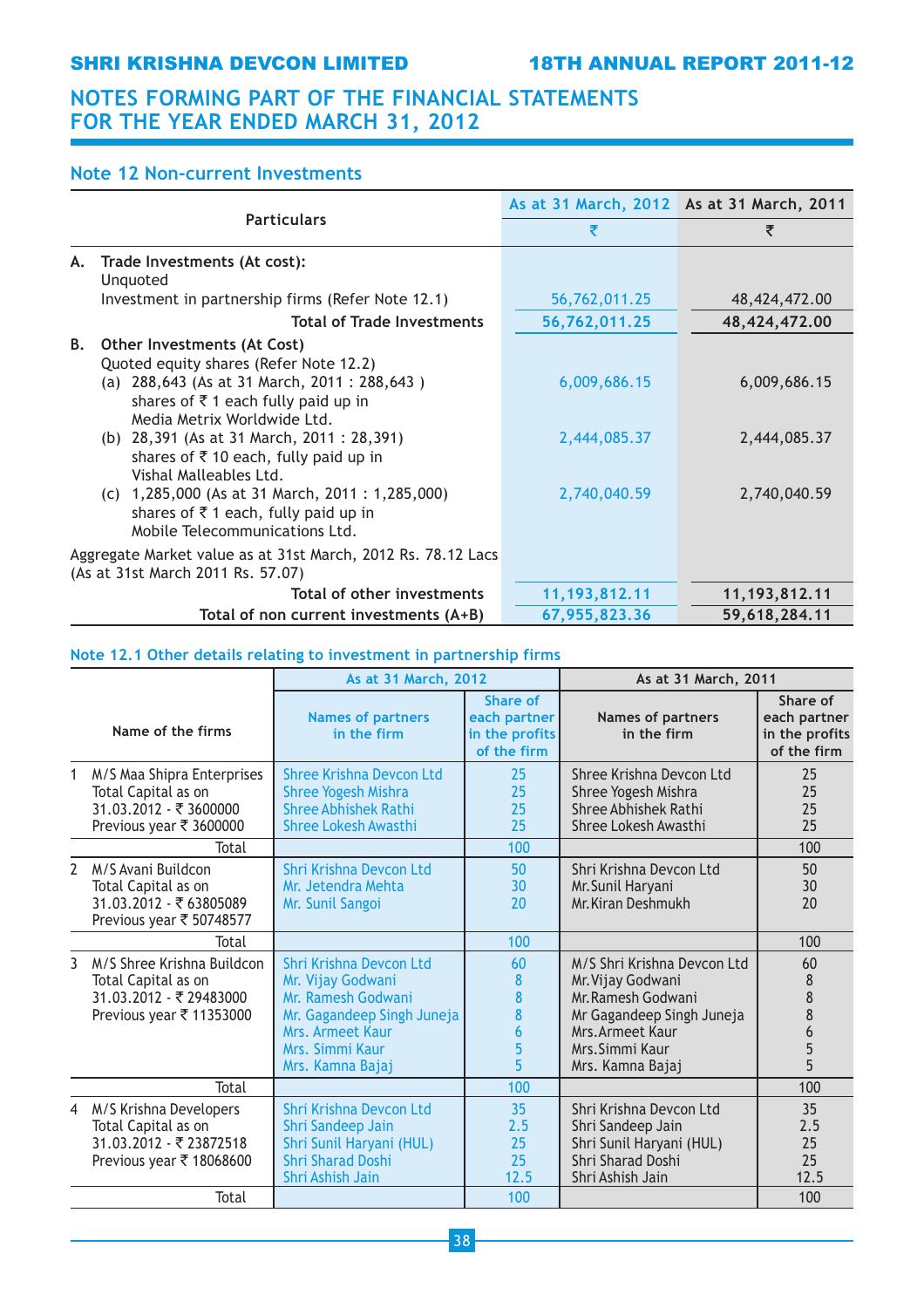## SHRI KRISHNA DEVCON LIMITED 18TH ANNUAL REPORT 2011-12

## NOTES FORMING PART OF THE FINANCIAL STATEMENTS FOR THE YEAR ENDED MARCH 31, 2012

## Note 12 Non-current Investments

|                                                                                                                                                                                                                                                                                                                                                                                                                                                                                               | As at 31 March, 2012 As at 31 March, 2011    |                                              |
|-----------------------------------------------------------------------------------------------------------------------------------------------------------------------------------------------------------------------------------------------------------------------------------------------------------------------------------------------------------------------------------------------------------------------------------------------------------------------------------------------|----------------------------------------------|----------------------------------------------|
| <b>Particulars</b>                                                                                                                                                                                                                                                                                                                                                                                                                                                                            | ₹                                            | ₹                                            |
| Trade Investments (At cost):<br>А.<br>Unquoted                                                                                                                                                                                                                                                                                                                                                                                                                                                |                                              |                                              |
| Investment in partnership firms (Refer Note 12.1)                                                                                                                                                                                                                                                                                                                                                                                                                                             | 56,762,011.25                                | 48,424,472.00                                |
| <b>Total of Trade Investments</b>                                                                                                                                                                                                                                                                                                                                                                                                                                                             | 56,762,011.25                                | 48,424,472.00                                |
| В.<br>Other Investments (At Cost)<br>Quoted equity shares (Refer Note 12.2)<br>(a) 288,643 (As at 31 March, 2011 : 288,643)<br>shares of $\overline{\zeta}$ 1 each fully paid up in<br>Media Metrix Worldwide Ltd.<br>(b) 28,391 (As at 31 March, 2011 : 28,391)<br>shares of $\bar{\tau}$ 10 each, fully paid up in<br>Vishal Malleables Ltd.<br>(c) $1,285,000$ (As at 31 March, 2011 : 1,285,000)<br>shares of $\overline{\xi}$ 1 each, fully paid up in<br>Mobile Telecommunications Ltd. | 6,009,686.15<br>2,444,085.37<br>2,740,040.59 | 6,009,686.15<br>2,444,085.37<br>2,740,040.59 |
| Aggregate Market value as at 31st March, 2012 Rs. 78.12 Lacs<br>(As at 31st March 2011 Rs. 57.07)                                                                                                                                                                                                                                                                                                                                                                                             |                                              |                                              |
| Total of other investments                                                                                                                                                                                                                                                                                                                                                                                                                                                                    | 11, 193, 812. 11                             | 11, 193, 812. 11                             |
| Total of non current investments (A+B)                                                                                                                                                                                                                                                                                                                                                                                                                                                        | 67,955,823.36                                | 59,618,284.11                                |

## Note 12.1 Other details relating to investment in partnership firms

|                |                                                                                                          | As at 31 March, 2012                                                                                                                                        |                                                           | As at 31 March, 2011                                                                                                                                           |                                                           |
|----------------|----------------------------------------------------------------------------------------------------------|-------------------------------------------------------------------------------------------------------------------------------------------------------------|-----------------------------------------------------------|----------------------------------------------------------------------------------------------------------------------------------------------------------------|-----------------------------------------------------------|
|                | Name of the firms                                                                                        | <b>Names of partners</b><br>in the firm                                                                                                                     | Share of<br>each partner<br>in the profits<br>of the firm | <b>Names of partners</b><br>in the firm                                                                                                                        | Share of<br>each partner<br>in the profits<br>of the firm |
| 1              | M/S Maa Shipra Enterprises<br>Total Capital as on<br>31.03.2012 - ₹ 3600000<br>Previous year ₹ 3600000   | Shree Krishna Devcon Ltd<br><b>Shree Yogesh Mishra</b><br><b>Shree Abhishek Rathi</b><br><b>Shree Lokesh Awasthi</b>                                        | 25<br>25<br>25<br>25                                      | Shree Krishna Devcon Ltd<br>Shree Yogesh Mishra<br><b>Shree Abhishek Rathi</b><br>Shree Lokesh Awasthi                                                         | 25<br>25<br>25<br>25                                      |
|                | Total                                                                                                    |                                                                                                                                                             | 100                                                       |                                                                                                                                                                | 100                                                       |
| $\overline{2}$ | M/S Avani Buildcon<br>Total Capital as on<br>31.03.2012 - ₹63805089<br>Previous year ₹ 50748577          | Shri Krishna Devcon Ltd<br>Mr. Jetendra Mehta<br>Mr. Sunil Sangoi                                                                                           | 50<br>30<br>20                                            | Shri Krishna Devcon Ltd<br>Mr. Sunil Haryani<br>Mr. Kiran Deshmukh                                                                                             | 50<br>30<br>20                                            |
|                | Total                                                                                                    |                                                                                                                                                             | 100                                                       |                                                                                                                                                                | 100                                                       |
| 3              | M/S Shree Krishna Buildcon<br>Total Capital as on<br>31.03.2012 - ₹ 29483000<br>Previous year ₹ 11353000 | Shri Krishna Devcon Ltd<br>Mr. Vijay Godwani<br>Mr. Ramesh Godwani<br>Mr. Gagandeep Singh Juneja<br>Mrs. Armeet Kaur<br>Mrs. Simmi Kaur<br>Mrs. Kamna Bajaj | 60<br>8<br>8<br>8<br>6<br>5<br>5                          | M/S Shri Krishna Devcon Ltd<br>Mr. Vijay Godwani<br>Mr. Ramesh Godwani<br>Mr Gagandeep Singh Juneja<br>Mrs. Armeet Kaur<br>Mrs. Simmi Kaur<br>Mrs. Kamna Bajaj | 60<br>8<br>8<br>8<br>6<br>5<br>5                          |
|                | Total                                                                                                    |                                                                                                                                                             | 100                                                       |                                                                                                                                                                | 100                                                       |
| 4              | M/S Krishna Developers<br>Total Capital as on<br>31.03.2012 - ₹23872518<br>Previous year ₹ 18068600      | Shri Krishna Devcon Ltd<br>Shri Sandeep Jain<br>Shri Sunil Haryani (HUL)<br><b>Shri Sharad Doshi</b><br>Shri Ashish Jain                                    | 35<br>2.5<br>25<br>25<br>12.5                             | Shri Krishna Devcon Ltd<br>Shri Sandeep Jain<br>Shri Sunil Haryani (HUL)<br><b>Shri Sharad Doshi</b><br>Shri Ashish Jain                                       | 35<br>2.5<br>25<br>25<br>12.5                             |
|                | Total                                                                                                    |                                                                                                                                                             | 100                                                       |                                                                                                                                                                | 100                                                       |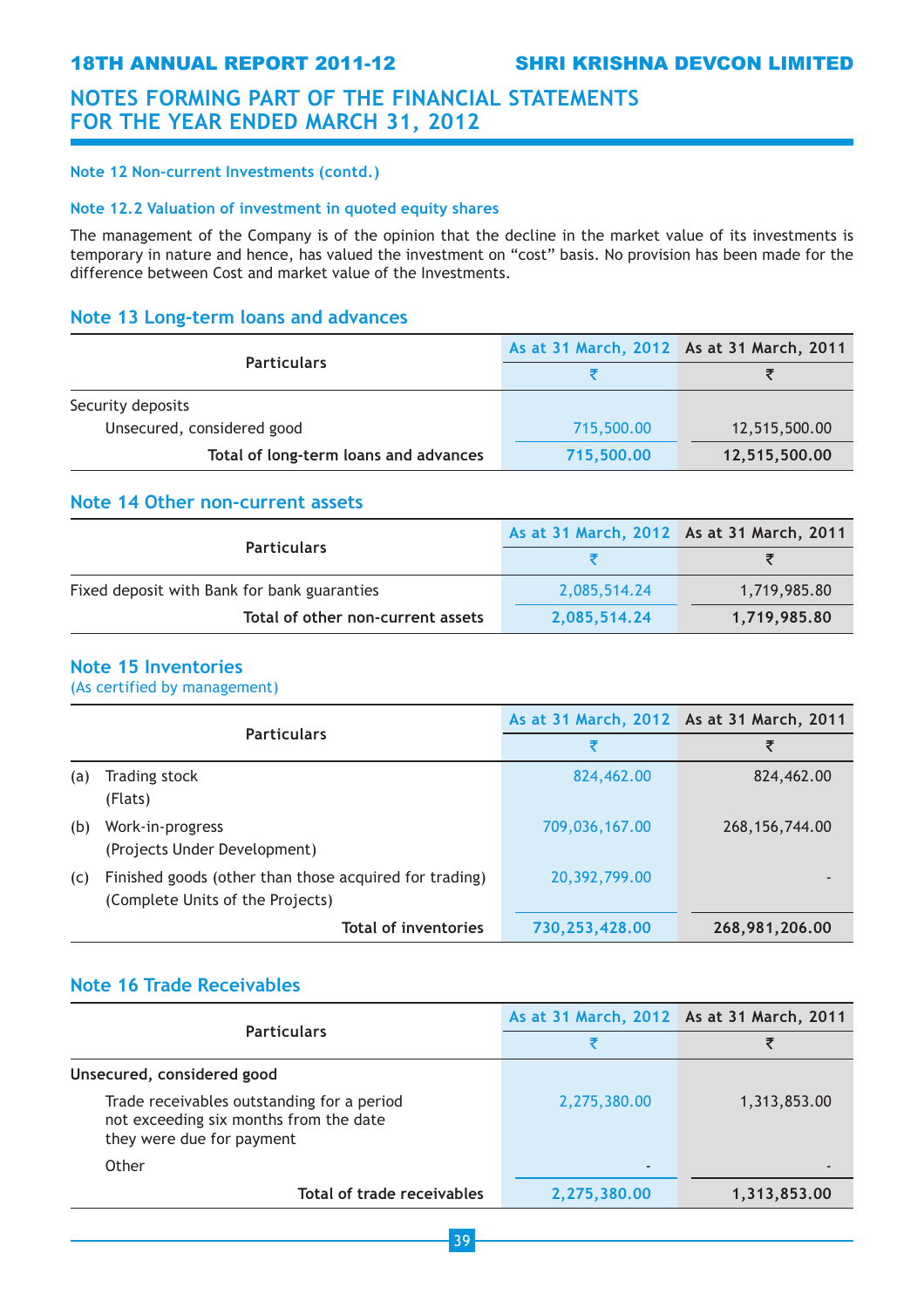### Note 12 Non-current Investments (contd.)

### Note 12.2 Valuation of investment in quoted equity shares

The management of the Company is of the opinion that the decline in the market value of its investments is temporary in nature and hence, has valued the investment on "cost" basis. No provision has been made for the difference between Cost and market value of the Investments.

## Note 13 Long-term loans and advances

|                                       | As at 31 March, 2012 As at 31 March, 2011 |               |
|---------------------------------------|-------------------------------------------|---------------|
| <b>Particulars</b>                    |                                           |               |
| Security deposits                     |                                           |               |
| Unsecured, considered good            | 715,500.00                                | 12,515,500.00 |
| Total of long-term loans and advances | 715,500.00                                | 12,515,500.00 |

## Note 14 Other non-current assets

| <b>Particulars</b>                          | As at 31 March, 2012 As at 31 March, 2011 |              |
|---------------------------------------------|-------------------------------------------|--------------|
|                                             |                                           |              |
| Fixed deposit with Bank for bank guaranties | 2,085,514.24                              | 1,719,985.80 |
| Total of other non-current assets           | 2,085,514.24                              | 1,719,985.80 |

## Note 15 Inventories

(As certified by management)

|     | <b>Particulars</b>                                                                         | As at 31 March, 2012 As at 31 March, 2011 |                  |  |
|-----|--------------------------------------------------------------------------------------------|-------------------------------------------|------------------|--|
|     |                                                                                            | ₹                                         | ₹                |  |
| (a) | Trading stock<br>(Flats)                                                                   | 824,462.00                                | 824,462.00       |  |
| (b) | Work-in-progress<br>(Projects Under Development)                                           | 709,036,167.00                            | 268, 156, 744.00 |  |
| (c) | Finished goods (other than those acquired for trading)<br>(Complete Units of the Projects) | 20,392,799.00                             |                  |  |
|     | <b>Total of inventories</b>                                                                | 730,253,428.00                            | 268,981,206.00   |  |

## Note 16 Trade Receivables

|                                                                                                                   | As at 31 March, 2012 As at 31 March, 2011 |                |
|-------------------------------------------------------------------------------------------------------------------|-------------------------------------------|----------------|
| <b>Particulars</b>                                                                                                |                                           |                |
| Unsecured, considered good                                                                                        |                                           |                |
| Trade receivables outstanding for a period<br>not exceeding six months from the date<br>they were due for payment | 2,275,380.00                              | 1,313,853.00   |
| Other                                                                                                             | $\overline{\phantom{a}}$                  | $\overline{a}$ |
| Total of trade receivables                                                                                        | 2,275,380.00                              | 1,313,853.00   |

39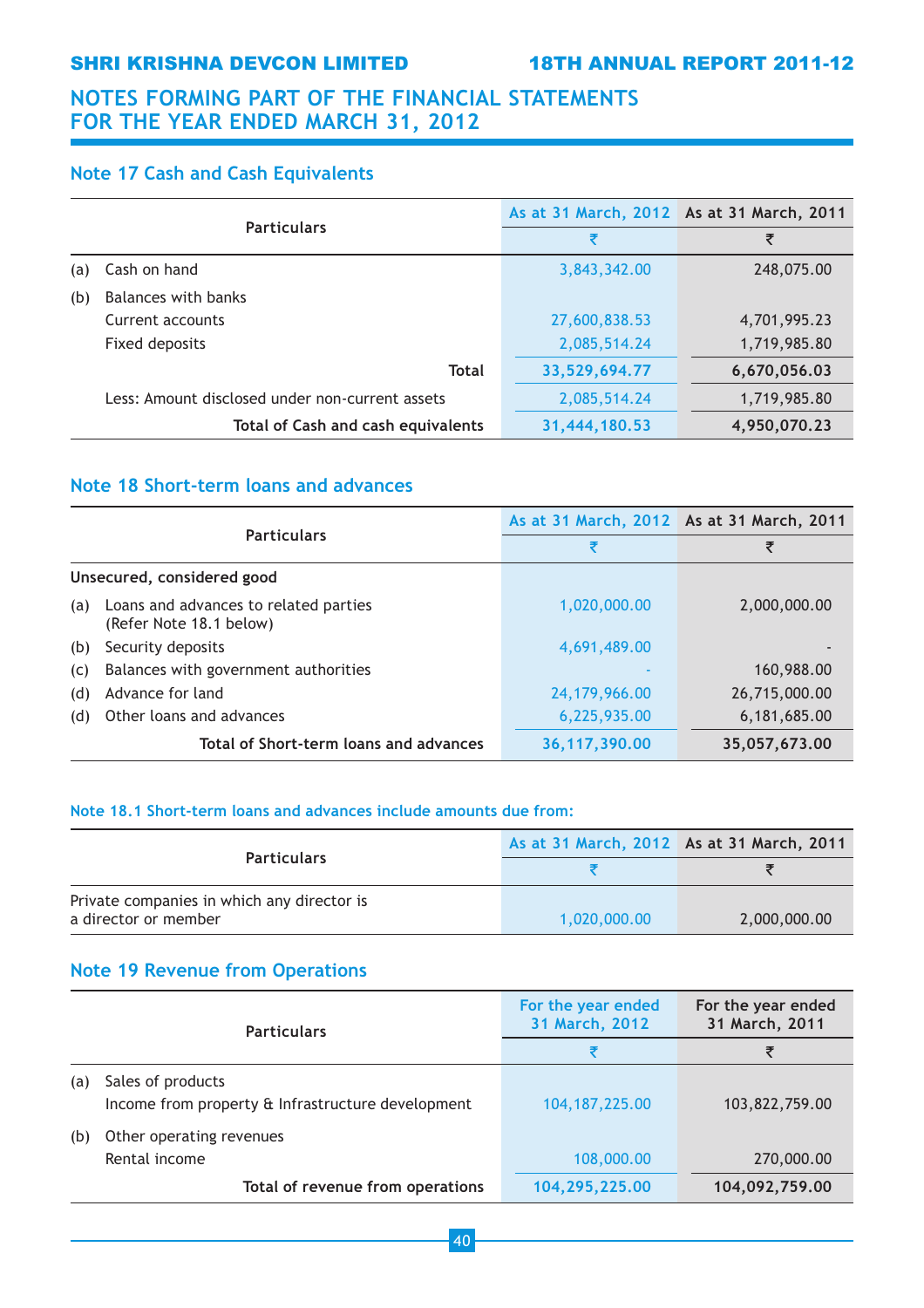## SHRI KRISHNA DEVCON LIMITED 18TH ANNUAL REPORT 2011-12

## NOTES FORMING PART OF THE FINANCIAL STATEMENTS FOR THE YEAR ENDED MARCH 31, 2012

## Note 17 Cash and Cash Equivalents

|     |                                                 | As at 31 March, 2012 As at 31 March, 2011 |              |
|-----|-------------------------------------------------|-------------------------------------------|--------------|
|     | <b>Particulars</b>                              | ₹                                         | ₹            |
| (a) | Cash on hand                                    | 3,843,342.00                              | 248,075.00   |
| (b) | Balances with banks                             |                                           |              |
|     | Current accounts                                | 27,600,838.53                             | 4,701,995.23 |
|     | Fixed deposits                                  | 2,085,514.24                              | 1,719,985.80 |
|     | <b>Total</b>                                    | 33,529,694.77                             | 6,670,056.03 |
|     | Less: Amount disclosed under non-current assets | 2,085,514.24                              | 1,719,985.80 |
|     | <b>Total of Cash and cash equivalents</b>       | 31,444,180.53                             | 4,950,070.23 |

## Note 18 Short-term loans and advances

| <b>Particulars</b> |                                                                  | As at 31 March, 2012 As at 31 March, 2011 |               |
|--------------------|------------------------------------------------------------------|-------------------------------------------|---------------|
|                    |                                                                  | ₹                                         | ₹             |
|                    | Unsecured, considered good                                       |                                           |               |
| (a)                | Loans and advances to related parties<br>(Refer Note 18.1 below) | 1,020,000.00                              | 2,000,000.00  |
| (b)                | Security deposits                                                | 4,691,489.00                              |               |
| (c)                | Balances with government authorities                             |                                           | 160,988.00    |
| (d)                | Advance for land                                                 | 24,179,966.00                             | 26,715,000.00 |
| (d)                | Other loans and advances                                         | 6,225,935.00                              | 6,181,685.00  |
|                    | Total of Short-term loans and advances                           | 36, 117, 390.00                           | 35,057,673.00 |

## Note 18.1 Short-term loans and advances include amounts due from:

|                                            | As at 31 March, 2012 As at 31 March, 2011 |              |
|--------------------------------------------|-------------------------------------------|--------------|
| <b>Particulars</b>                         |                                           |              |
| Private companies in which any director is |                                           |              |
| a director or member                       | 1.020.000.00                              | 2,000,000.00 |

## Note 19 Revenue from Operations

|     | <b>Particulars</b>                                                     | For the year ended<br>31 March, 2012 | For the year ended<br>31 March, 2011 |
|-----|------------------------------------------------------------------------|--------------------------------------|--------------------------------------|
|     |                                                                        | ₹                                    | ₹                                    |
| (a) | Sales of products<br>Income from property & Infrastructure development | 104, 187, 225.00                     | 103,822,759.00                       |
| (b) | Other operating revenues<br>Rental income                              | 108,000.00                           | 270,000.00                           |
|     | Total of revenue from operations                                       | 104,295,225.00                       | 104,092,759.00                       |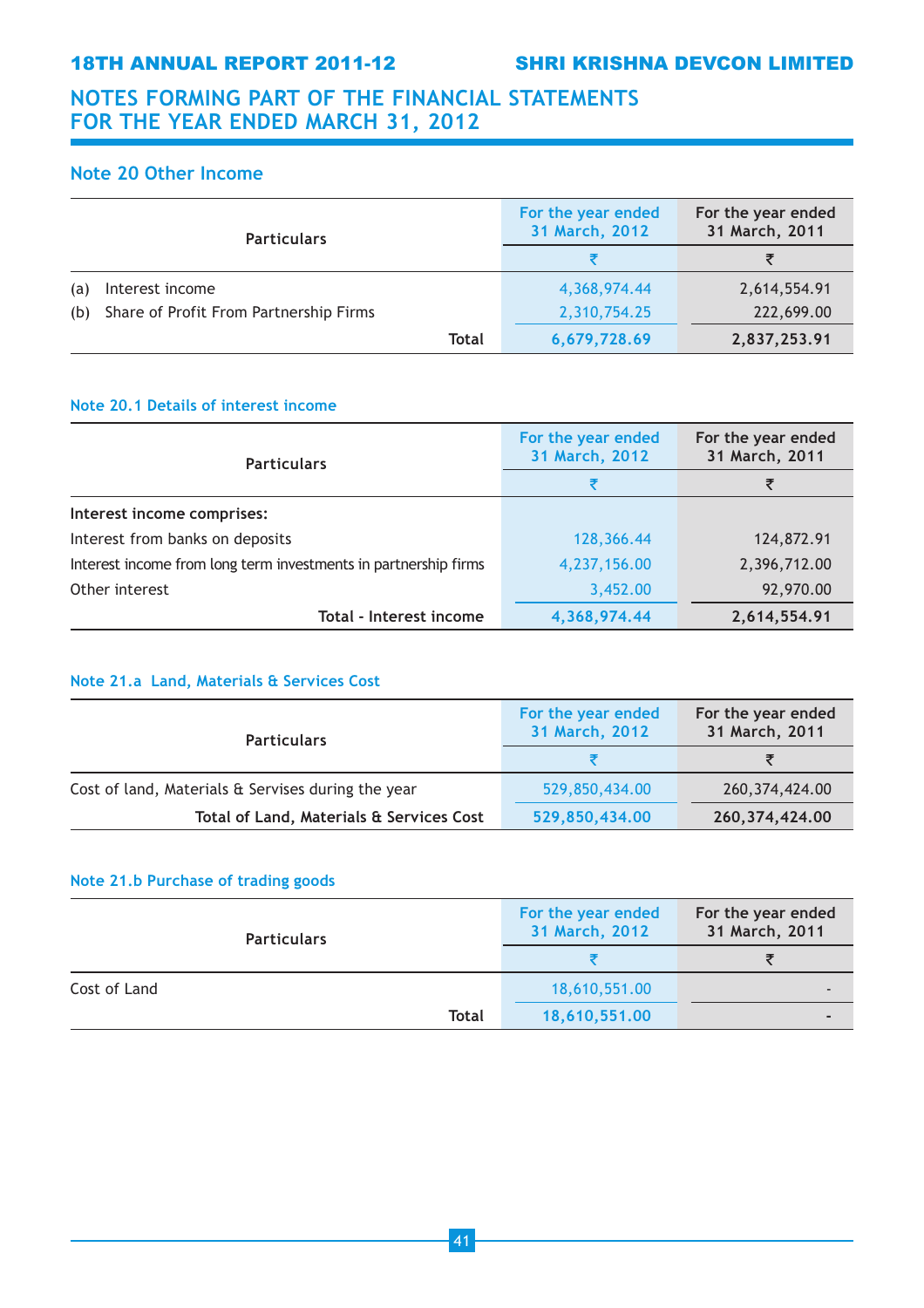## Note 20 Other Income

| <b>Particulars</b>                            | For the year ended<br>31 March, 2012 | For the year ended<br>31 March, 2011 |
|-----------------------------------------------|--------------------------------------|--------------------------------------|
|                                               |                                      | ₹                                    |
| Interest income<br>(a)                        | 4,368,974.44                         | 2,614,554.91                         |
| Share of Profit From Partnership Firms<br>(b) | 2,310,754.25                         | 222,699.00                           |
| Total                                         | 6,679,728.69                         | 2,837,253.91                         |

## Note 20.1 Details of interest income

| <b>Particulars</b>                                              | For the year ended<br>31 March, 2012 | For the year ended<br>31 March, 2011 |
|-----------------------------------------------------------------|--------------------------------------|--------------------------------------|
|                                                                 |                                      | ₹                                    |
| Interest income comprises:                                      |                                      |                                      |
| Interest from banks on deposits                                 | 128,366.44                           | 124,872.91                           |
| Interest income from long term investments in partnership firms | 4,237,156.00                         | 2,396,712.00                         |
| Other interest                                                  | 3,452.00                             | 92,970.00                            |
| Total - Interest income                                         | 4,368,974.44                         | 2,614,554.91                         |

## Note 21.a Land, Materials & Services Cost

| <b>Particulars</b>                                 | For the year ended<br>31 March, 2012 | For the year ended<br>31 March, 2011 |
|----------------------------------------------------|--------------------------------------|--------------------------------------|
|                                                    |                                      |                                      |
| Cost of land, Materials & Servises during the year | 529,850,434.00                       | 260, 374, 424.00                     |
| Total of Land, Materials & Services Cost           | 529,850,434.00                       | 260, 374, 424.00                     |

## Note 21.b Purchase of trading goods

| <b>Particulars</b> | For the year ended<br>31 March, 2012 | For the year ended<br>31 March, 2011 |
|--------------------|--------------------------------------|--------------------------------------|
|                    |                                      |                                      |
| Cost of Land       | 18,610,551.00                        | $\overline{\phantom{0}}$             |
| <b>Total</b>       | 18,610,551.00                        | $\blacksquare$                       |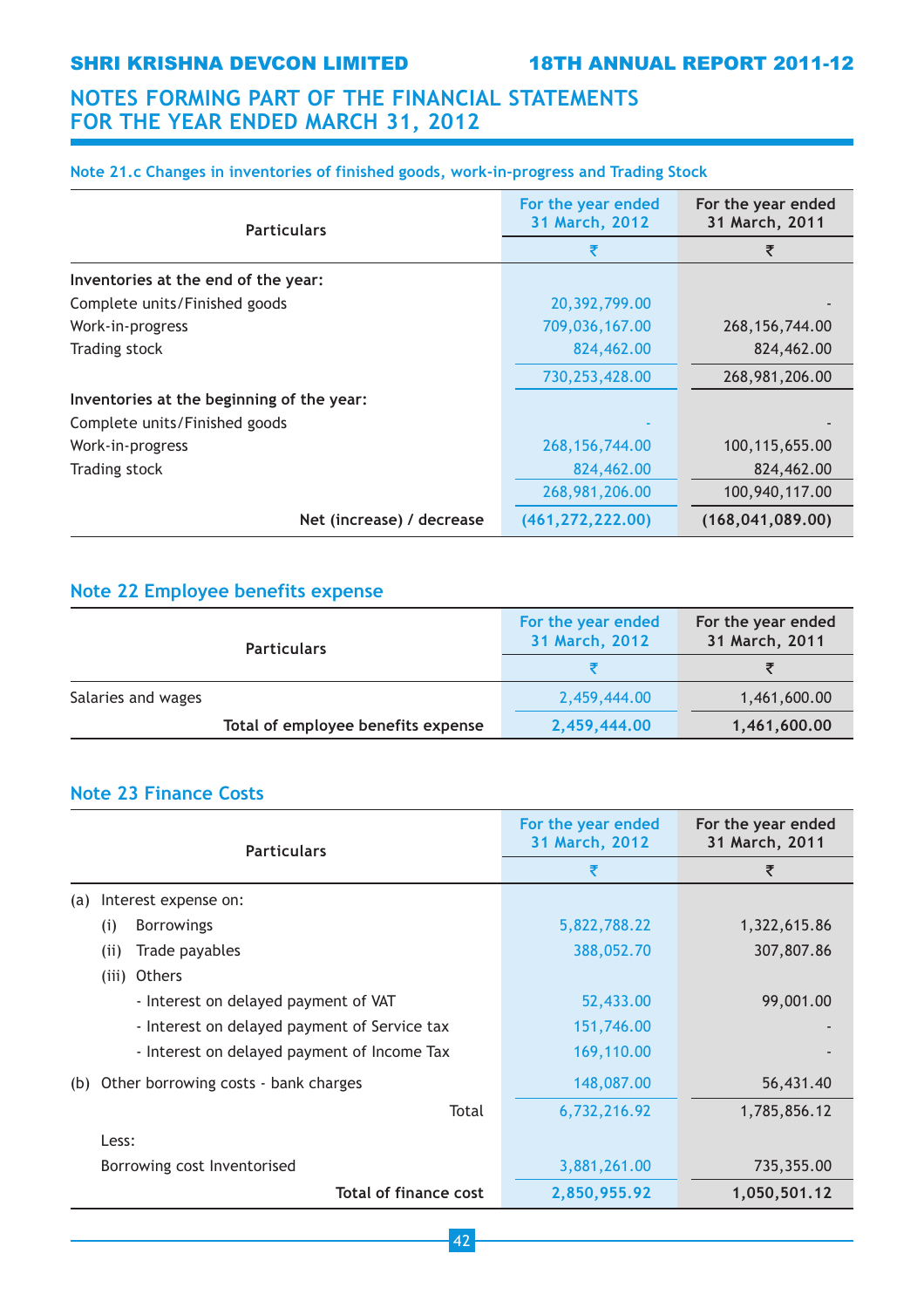## Note 21.c Changes in inventories of finished goods, work-in-progress and Trading Stock

| <b>Particulars</b>                        | For the year ended<br>31 March, 2012 | For the year ended<br>31 March, 2011 |
|-------------------------------------------|--------------------------------------|--------------------------------------|
|                                           | ₹                                    | ₹                                    |
| Inventories at the end of the year:       |                                      |                                      |
| Complete units/Finished goods             | 20,392,799.00                        |                                      |
| Work-in-progress                          | 709,036,167.00                       | 268, 156, 744.00                     |
| Trading stock                             | 824,462.00                           | 824,462.00                           |
|                                           | 730,253,428.00                       | 268,981,206.00                       |
| Inventories at the beginning of the year: |                                      |                                      |
| Complete units/Finished goods             |                                      |                                      |
| Work-in-progress                          | 268, 156, 744.00                     | 100,115,655.00                       |
| Trading stock                             | 824,462.00                           | 824,462.00                           |
|                                           | 268,981,206.00                       | 100,940,117.00                       |
| Net (increase) / decrease                 | (461, 272, 222.00)                   | (168, 041, 089, 00)                  |

## Note 22 Employee benefits expense

| <b>Particulars</b>                 | For the year ended<br>31 March, 2012 | For the year ended<br>31 March, 2011 |
|------------------------------------|--------------------------------------|--------------------------------------|
|                                    |                                      |                                      |
| Salaries and wages                 | 2,459,444.00                         | 1,461,600.00                         |
| Total of employee benefits expense | 2,459,444.00                         | 1,461,600.00                         |

## Note 23 Finance Costs

| <b>Particulars</b>                           | For the year ended<br>31 March, 2012 | For the year ended<br>31 March, 2011 |
|----------------------------------------------|--------------------------------------|--------------------------------------|
|                                              | ₹                                    | ₹                                    |
| Interest expense on:<br>(a)                  |                                      |                                      |
| <b>Borrowings</b><br>(i)                     | 5,822,788.22                         | 1,322,615.86                         |
| (i)<br>Trade payables                        | 388,052.70                           | 307,807.86                           |
| (iii) Others                                 |                                      |                                      |
| - Interest on delayed payment of VAT         | 52,433.00                            | 99,001.00                            |
| - Interest on delayed payment of Service tax | 151,746.00                           |                                      |
| - Interest on delayed payment of Income Tax  | 169,110.00                           |                                      |
| Other borrowing costs - bank charges<br>(b)  | 148,087.00                           | 56,431.40                            |
| Total                                        | 6,732,216.92                         | 1,785,856.12                         |
| Less:                                        |                                      |                                      |
| Borrowing cost Inventorised                  | 3,881,261.00                         | 735,355.00                           |
| Total of finance cost                        | 2,850,955.92                         | 1,050,501.12                         |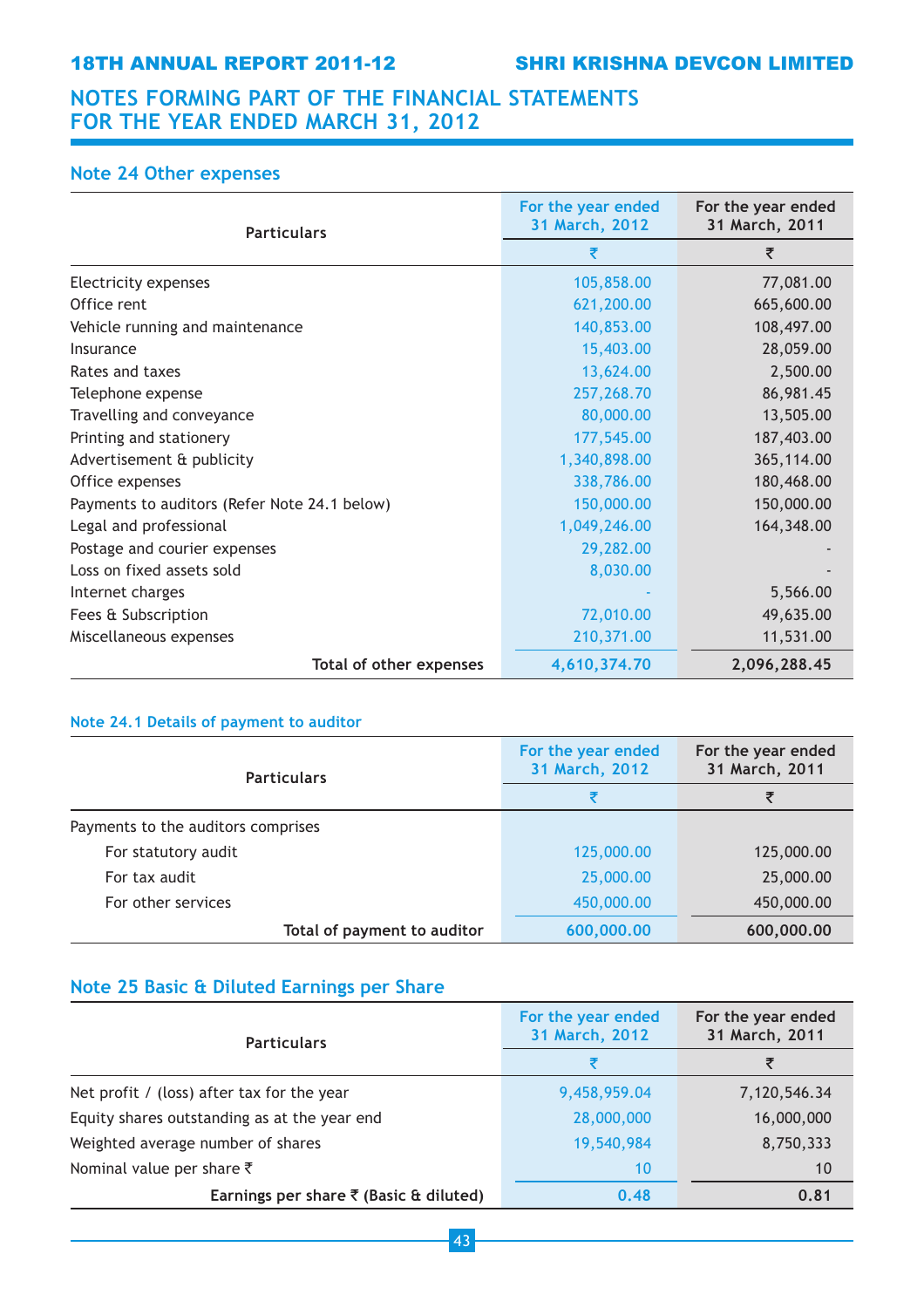## Note 24 Other expenses

| <b>Particulars</b>                           | For the year ended<br>31 March, 2012 | For the year ended<br>31 March, 2011 |
|----------------------------------------------|--------------------------------------|--------------------------------------|
|                                              | ₹                                    | ₹                                    |
| Electricity expenses                         | 105,858.00                           | 77,081.00                            |
| Office rent                                  | 621,200.00                           | 665,600.00                           |
| Vehicle running and maintenance              | 140,853.00                           | 108,497.00                           |
| Insurance                                    | 15,403.00                            | 28,059.00                            |
| Rates and taxes                              | 13,624.00                            | 2,500.00                             |
| Telephone expense                            | 257,268.70                           | 86,981.45                            |
| Travelling and conveyance                    | 80,000.00                            | 13,505.00                            |
| Printing and stationery                      | 177,545.00                           | 187,403.00                           |
| Advertisement & publicity                    | 1,340,898.00                         | 365,114.00                           |
| Office expenses                              | 338,786.00                           | 180,468.00                           |
| Payments to auditors (Refer Note 24.1 below) | 150,000.00                           | 150,000.00                           |
| Legal and professional                       | 1,049,246.00                         | 164,348.00                           |
| Postage and courier expenses                 | 29,282.00                            |                                      |
| Loss on fixed assets sold                    | 8,030.00                             |                                      |
| Internet charges                             |                                      | 5,566.00                             |
| Fees & Subscription                          | 72,010.00                            | 49,635.00                            |
| Miscellaneous expenses                       | 210,371.00                           | 11,531.00                            |
| Total of other expenses                      | 4,610,374.70                         | 2,096,288.45                         |

## Note 24.1 Details of payment to auditor

| <b>Particulars</b>                 | For the year ended<br>31 March, 2012 | For the year ended<br>31 March, 2011 |
|------------------------------------|--------------------------------------|--------------------------------------|
|                                    |                                      |                                      |
| Payments to the auditors comprises |                                      |                                      |
| For statutory audit                | 125,000.00                           | 125,000.00                           |
| For tax audit                      | 25,000.00                            | 25,000.00                            |
| For other services                 | 450,000.00                           | 450,000.00                           |
| Total of payment to auditor        | 600,000.00                           | 600,000.00                           |

## Note 25 Basic & Diluted Earnings per Share

| <b>Particulars</b>                                | For the year ended<br>31 March, 2012 | For the year ended<br>31 March, 2011 |
|---------------------------------------------------|--------------------------------------|--------------------------------------|
|                                                   |                                      | ₹                                    |
| Net profit / (loss) after tax for the year        | 9,458,959.04                         | 7,120,546.34                         |
| Equity shares outstanding as at the year end      | 28,000,000                           | 16,000,000                           |
| Weighted average number of shares                 | 19,540,984                           | 8,750,333                            |
| Nominal value per share $\bar{\tau}$              | 10                                   | 10                                   |
| Earnings per share $\bar{\tau}$ (Basic & diluted) | 0.48                                 | 0.81                                 |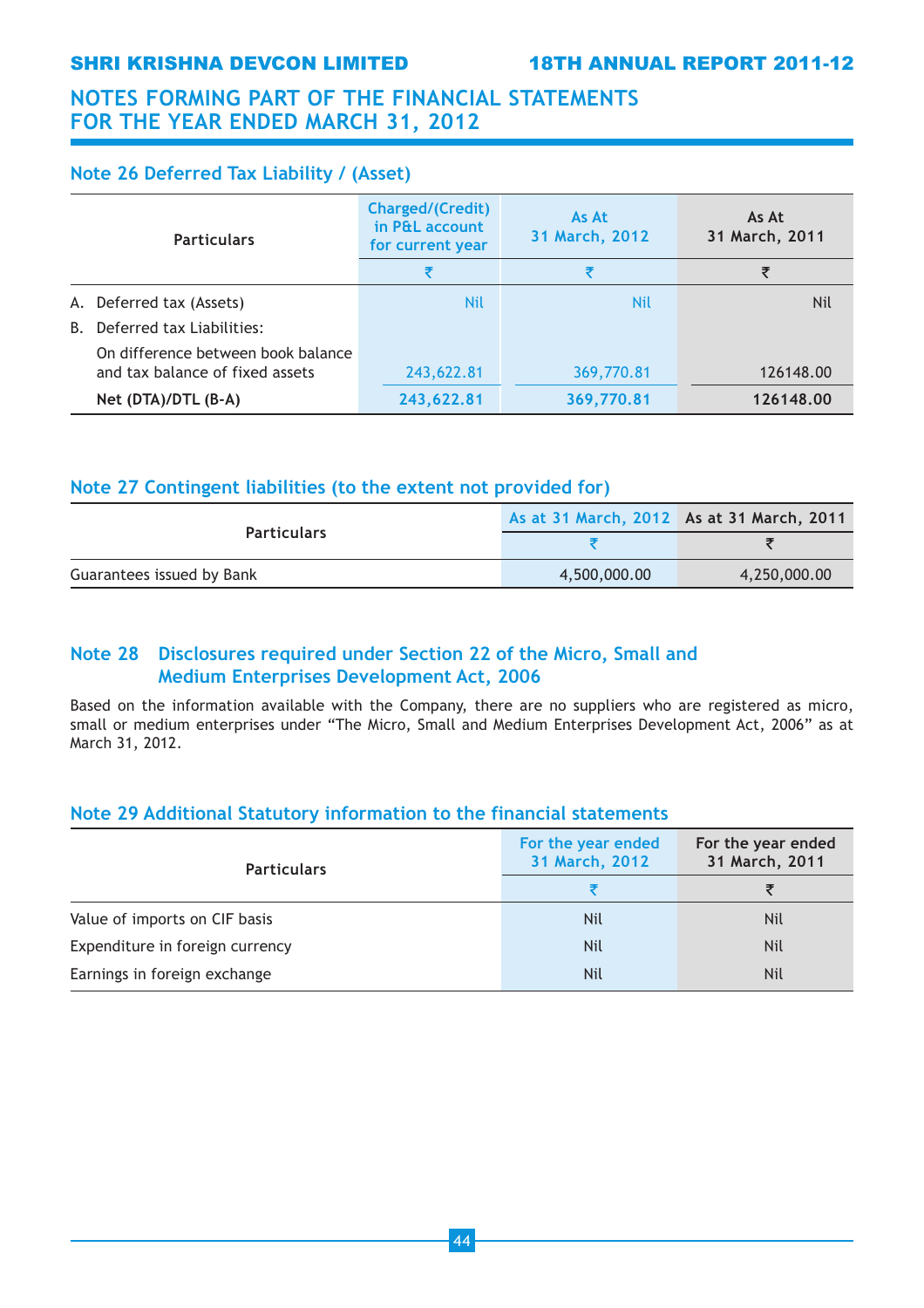## SHRI KRISHNA DEVCON LIMITED 18TH ANNUAL REPORT 2011-12

## NOTES FORMING PART OF THE FINANCIAL STATEMENTS FOR THE YEAR ENDED MARCH 31, 2012

## Note 26 Deferred Tax Liability / (Asset)

|    | <b>Particulars</b>                 | <b>Charged/(Credit)</b><br>in P&L account<br>for current year | As At<br>31 March, 2012 | As At<br>31 March, 2011 |
|----|------------------------------------|---------------------------------------------------------------|-------------------------|-------------------------|
|    |                                    | ₹                                                             |                         | ₹                       |
|    | A. Deferred tax (Assets)           | <b>Nil</b>                                                    | <b>Nil</b>              | Nil                     |
| B. | Deferred tax Liabilities:          |                                                               |                         |                         |
|    | On difference between book balance |                                                               |                         |                         |
|    | and tax balance of fixed assets    | 243,622.81                                                    | 369,770.81              | 126148.00               |
|    | Net (DTA)/DTL (B-A)                | 243,622.81                                                    | 369,770.81              | 126148.00               |

## Note 27 Contingent liabilities (to the extent not provided for)

| <b>Particulars</b>        | As at 31 March, 2012 As at 31 March, 2011 |              |
|---------------------------|-------------------------------------------|--------------|
|                           |                                           |              |
| Guarantees issued by Bank | 4,500,000.00                              | 4,250,000.00 |

## Note 28 Disclosures required under Section 22 of the Micro, Small and Medium Enterprises Development Act, 2006

Based on the information available with the Company, there are no suppliers who are registered as micro, small or medium enterprises under "The Micro, Small and Medium Enterprises Development Act, 2006" as at March 31, 2012.

## Note 29 Additional Statutory information to the financial statements

| <b>Particulars</b>              | For the year ended<br>31 March, 2012 | For the year ended<br>31 March, 2011 |
|---------------------------------|--------------------------------------|--------------------------------------|
|                                 |                                      |                                      |
| Value of imports on CIF basis   | <b>Nil</b>                           | <b>Nil</b>                           |
| Expenditure in foreign currency | <b>Nil</b>                           | <b>Nil</b>                           |
| Earnings in foreign exchange    | Nil                                  | <b>Nil</b>                           |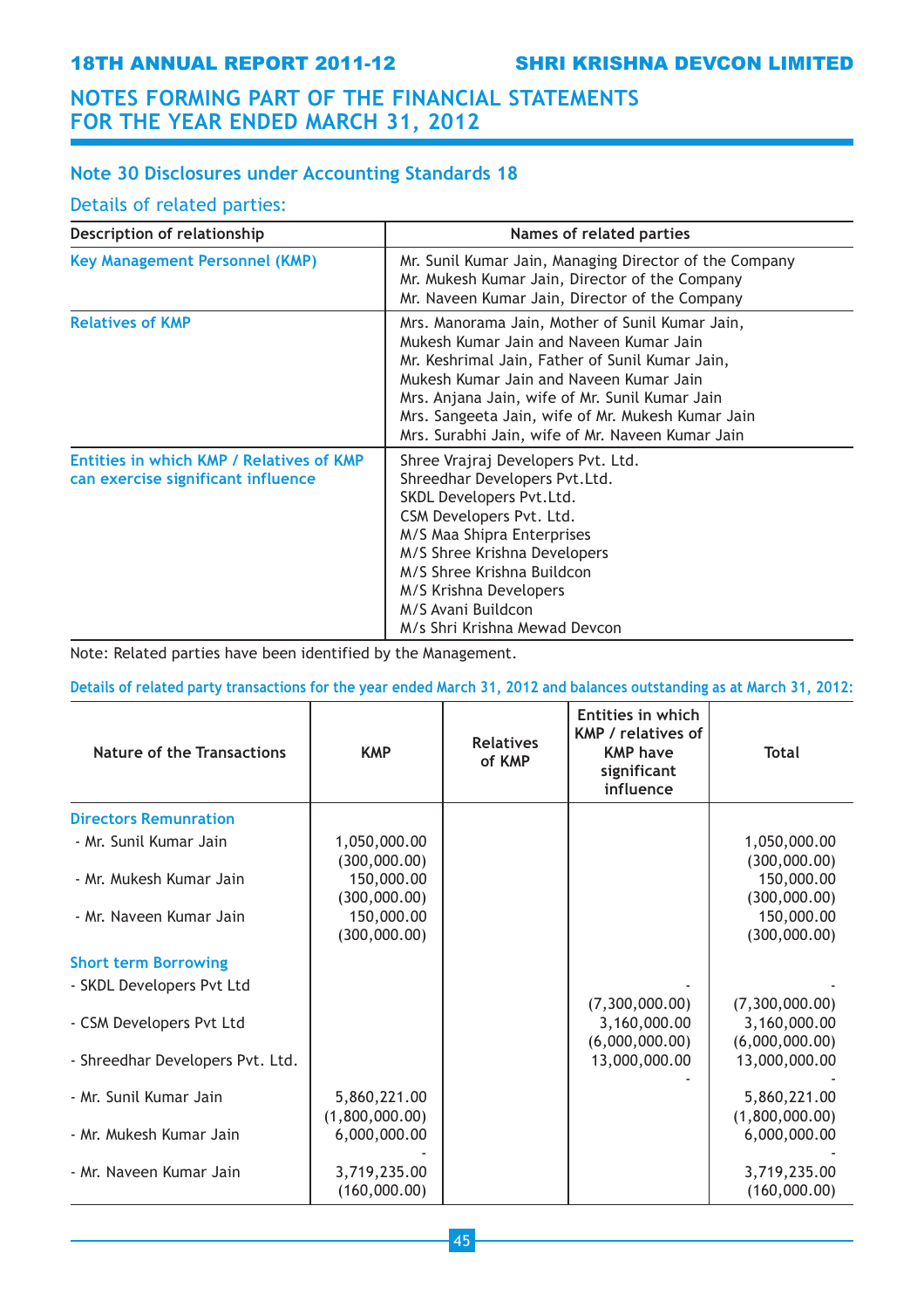## Note 30 Disclosures under Accounting Standards 18

## Details of related parties:

| Description of relationship                                                    | Names of related parties                                                                                                                                                                                                                                                                                                                            |
|--------------------------------------------------------------------------------|-----------------------------------------------------------------------------------------------------------------------------------------------------------------------------------------------------------------------------------------------------------------------------------------------------------------------------------------------------|
| <b>Key Management Personnel (KMP)</b>                                          | Mr. Sunil Kumar Jain, Managing Director of the Company<br>Mr. Mukesh Kumar Jain, Director of the Company<br>Mr. Naveen Kumar Jain, Director of the Company                                                                                                                                                                                          |
| <b>Relatives of KMP</b>                                                        | Mrs. Manorama Jain, Mother of Sunil Kumar Jain,<br>Mukesh Kumar Jain and Naveen Kumar Jain<br>Mr. Keshrimal Jain, Father of Sunil Kumar Jain,<br>Mukesh Kumar Jain and Naveen Kumar Jain<br>Mrs. Anjana Jain, wife of Mr. Sunil Kumar Jain<br>Mrs. Sangeeta Jain, wife of Mr. Mukesh Kumar Jain<br>Mrs. Surabhi Jain, wife of Mr. Naveen Kumar Jain |
| Entities in which KMP / Relatives of KMP<br>can exercise significant influence | Shree Vrajraj Developers Pvt. Ltd.<br>Shreedhar Developers Pvt.Ltd.<br>SKDL Developers Pvt.Ltd.<br>CSM Developers Pvt. Ltd.<br>M/S Maa Shipra Enterprises<br>M/S Shree Krishna Developers<br>M/S Shree Krishna Buildcon<br>M/S Krishna Developers<br>M/S Avani Buildcon<br>M/s Shri Krishna Mewad Devcon                                            |

Note: Related parties have been identified by the Management.

Details of related party transactions for the year ended March 31, 2012 and balances outstanding as at March 31, 2012:

| Nature of the Transactions       | <b>KMP</b>                     | <b>Relatives</b><br>of KMP | Entities in which<br><b>KMP</b> / relatives of<br><b>KMP have</b><br>significant<br>influence | <b>Total</b>                                     |
|----------------------------------|--------------------------------|----------------------------|-----------------------------------------------------------------------------------------------|--------------------------------------------------|
| <b>Directors Remunration</b>     |                                |                            |                                                                                               |                                                  |
| - Mr. Sunil Kumar Jain           | 1,050,000.00<br>(300,000.00)   |                            |                                                                                               | 1,050,000.00<br>(300,000.00)                     |
| - Mr. Mukesh Kumar Jain          | 150,000.00<br>(300,000.00)     |                            |                                                                                               | 150,000.00<br>(300,000.00)                       |
| - Mr. Naveen Kumar Jain          | 150,000.00<br>(300,000.00)     |                            |                                                                                               | 150,000.00<br>(300,000.00)                       |
| <b>Short term Borrowing</b>      |                                |                            |                                                                                               |                                                  |
| - SKDL Developers Pvt Ltd        |                                |                            |                                                                                               |                                                  |
| - CSM Developers Pvt Ltd         |                                |                            | (7,300,000.00)<br>3,160,000.00<br>(6,000,000.00)                                              | (7,300,000.00)<br>3,160,000.00<br>(6,000,000.00) |
| - Shreedhar Developers Pvt. Ltd. |                                |                            | 13,000,000.00                                                                                 | 13,000,000.00                                    |
| - Mr. Sunil Kumar Jain           | 5,860,221.00<br>(1,800,000.00) |                            |                                                                                               | 5,860,221.00<br>(1,800,000.00)                   |
| - Mr. Mukesh Kumar Jain          | 6,000,000.00                   |                            |                                                                                               | 6,000,000.00                                     |
| - Mr. Naveen Kumar Jain          | 3,719,235.00<br>(160,000.00)   |                            |                                                                                               | 3,719,235.00<br>(160,000.00)                     |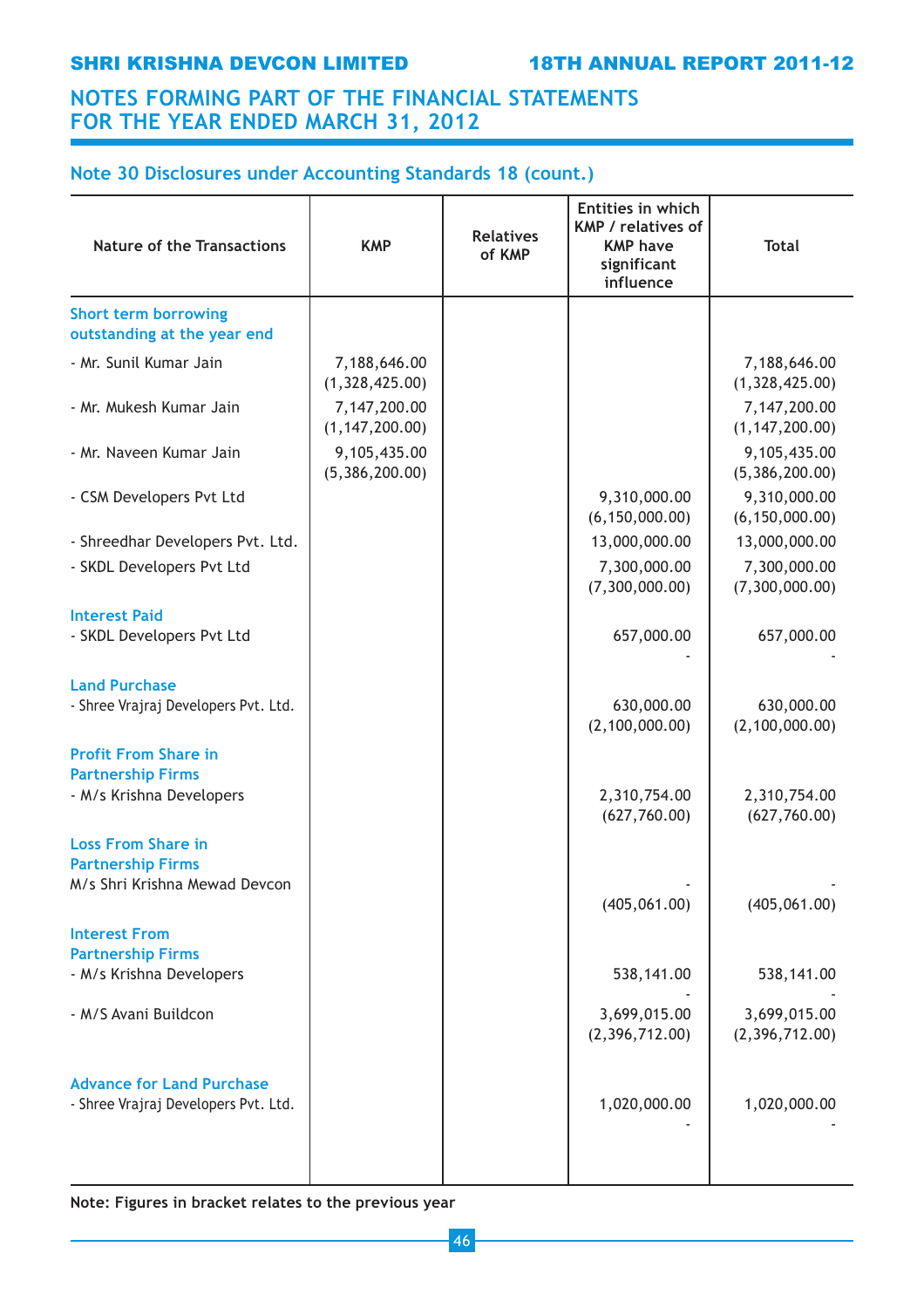## Note 30 Disclosures under Accounting Standards 18 (count.)

| <b>Nature of the Transactions</b>                                        | <b>KMP</b>                       | <b>Relatives</b><br>of KMP | Entities in which<br>KMP / relatives of<br><b>KMP have</b><br>significant<br>influence | <b>Total</b>                     |
|--------------------------------------------------------------------------|----------------------------------|----------------------------|----------------------------------------------------------------------------------------|----------------------------------|
| <b>Short term borrowing</b><br>outstanding at the year end               |                                  |                            |                                                                                        |                                  |
| - Mr. Sunil Kumar Jain                                                   | 7,188,646.00<br>(1,328,425.00)   |                            |                                                                                        | 7,188,646.00<br>(1,328,425.00)   |
| - Mr. Mukesh Kumar Jain                                                  | 7,147,200.00<br>(1, 147, 200.00) |                            |                                                                                        | 7,147,200.00<br>(1, 147, 200.00) |
| - Mr. Naveen Kumar Jain                                                  | 9,105,435.00<br>(5,386,200.00)   |                            |                                                                                        | 9,105,435.00<br>(5,386,200.00)   |
| - CSM Developers Pvt Ltd                                                 |                                  |                            | 9,310,000.00<br>(6, 150, 000.00)                                                       | 9,310,000.00<br>(6, 150, 000.00) |
| - Shreedhar Developers Pvt. Ltd.                                         |                                  |                            | 13,000,000.00                                                                          | 13,000,000.00                    |
| - SKDL Developers Pvt Ltd                                                |                                  |                            | 7,300,000.00<br>(7,300,000.00)                                                         | 7,300,000.00<br>(7,300,000.00)   |
| <b>Interest Paid</b>                                                     |                                  |                            |                                                                                        |                                  |
| - SKDL Developers Pvt Ltd                                                |                                  |                            | 657,000.00                                                                             | 657,000.00                       |
| <b>Land Purchase</b>                                                     |                                  |                            |                                                                                        |                                  |
| - Shree Vrajraj Developers Pvt. Ltd.                                     |                                  |                            | 630,000.00<br>(2, 100, 000.00)                                                         | 630,000.00<br>(2, 100, 000.00)   |
| <b>Profit From Share in</b>                                              |                                  |                            |                                                                                        |                                  |
| <b>Partnership Firms</b>                                                 |                                  |                            |                                                                                        |                                  |
| - M/s Krishna Developers                                                 |                                  |                            | 2,310,754.00<br>(627,760.00)                                                           | 2,310,754.00<br>(627,760.00)     |
| <b>Loss From Share in</b>                                                |                                  |                            |                                                                                        |                                  |
| <b>Partnership Firms</b>                                                 |                                  |                            |                                                                                        |                                  |
| M/s Shri Krishna Mewad Devcon                                            |                                  |                            | (405, 061.00)                                                                          | (405, 061.00)                    |
| <b>Interest From</b>                                                     |                                  |                            |                                                                                        |                                  |
| <b>Partnership Firms</b>                                                 |                                  |                            |                                                                                        |                                  |
| - M/s Krishna Developers                                                 |                                  |                            | 538,141.00                                                                             | 538,141.00                       |
| - M/S Avani Buildcon                                                     |                                  |                            | 3,699,015.00<br>(2,396,712.00)                                                         | 3,699,015.00<br>(2,396,712.00)   |
| <b>Advance for Land Purchase</b><br>- Shree Vrajraj Developers Pvt. Ltd. |                                  |                            | 1,020,000.00                                                                           | 1,020,000.00                     |
|                                                                          |                                  |                            |                                                                                        |                                  |

Note: Figures in bracket relates to the previous year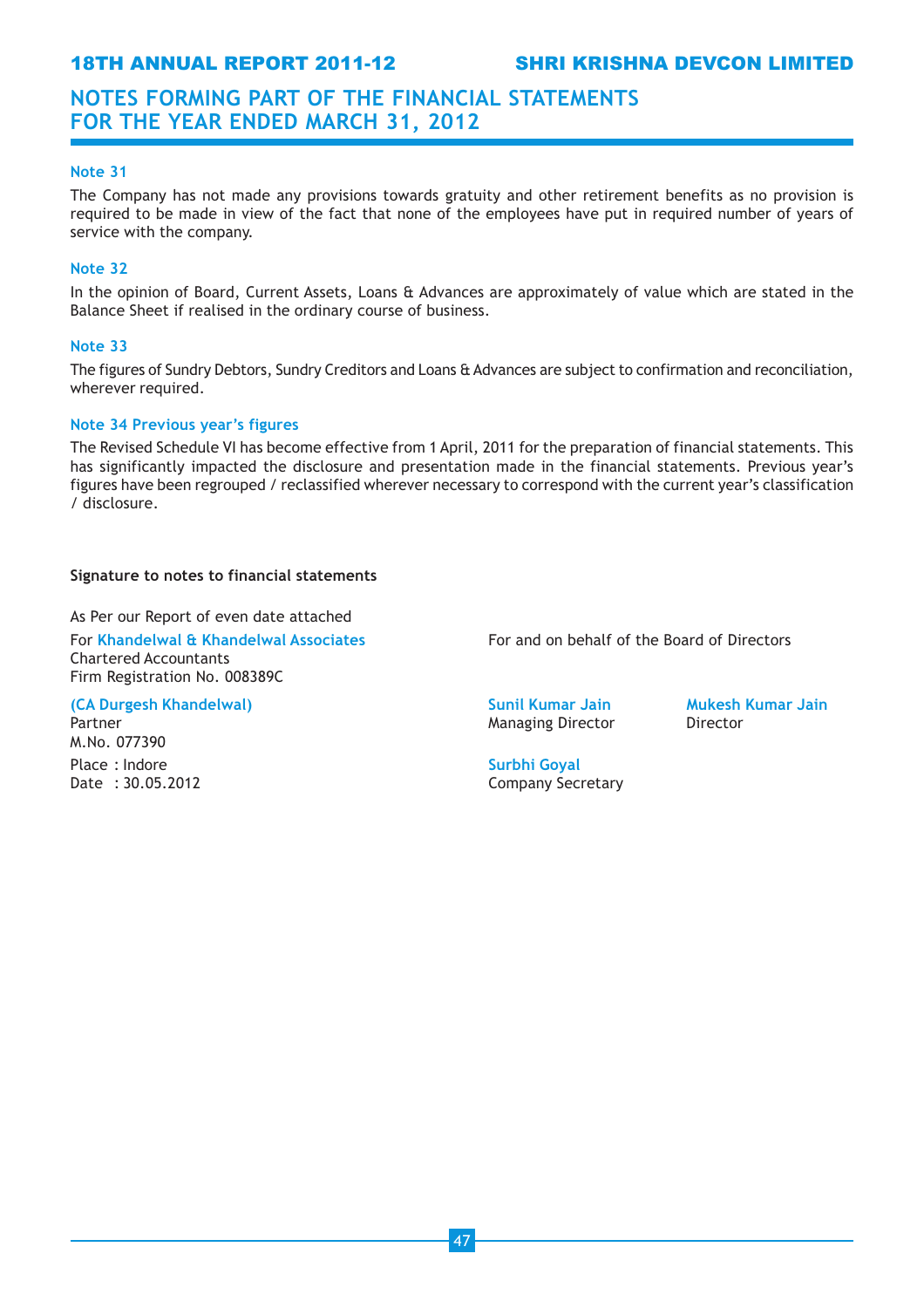18TH ANNUAL REPORT 2011-12 SHRI KRISHNA DEVCON LIMITED

## NOTES FORMING PART OF THE FINANCIAL STATEMENTS FOR THE YEAR ENDED MARCH 31, 2012

#### Note 31

The Company has not made any provisions towards gratuity and other retirement benefits as no provision is required to be made in view of the fact that none of the employees have put in required number of years of service with the company.

## Note 32

In the opinion of Board, Current Assets, Loans & Advances are approximately of value which are stated in the Balance Sheet if realised in the ordinary course of business.

#### Note 33

The figures of Sundry Debtors, Sundry Creditors and Loans & Advances are subject to confirmation and reconciliation, wherever required.

#### Note 34 Previous year's figures

The Revised Schedule VI has become effective from 1 April, 2011 for the preparation of financial statements. This has significantly impacted the disclosure and presentation made in the financial statements. Previous year's figures have been regrouped / reclassified wherever necessary to correspond with the current year's classification / disclosure.

#### Signature to notes to financial statements

As Per our Report of even date attached

Chartered Accountants Firm Registration No. 008389C

## (CA Durgesh Khandelwal) Sunil Kumar Jain Mukesh Kumar Jain Mukesh Kumar Jain

M.No. 077390 Place : Indore **Surbhi Goyal** 

For Khandelwal & Khandelwal Associates For and on behalf of the Board of Directors

Partner **Managing Director** Director **Director Director**